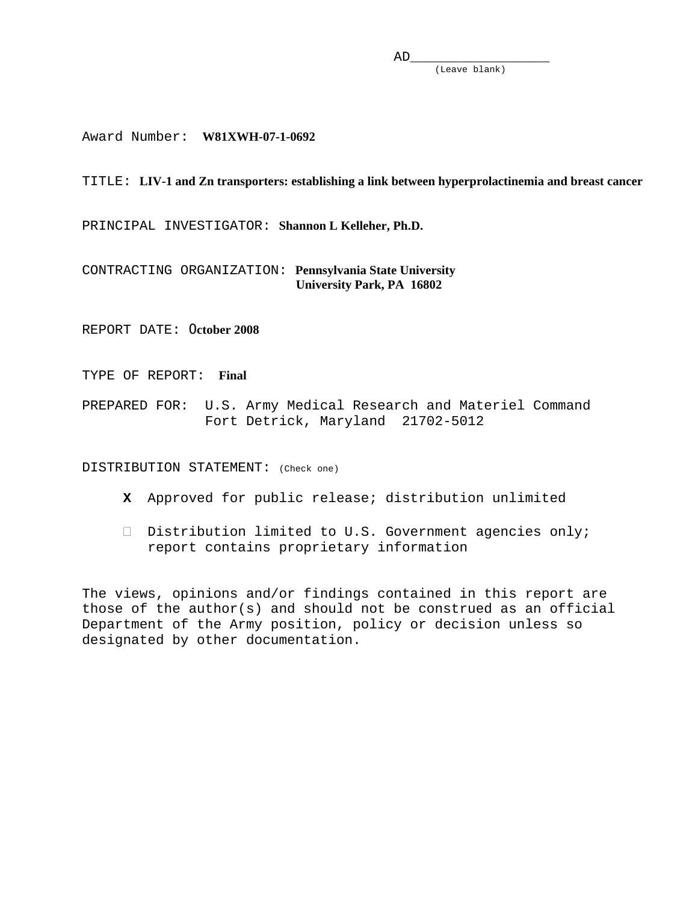(Leave blank)

Award Number: **W81XWH-07-1-0692** 

#### TITLE: **LIV-1 and Zn transporters: establishing a link between hyperprolactinemia and breast cancer**

PRINCIPAL INVESTIGATOR: **Shannon L Kelleher, Ph.D.** 

CONTRACTING ORGANIZATION: **Pennsylvania State University University Park, PA 16802** 

REPORT DATE: O**ctober 2008** 

TYPE OF REPORT: **Final** 

PREPARED FOR: U.S. Army Medical Research and Materiel Command Fort Detrick, Maryland 21702-5012

DISTRIBUTION STATEMENT: (Check one)

- **X** Approved for public release; distribution unlimited
- $\Box$  Distribution limited to U.S. Government agencies only; report contains proprietary information

The views, opinions and/or findings contained in this report are those of the author(s) and should not be construed as an official Department of the Army position, policy or decision unless so designated by other documentation.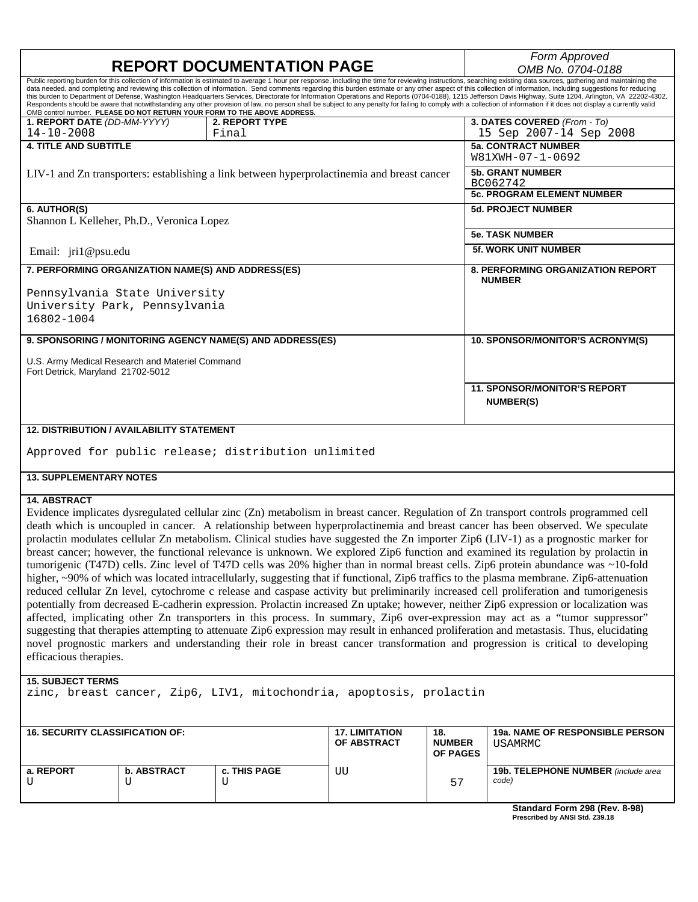| <b>REPORT DOCUMENTATION PAGE</b>                                                                                                                                                                                                                                                                                                                                                                                                                                                                                                                                                                                                                                                                                                                                                                                                                                                                                                                               |                                                                                             | Form Approved                                             |  |  |
|----------------------------------------------------------------------------------------------------------------------------------------------------------------------------------------------------------------------------------------------------------------------------------------------------------------------------------------------------------------------------------------------------------------------------------------------------------------------------------------------------------------------------------------------------------------------------------------------------------------------------------------------------------------------------------------------------------------------------------------------------------------------------------------------------------------------------------------------------------------------------------------------------------------------------------------------------------------|---------------------------------------------------------------------------------------------|-----------------------------------------------------------|--|--|
|                                                                                                                                                                                                                                                                                                                                                                                                                                                                                                                                                                                                                                                                                                                                                                                                                                                                                                                                                                | OMB No. 0704-0188                                                                           |                                                           |  |  |
| Public reporting burden for this collection of information is estimated to average 1 hour per response, including the time for reviewing instructions, searching existing data sources, gathering and maintaining the<br>data needed, and completing and reviewing this collection of information. Send comments regarding this burden estimate or any other aspect of this collection of information, including suggestions for reducing<br>this burden to Department of Defense, Washington Headquarters Services, Directorate for Information Operations and Reports (0704-0188), 1215 Jefferson Davis Highway, Suite 1204, Arlington, VA 22202-4302.<br>Respondents should be aware that notwithstanding any other provision of law, no person shall be subject to any penalty for failing to comply with a collection of information if it does not display a currently valid<br>OMB control number. PLEASE DO NOT RETURN YOUR FORM TO THE ABOVE ADDRESS. |                                                                                             |                                                           |  |  |
| 1. REPORT DATE (DD-MM-YYYY)<br>$14 - 10 - 2008$                                                                                                                                                                                                                                                                                                                                                                                                                                                                                                                                                                                                                                                                                                                                                                                                                                                                                                                | 2. REPORT TYPE<br>Final                                                                     | 3. DATES COVERED (From - To)<br>15 Sep 2007-14 Sep 2008   |  |  |
| <b>4. TITLE AND SUBTITLE</b>                                                                                                                                                                                                                                                                                                                                                                                                                                                                                                                                                                                                                                                                                                                                                                                                                                                                                                                                   |                                                                                             | <b>5a. CONTRACT NUMBER</b><br>W81XWH-07-1-0692            |  |  |
|                                                                                                                                                                                                                                                                                                                                                                                                                                                                                                                                                                                                                                                                                                                                                                                                                                                                                                                                                                | LIV-1 and Zn transporters: establishing a link between hyperprolactinemia and breast cancer | <b>5b. GRANT NUMBER</b><br>BC062742                       |  |  |
|                                                                                                                                                                                                                                                                                                                                                                                                                                                                                                                                                                                                                                                                                                                                                                                                                                                                                                                                                                |                                                                                             | <b>5c. PROGRAM ELEMENT NUMBER</b>                         |  |  |
| 6. AUTHOR(S)<br>Shannon L Kelleher, Ph.D., Veronica Lopez                                                                                                                                                                                                                                                                                                                                                                                                                                                                                                                                                                                                                                                                                                                                                                                                                                                                                                      |                                                                                             | <b>5d. PROJECT NUMBER</b>                                 |  |  |
|                                                                                                                                                                                                                                                                                                                                                                                                                                                                                                                                                                                                                                                                                                                                                                                                                                                                                                                                                                |                                                                                             | <b>5e. TASK NUMBER</b>                                    |  |  |
| Email: $jri1@psu.edu$                                                                                                                                                                                                                                                                                                                                                                                                                                                                                                                                                                                                                                                                                                                                                                                                                                                                                                                                          |                                                                                             | <b>5f. WORK UNIT NUMBER</b>                               |  |  |
| 7. PERFORMING ORGANIZATION NAME(S) AND ADDRESS(ES)                                                                                                                                                                                                                                                                                                                                                                                                                                                                                                                                                                                                                                                                                                                                                                                                                                                                                                             |                                                                                             | <b>8. PERFORMING ORGANIZATION REPORT</b><br><b>NUMBER</b> |  |  |
| Pennsylvania State University                                                                                                                                                                                                                                                                                                                                                                                                                                                                                                                                                                                                                                                                                                                                                                                                                                                                                                                                  |                                                                                             |                                                           |  |  |
| University Park, Pennsylvania                                                                                                                                                                                                                                                                                                                                                                                                                                                                                                                                                                                                                                                                                                                                                                                                                                                                                                                                  |                                                                                             |                                                           |  |  |
| 16802-1004                                                                                                                                                                                                                                                                                                                                                                                                                                                                                                                                                                                                                                                                                                                                                                                                                                                                                                                                                     |                                                                                             |                                                           |  |  |
| 9. SPONSORING / MONITORING AGENCY NAME(S) AND ADDRESS(ES)                                                                                                                                                                                                                                                                                                                                                                                                                                                                                                                                                                                                                                                                                                                                                                                                                                                                                                      |                                                                                             | 10. SPONSOR/MONITOR'S ACRONYM(S)                          |  |  |
| U.S. Army Medical Research and Materiel Command<br>Fort Detrick, Maryland 21702-5012                                                                                                                                                                                                                                                                                                                                                                                                                                                                                                                                                                                                                                                                                                                                                                                                                                                                           |                                                                                             |                                                           |  |  |
|                                                                                                                                                                                                                                                                                                                                                                                                                                                                                                                                                                                                                                                                                                                                                                                                                                                                                                                                                                |                                                                                             | <b>11. SPONSOR/MONITOR'S REPORT</b><br><b>NUMBER(S)</b>   |  |  |
| <b>12. DISTRIBUTION / AVAILABILITY STATEMENT</b>                                                                                                                                                                                                                                                                                                                                                                                                                                                                                                                                                                                                                                                                                                                                                                                                                                                                                                               |                                                                                             |                                                           |  |  |
| Approved for public release; distribution unlimited                                                                                                                                                                                                                                                                                                                                                                                                                                                                                                                                                                                                                                                                                                                                                                                                                                                                                                            |                                                                                             |                                                           |  |  |

#### **13. SUPPLEMENTARY NOTES**

#### **14. ABSTRACT**

Evidence implicates dysregulated cellular zinc (Zn) metabolism in breast cancer. Regulation of Zn transport controls programmed cell death which is uncoupled in cancer. A relationship between hyperprolactinemia and breast cancer has been observed. We speculate prolactin modulates cellular Zn metabolism. Clinical studies have suggested the Zn importer Zip6 (LIV-1) as a prognostic marker for breast cancer; however, the functional relevance is unknown. We explored Zip6 function and examined its regulation by prolactin in tumorigenic (T47D) cells. Zinc level of T47D cells was 20% higher than in normal breast cells. Zip6 protein abundance was ~10-fold higher, ~90% of which was located intracellularly, suggesting that if functional, Zip6 traffics to the plasma membrane. Zip6-attenuation reduced cellular Zn level, cytochrome c release and caspase activity but preliminarily increased cell proliferation and tumorigenesis potentially from decreased E-cadherin expression. Prolactin increased Zn uptake; however, neither Zip6 expression or localization was affected, implicating other Zn transporters in this process. In summary, Zip6 over-expression may act as a "tumor suppressor" suggesting that therapies attempting to attenuate Zip6 expression may result in enhanced proliferation and metastasis. Thus, elucidating novel prognostic markers and understanding their role in breast cancer transformation and progression is critical to developing efficacious therapies.

#### **15. SUBJECT TERMS**

zinc, breast cancer, Zip6, LIV1, mitochondria, apoptosis, prolactin

| <b>16. SECURITY CLASSIFICATION OF:</b> |                    | <b>17. LIMITATION</b><br><b>OF ABSTRACT</b> | 18.<br><b>NUMBER</b><br><b>OF PAGES</b> | <b>19a. NAME OF RESPONSIBLE PERSON</b><br>USAMRMC |                                              |
|----------------------------------------|--------------------|---------------------------------------------|-----------------------------------------|---------------------------------------------------|----------------------------------------------|
| a. REPORT                              | <b>b. ABSTRACT</b> | c. THIS PAGE                                | UU                                      | 57                                                | 19b. TELEPHONE NUMBER (include area<br>code) |

**Standard Form 298 (Rev. 8-98) Prescribed by ANSI Std. Z39.18**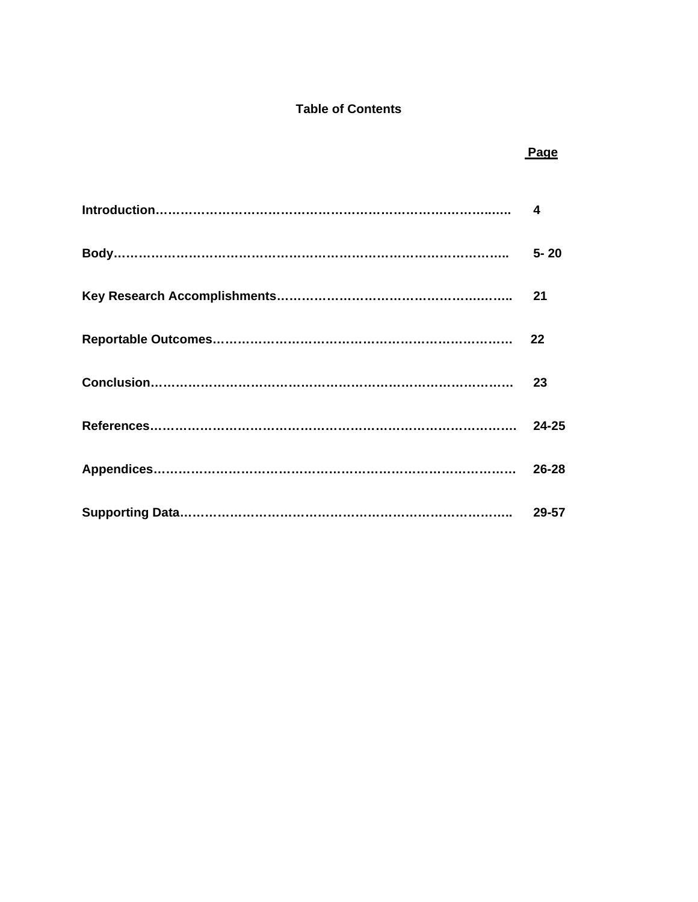# **Table of Contents**

| Page |
|------|
|      |
|      |
|      |
|      |
|      |
|      |
|      |
|      |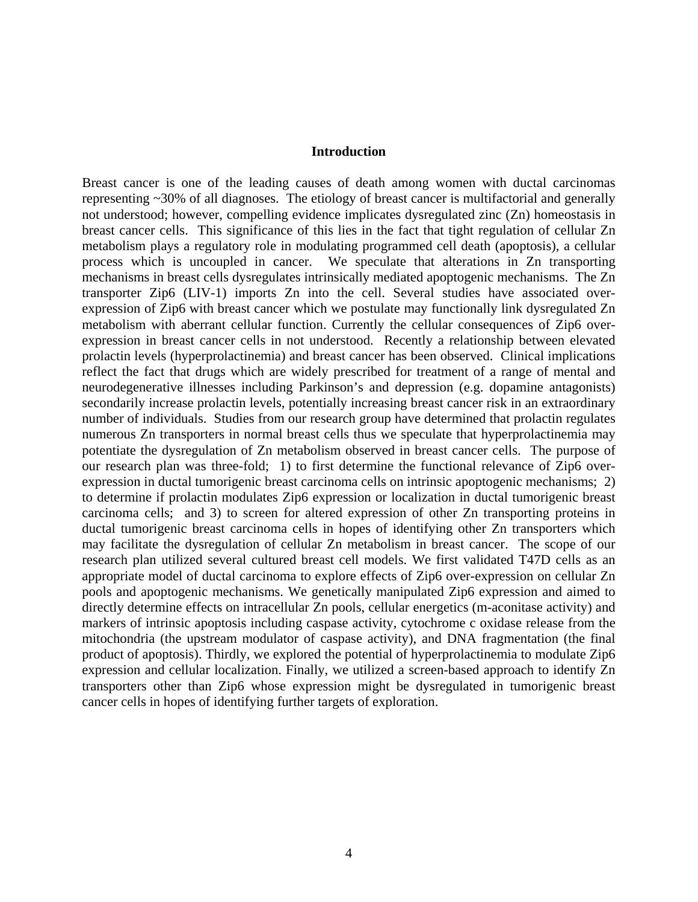#### **Introduction**

Breast cancer is one of the leading causes of death among women with ductal carcinomas representing ~30% of all diagnoses. The etiology of breast cancer is multifactorial and generally not understood; however, compelling evidence implicates dysregulated zinc (Zn) homeostasis in breast cancer cells. This significance of this lies in the fact that tight regulation of cellular Zn metabolism plays a regulatory role in modulating programmed cell death (apoptosis), a cellular process which is uncoupled in cancer. We speculate that alterations in Zn transporting mechanisms in breast cells dysregulates intrinsically mediated apoptogenic mechanisms. The Zn transporter Zip6 (LIV-1) imports Zn into the cell. Several studies have associated overexpression of Zip6 with breast cancer which we postulate may functionally link dysregulated Zn metabolism with aberrant cellular function. Currently the cellular consequences of Zip6 overexpression in breast cancer cells in not understood. Recently a relationship between elevated prolactin levels (hyperprolactinemia) and breast cancer has been observed. Clinical implications reflect the fact that drugs which are widely prescribed for treatment of a range of mental and neurodegenerative illnesses including Parkinson's and depression (e.g. dopamine antagonists) secondarily increase prolactin levels, potentially increasing breast cancer risk in an extraordinary number of individuals. Studies from our research group have determined that prolactin regulates numerous Zn transporters in normal breast cells thus we speculate that hyperprolactinemia may potentiate the dysregulation of Zn metabolism observed in breast cancer cells. The purpose of our research plan was three-fold; 1) to first determine the functional relevance of Zip6 overexpression in ductal tumorigenic breast carcinoma cells on intrinsic apoptogenic mechanisms; 2) to determine if prolactin modulates Zip6 expression or localization in ductal tumorigenic breast carcinoma cells; and 3) to screen for altered expression of other Zn transporting proteins in ductal tumorigenic breast carcinoma cells in hopes of identifying other Zn transporters which may facilitate the dysregulation of cellular Zn metabolism in breast cancer. The scope of our research plan utilized several cultured breast cell models. We first validated T47D cells as an appropriate model of ductal carcinoma to explore effects of Zip6 over-expression on cellular Zn pools and apoptogenic mechanisms. We genetically manipulated Zip6 expression and aimed to directly determine effects on intracellular Zn pools, cellular energetics (m-aconitase activity) and markers of intrinsic apoptosis including caspase activity, cytochrome c oxidase release from the mitochondria (the upstream modulator of caspase activity), and DNA fragmentation (the final product of apoptosis). Thirdly, we explored the potential of hyperprolactinemia to modulate Zip6 expression and cellular localization. Finally, we utilized a screen-based approach to identify Zn transporters other than Zip6 whose expression might be dysregulated in tumorigenic breast cancer cells in hopes of identifying further targets of exploration.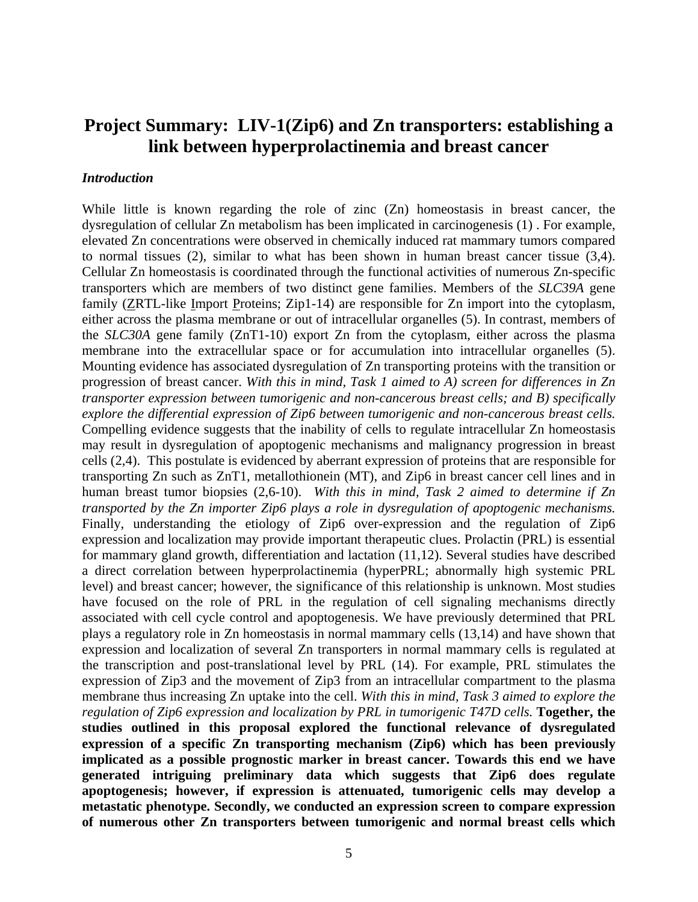# **Project Summary: LIV-1(Zip6) and Zn transporters: establishing a link between hyperprolactinemia and breast cancer**

#### *Introduction*

While little is known regarding the role of zinc (Zn) homeostasis in breast cancer, the dysregulation of cellular Zn metabolism has been implicated in carcinogenesis (1) . For example, elevated Zn concentrations were observed in chemically induced rat mammary tumors compared to normal tissues (2), similar to what has been shown in human breast cancer tissue (3,4). Cellular Zn homeostasis is coordinated through the functional activities of numerous Zn-specific transporters which are members of two distinct gene families. Members of the *SLC39A* gene family (ZRTL-like Import Proteins; Zip1-14) are responsible for Zn import into the cytoplasm, either across the plasma membrane or out of intracellular organelles (5). In contrast, members of the *SLC30A* gene family (ZnT1-10) export Zn from the cytoplasm, either across the plasma membrane into the extracellular space or for accumulation into intracellular organelles (5). Mounting evidence has associated dysregulation of Zn transporting proteins with the transition or progression of breast cancer. *With this in mind, Task 1 aimed to A) screen for differences in Zn transporter expression between tumorigenic and non-cancerous breast cells; and B) specifically explore the differential expression of Zip6 between tumorigenic and non-cancerous breast cells.* Compelling evidence suggests that the inability of cells to regulate intracellular Zn homeostasis may result in dysregulation of apoptogenic mechanisms and malignancy progression in breast cells (2,4). This postulate is evidenced by aberrant expression of proteins that are responsible for transporting Zn such as ZnT1, metallothionein (MT), and Zip6 in breast cancer cell lines and in human breast tumor biopsies (2,6-10). *With this in mind, Task 2 aimed to determine if Zn transported by the Zn importer Zip6 plays a role in dysregulation of apoptogenic mechanisms.*  Finally, understanding the etiology of Zip6 over-expression and the regulation of Zip6 expression and localization may provide important therapeutic clues. Prolactin (PRL) is essential for mammary gland growth, differentiation and lactation (11,12). Several studies have described a direct correlation between hyperprolactinemia (hyperPRL; abnormally high systemic PRL level) and breast cancer; however, the significance of this relationship is unknown. Most studies have focused on the role of PRL in the regulation of cell signaling mechanisms directly associated with cell cycle control and apoptogenesis. We have previously determined that PRL plays a regulatory role in Zn homeostasis in normal mammary cells (13,14) and have shown that expression and localization of several Zn transporters in normal mammary cells is regulated at the transcription and post-translational level by PRL (14). For example, PRL stimulates the expression of Zip3 and the movement of Zip3 from an intracellular compartment to the plasma membrane thus increasing Zn uptake into the cell. *With this in mind, Task 3 aimed to explore the regulation of Zip6 expression and localization by PRL in tumorigenic T47D cells.* **Together, the studies outlined in this proposal explored the functional relevance of dysregulated expression of a specific Zn transporting mechanism (Zip6) which has been previously implicated as a possible prognostic marker in breast cancer. Towards this end we have generated intriguing preliminary data which suggests that Zip6 does regulate apoptogenesis; however, if expression is attenuated, tumorigenic cells may develop a metastatic phenotype. Secondly, we conducted an expression screen to compare expression of numerous other Zn transporters between tumorigenic and normal breast cells which**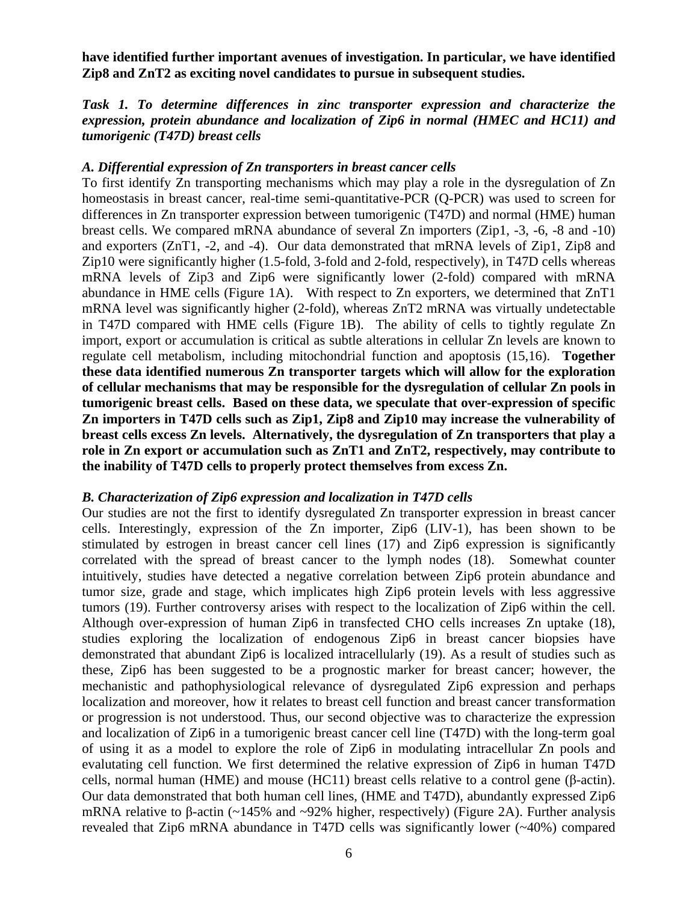**have identified further important avenues of investigation. In particular, we have identified Zip8 and ZnT2 as exciting novel candidates to pursue in subsequent studies.** 

# *Task 1. To determine differences in zinc transporter expression and characterize the expression, protein abundance and localization of Zip6 in normal (HMEC and HC11) and tumorigenic (T47D) breast cells*

### *A. Differential expression of Zn transporters in breast cancer cells*

To first identify Zn transporting mechanisms which may play a role in the dysregulation of Zn homeostasis in breast cancer, real-time semi-quantitative-PCR (Q-PCR) was used to screen for differences in Zn transporter expression between tumorigenic (T47D) and normal (HME) human breast cells. We compared mRNA abundance of several Zn importers (Zip1, -3, -6, -8 and -10) and exporters (ZnT1, -2, and -4). Our data demonstrated that mRNA levels of Zip1, Zip8 and Zip10 were significantly higher (1.5-fold, 3-fold and 2-fold, respectively), in T47D cells whereas mRNA levels of Zip3 and Zip6 were significantly lower (2-fold) compared with mRNA abundance in HME cells (Figure 1A). With respect to Zn exporters, we determined that ZnT1 mRNA level was significantly higher (2-fold), whereas ZnT2 mRNA was virtually undetectable in T47D compared with HME cells (Figure 1B). The ability of cells to tightly regulate Zn import, export or accumulation is critical as subtle alterations in cellular Zn levels are known to regulate cell metabolism, including mitochondrial function and apoptosis (15,16). **Together these data identified numerous Zn transporter targets which will allow for the exploration of cellular mechanisms that may be responsible for the dysregulation of cellular Zn pools in tumorigenic breast cells. Based on these data, we speculate that over-expression of specific Zn importers in T47D cells such as Zip1, Zip8 and Zip10 may increase the vulnerability of breast cells excess Zn levels. Alternatively, the dysregulation of Zn transporters that play a role in Zn export or accumulation such as ZnT1 and ZnT2, respectively, may contribute to the inability of T47D cells to properly protect themselves from excess Zn.** 

### *B. Characterization of Zip6 expression and localization in T47D cells*

Our studies are not the first to identify dysregulated Zn transporter expression in breast cancer cells. Interestingly, expression of the Zn importer, Zip6 (LIV-1), has been shown to be stimulated by estrogen in breast cancer cell lines (17) and Zip6 expression is significantly correlated with the spread of breast cancer to the lymph nodes (18). Somewhat counter intuitively, studies have detected a negative correlation between Zip6 protein abundance and tumor size, grade and stage, which implicates high Zip6 protein levels with less aggressive tumors (19). Further controversy arises with respect to the localization of Zip6 within the cell. Although over-expression of human Zip6 in transfected CHO cells increases Zn uptake (18), studies exploring the localization of endogenous Zip6 in breast cancer biopsies have demonstrated that abundant Zip6 is localized intracellularly (19). As a result of studies such as these, Zip6 has been suggested to be a prognostic marker for breast cancer; however, the mechanistic and pathophysiological relevance of dysregulated Zip6 expression and perhaps localization and moreover, how it relates to breast cell function and breast cancer transformation or progression is not understood. Thus, our second objective was to characterize the expression and localization of Zip6 in a tumorigenic breast cancer cell line (T47D) with the long-term goal of using it as a model to explore the role of Zip6 in modulating intracellular Zn pools and evalutating cell function. We first determined the relative expression of Zip6 in human T47D cells, normal human (HME) and mouse (HC11) breast cells relative to a control gene (β-actin). Our data demonstrated that both human cell lines, (HME and T47D), abundantly expressed Zip6 mRNA relative to β-actin (~145% and ~92% higher, respectively) (Figure 2A). Further analysis revealed that Zip6 mRNA abundance in T47D cells was significantly lower (~40%) compared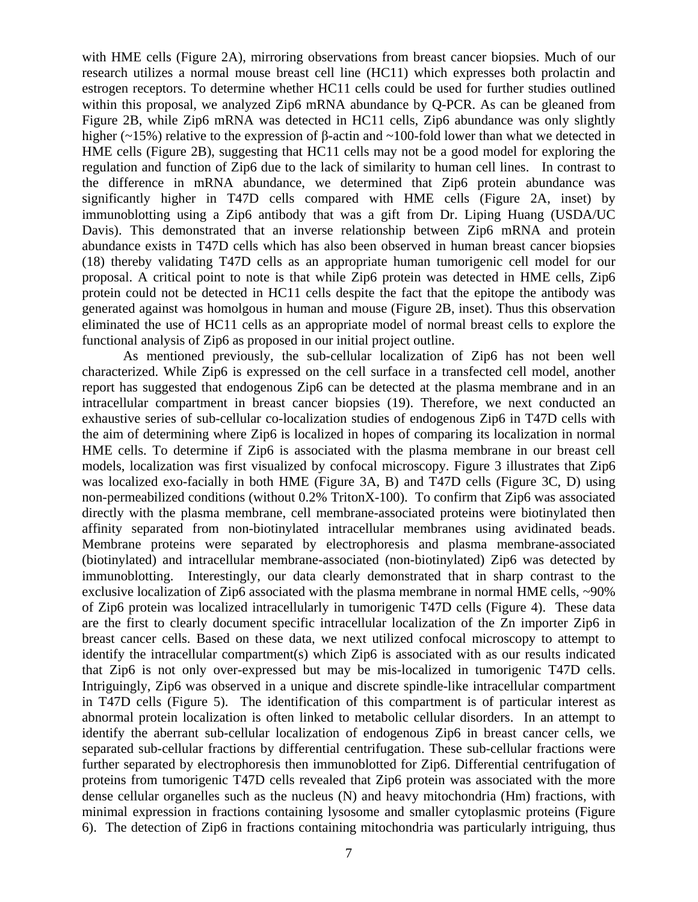with HME cells (Figure 2A), mirroring observations from breast cancer biopsies. Much of our research utilizes a normal mouse breast cell line (HC11) which expresses both prolactin and estrogen receptors. To determine whether HC11 cells could be used for further studies outlined within this proposal, we analyzed Zip6 mRNA abundance by Q-PCR. As can be gleaned from Figure 2B, while Zip6 mRNA was detected in HC11 cells, Zip6 abundance was only slightly higher (~15%) relative to the expression of β-actin and ~100-fold lower than what we detected in HME cells (Figure 2B), suggesting that HC11 cells may not be a good model for exploring the regulation and function of Zip6 due to the lack of similarity to human cell lines. In contrast to the difference in mRNA abundance, we determined that Zip6 protein abundance was significantly higher in T47D cells compared with HME cells (Figure 2A, inset) by immunoblotting using a Zip6 antibody that was a gift from Dr. Liping Huang (USDA/UC Davis). This demonstrated that an inverse relationship between Zip6 mRNA and protein abundance exists in T47D cells which has also been observed in human breast cancer biopsies (18) thereby validating T47D cells as an appropriate human tumorigenic cell model for our proposal. A critical point to note is that while Zip6 protein was detected in HME cells, Zip6 protein could not be detected in HC11 cells despite the fact that the epitope the antibody was generated against was homolgous in human and mouse (Figure 2B, inset). Thus this observation eliminated the use of HC11 cells as an appropriate model of normal breast cells to explore the functional analysis of Zip6 as proposed in our initial project outline.

As mentioned previously, the sub-cellular localization of Zip6 has not been well characterized. While Zip6 is expressed on the cell surface in a transfected cell model, another report has suggested that endogenous Zip6 can be detected at the plasma membrane and in an intracellular compartment in breast cancer biopsies (19). Therefore, we next conducted an exhaustive series of sub-cellular co-localization studies of endogenous Zip6 in T47D cells with the aim of determining where Zip6 is localized in hopes of comparing its localization in normal HME cells. To determine if Zip6 is associated with the plasma membrane in our breast cell models, localization was first visualized by confocal microscopy. Figure 3 illustrates that Zip6 was localized exo-facially in both HME (Figure 3A, B) and T47D cells (Figure 3C, D) using non-permeabilized conditions (without 0.2% TritonX-100). To confirm that Zip6 was associated directly with the plasma membrane, cell membrane-associated proteins were biotinylated then affinity separated from non-biotinylated intracellular membranes using avidinated beads. Membrane proteins were separated by electrophoresis and plasma membrane-associated (biotinylated) and intracellular membrane-associated (non-biotinylated) Zip6 was detected by immunoblotting. Interestingly, our data clearly demonstrated that in sharp contrast to the exclusive localization of Zip6 associated with the plasma membrane in normal HME cells,  $\sim$ 90% of Zip6 protein was localized intracellularly in tumorigenic T47D cells (Figure 4). These data are the first to clearly document specific intracellular localization of the Zn importer Zip6 in breast cancer cells. Based on these data, we next utilized confocal microscopy to attempt to identify the intracellular compartment(s) which Zip6 is associated with as our results indicated that Zip6 is not only over-expressed but may be mis-localized in tumorigenic T47D cells. Intriguingly, Zip6 was observed in a unique and discrete spindle-like intracellular compartment in T47D cells (Figure 5). The identification of this compartment is of particular interest as abnormal protein localization is often linked to metabolic cellular disorders. In an attempt to identify the aberrant sub-cellular localization of endogenous Zip6 in breast cancer cells, we separated sub-cellular fractions by differential centrifugation. These sub-cellular fractions were further separated by electrophoresis then immunoblotted for Zip6. Differential centrifugation of proteins from tumorigenic T47D cells revealed that Zip6 protein was associated with the more dense cellular organelles such as the nucleus (N) and heavy mitochondria (Hm) fractions, with minimal expression in fractions containing lysosome and smaller cytoplasmic proteins (Figure 6). The detection of Zip6 in fractions containing mitochondria was particularly intriguing, thus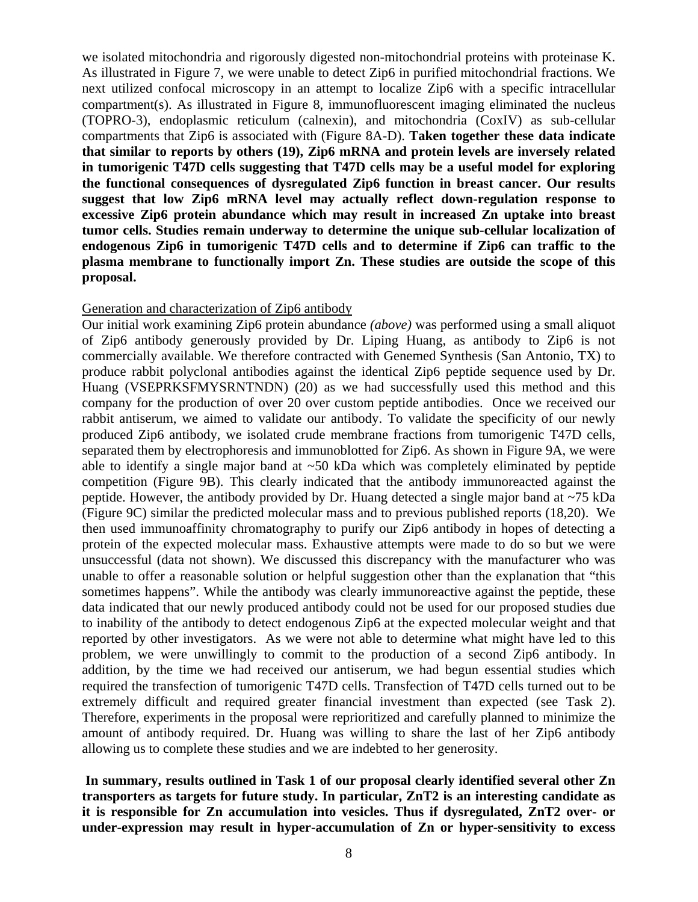we isolated mitochondria and rigorously digested non-mitochondrial proteins with proteinase K. As illustrated in Figure 7, we were unable to detect Zip6 in purified mitochondrial fractions. We next utilized confocal microscopy in an attempt to localize Zip6 with a specific intracellular compartment(s). As illustrated in Figure 8, immunofluorescent imaging eliminated the nucleus (TOPRO-3), endoplasmic reticulum (calnexin), and mitochondria (CoxIV) as sub-cellular compartments that Zip6 is associated with (Figure 8A-D). **Taken together these data indicate that similar to reports by others (19), Zip6 mRNA and protein levels are inversely related in tumorigenic T47D cells suggesting that T47D cells may be a useful model for exploring the functional consequences of dysregulated Zip6 function in breast cancer. Our results suggest that low Zip6 mRNA level may actually reflect down-regulation response to excessive Zip6 protein abundance which may result in increased Zn uptake into breast tumor cells. Studies remain underway to determine the unique sub-cellular localization of endogenous Zip6 in tumorigenic T47D cells and to determine if Zip6 can traffic to the plasma membrane to functionally import Zn. These studies are outside the scope of this proposal.** 

#### Generation and characterization of Zip6 antibody

Our initial work examining Zip6 protein abundance *(above)* was performed using a small aliquot of Zip6 antibody generously provided by Dr. Liping Huang, as antibody to Zip6 is not commercially available. We therefore contracted with Genemed Synthesis (San Antonio, TX) to produce rabbit polyclonal antibodies against the identical Zip6 peptide sequence used by Dr. Huang (VSEPRKSFMYSRNTNDN) (20) as we had successfully used this method and this company for the production of over 20 over custom peptide antibodies. Once we received our rabbit antiserum, we aimed to validate our antibody. To validate the specificity of our newly produced Zip6 antibody, we isolated crude membrane fractions from tumorigenic T47D cells, separated them by electrophoresis and immunoblotted for Zip6. As shown in Figure 9A, we were able to identify a single major band at ~50 kDa which was completely eliminated by peptide competition (Figure 9B). This clearly indicated that the antibody immunoreacted against the peptide. However, the antibody provided by Dr. Huang detected a single major band at ~75 kDa (Figure 9C) similar the predicted molecular mass and to previous published reports (18,20). We then used immunoaffinity chromatography to purify our Zip6 antibody in hopes of detecting a protein of the expected molecular mass. Exhaustive attempts were made to do so but we were unsuccessful (data not shown). We discussed this discrepancy with the manufacturer who was unable to offer a reasonable solution or helpful suggestion other than the explanation that "this sometimes happens". While the antibody was clearly immunoreactive against the peptide, these data indicated that our newly produced antibody could not be used for our proposed studies due to inability of the antibody to detect endogenous Zip6 at the expected molecular weight and that reported by other investigators. As we were not able to determine what might have led to this problem, we were unwillingly to commit to the production of a second Zip6 antibody. In addition, by the time we had received our antiserum, we had begun essential studies which required the transfection of tumorigenic T47D cells. Transfection of T47D cells turned out to be extremely difficult and required greater financial investment than expected (see Task 2). Therefore, experiments in the proposal were reprioritized and carefully planned to minimize the amount of antibody required. Dr. Huang was willing to share the last of her Zip6 antibody allowing us to complete these studies and we are indebted to her generosity.

 **In summary, results outlined in Task 1 of our proposal clearly identified several other Zn transporters as targets for future study. In particular, ZnT2 is an interesting candidate as it is responsible for Zn accumulation into vesicles. Thus if dysregulated, ZnT2 over- or under-expression may result in hyper-accumulation of Zn or hyper-sensitivity to excess**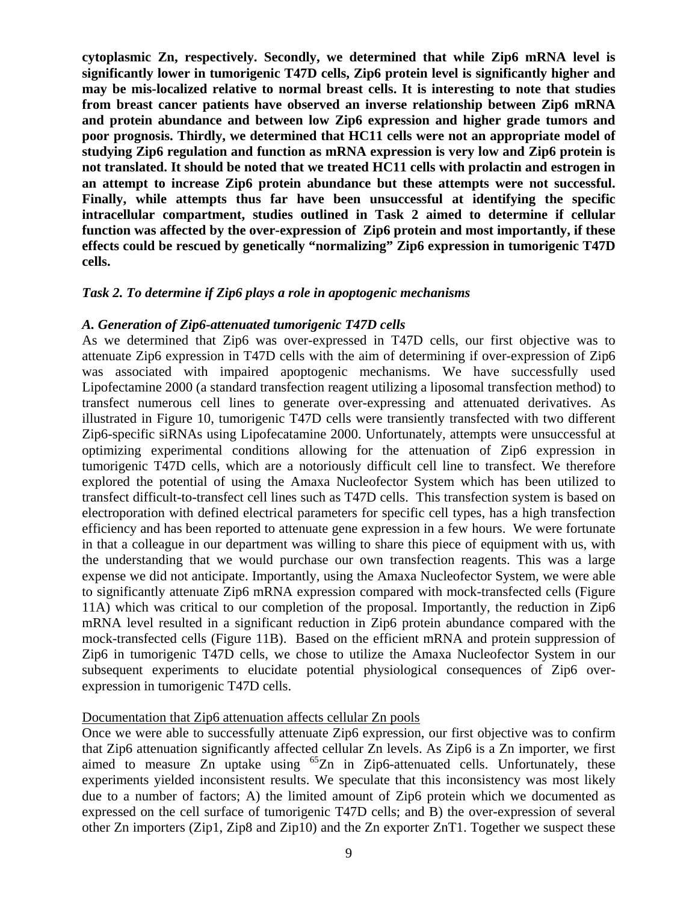**cytoplasmic Zn, respectively. Secondly, we determined that while Zip6 mRNA level is significantly lower in tumorigenic T47D cells, Zip6 protein level is significantly higher and may be mis-localized relative to normal breast cells. It is interesting to note that studies from breast cancer patients have observed an inverse relationship between Zip6 mRNA and protein abundance and between low Zip6 expression and higher grade tumors and poor prognosis. Thirdly, we determined that HC11 cells were not an appropriate model of studying Zip6 regulation and function as mRNA expression is very low and Zip6 protein is not translated. It should be noted that we treated HC11 cells with prolactin and estrogen in an attempt to increase Zip6 protein abundance but these attempts were not successful. Finally, while attempts thus far have been unsuccessful at identifying the specific intracellular compartment, studies outlined in Task 2 aimed to determine if cellular function was affected by the over-expression of Zip6 protein and most importantly, if these effects could be rescued by genetically "normalizing" Zip6 expression in tumorigenic T47D cells.** 

### *Task 2. To determine if Zip6 plays a role in apoptogenic mechanisms*

### *A. Generation of Zip6-attenuated tumorigenic T47D cells*

As we determined that Zip6 was over-expressed in T47D cells, our first objective was to attenuate Zip6 expression in T47D cells with the aim of determining if over-expression of Zip6 was associated with impaired apoptogenic mechanisms. We have successfully used Lipofectamine 2000 (a standard transfection reagent utilizing a liposomal transfection method) to transfect numerous cell lines to generate over-expressing and attenuated derivatives. As illustrated in Figure 10, tumorigenic T47D cells were transiently transfected with two different Zip6-specific siRNAs using Lipofecatamine 2000. Unfortunately, attempts were unsuccessful at optimizing experimental conditions allowing for the attenuation of Zip6 expression in tumorigenic T47D cells, which are a notoriously difficult cell line to transfect. We therefore explored the potential of using the Amaxa Nucleofector System which has been utilized to transfect difficult-to-transfect cell lines such as T47D cells. This transfection system is based on electroporation with defined electrical parameters for specific cell types, has a high transfection efficiency and has been reported to attenuate gene expression in a few hours. We were fortunate in that a colleague in our department was willing to share this piece of equipment with us, with the understanding that we would purchase our own transfection reagents. This was a large expense we did not anticipate. Importantly, using the Amaxa Nucleofector System, we were able to significantly attenuate Zip6 mRNA expression compared with mock-transfected cells (Figure 11A) which was critical to our completion of the proposal. Importantly, the reduction in Zip6 mRNA level resulted in a significant reduction in Zip6 protein abundance compared with the mock-transfected cells (Figure 11B). Based on the efficient mRNA and protein suppression of Zip6 in tumorigenic T47D cells, we chose to utilize the Amaxa Nucleofector System in our subsequent experiments to elucidate potential physiological consequences of Zip6 overexpression in tumorigenic T47D cells.

### Documentation that Zip6 attenuation affects cellular Zn pools

Once we were able to successfully attenuate Zip6 expression, our first objective was to confirm that Zip6 attenuation significantly affected cellular Zn levels. As Zip6 is a Zn importer, we first aimed to measure  $\overline{Z_n}$  uptake using <sup>65</sup>Zn in Zip6-attenuated cells. Unfortunately, these experiments yielded inconsistent results. We speculate that this inconsistency was most likely due to a number of factors; A) the limited amount of Zip6 protein which we documented as expressed on the cell surface of tumorigenic T47D cells; and B) the over-expression of several other Zn importers (Zip1, Zip8 and Zip10) and the Zn exporter ZnT1. Together we suspect these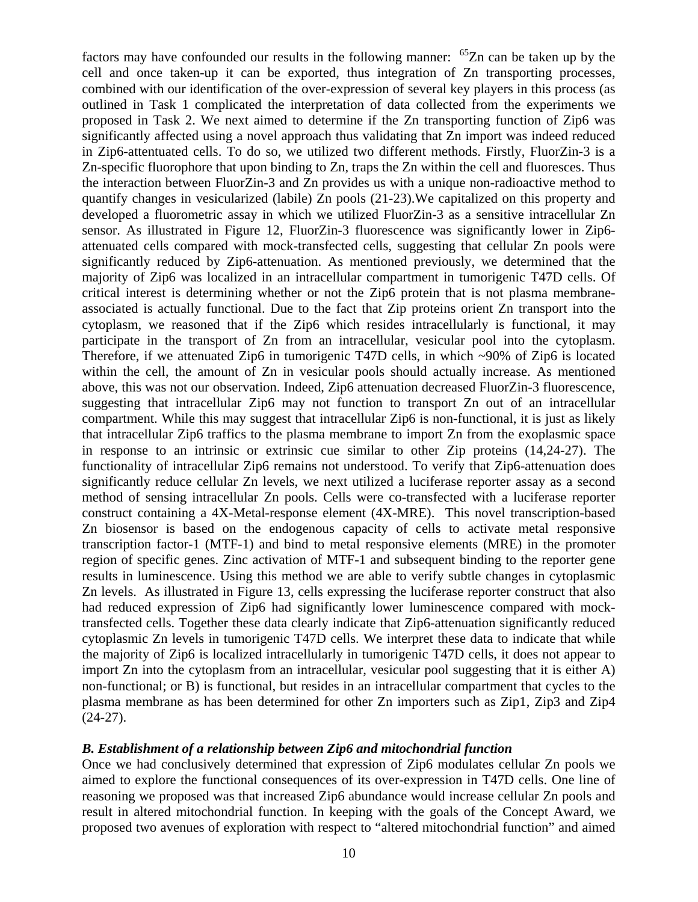factors may have confounded our results in the following manner:  $^{65}Zn$  can be taken up by the cell and once taken-up it can be exported, thus integration of Zn transporting processes, combined with our identification of the over-expression of several key players in this process (as outlined in Task 1 complicated the interpretation of data collected from the experiments we proposed in Task 2. We next aimed to determine if the Zn transporting function of Zip6 was significantly affected using a novel approach thus validating that Zn import was indeed reduced in Zip6-attentuated cells. To do so, we utilized two different methods. Firstly, FluorZin-3 is a Zn-specific fluorophore that upon binding to Zn, traps the Zn within the cell and fluoresces. Thus the interaction between FluorZin-3 and Zn provides us with a unique non-radioactive method to quantify changes in vesicularized (labile) Zn pools (21-23).We capitalized on this property and developed a fluorometric assay in which we utilized FluorZin-3 as a sensitive intracellular Zn sensor. As illustrated in Figure 12, FluorZin-3 fluorescence was significantly lower in Zip6 attenuated cells compared with mock-transfected cells, suggesting that cellular Zn pools were significantly reduced by Zip6-attenuation. As mentioned previously, we determined that the majority of Zip6 was localized in an intracellular compartment in tumorigenic T47D cells. Of critical interest is determining whether or not the Zip6 protein that is not plasma membraneassociated is actually functional. Due to the fact that Zip proteins orient Zn transport into the cytoplasm, we reasoned that if the Zip6 which resides intracellularly is functional, it may participate in the transport of Zn from an intracellular, vesicular pool into the cytoplasm. Therefore, if we attenuated Zip6 in tumorigenic T47D cells, in which ~90% of Zip6 is located within the cell, the amount of Zn in vesicular pools should actually increase. As mentioned above, this was not our observation. Indeed, Zip6 attenuation decreased FluorZin-3 fluorescence, suggesting that intracellular Zip6 may not function to transport Zn out of an intracellular compartment. While this may suggest that intracellular Zip6 is non-functional, it is just as likely that intracellular Zip6 traffics to the plasma membrane to import Zn from the exoplasmic space in response to an intrinsic or extrinsic cue similar to other Zip proteins (14,24-27). The functionality of intracellular Zip6 remains not understood. To verify that Zip6-attenuation does significantly reduce cellular Zn levels, we next utilized a luciferase reporter assay as a second method of sensing intracellular Zn pools. Cells were co-transfected with a luciferase reporter construct containing a 4X-Metal-response element (4X-MRE). This novel transcription-based Zn biosensor is based on the endogenous capacity of cells to activate metal responsive transcription factor-1 (MTF-1) and bind to metal responsive elements (MRE) in the promoter region of specific genes. Zinc activation of MTF-1 and subsequent binding to the reporter gene results in luminescence. Using this method we are able to verify subtle changes in cytoplasmic Zn levels. As illustrated in Figure 13, cells expressing the luciferase reporter construct that also had reduced expression of Zip6 had significantly lower luminescence compared with mocktransfected cells. Together these data clearly indicate that Zip6-attenuation significantly reduced cytoplasmic Zn levels in tumorigenic T47D cells. We interpret these data to indicate that while the majority of Zip6 is localized intracellularly in tumorigenic T47D cells, it does not appear to import Zn into the cytoplasm from an intracellular, vesicular pool suggesting that it is either A) non-functional; or B) is functional, but resides in an intracellular compartment that cycles to the plasma membrane as has been determined for other Zn importers such as Zip1, Zip3 and Zip4  $(24-27)$ .

#### *B. Establishment of a relationship between Zip6 and mitochondrial function*

Once we had conclusively determined that expression of Zip6 modulates cellular Zn pools we aimed to explore the functional consequences of its over-expression in T47D cells. One line of reasoning we proposed was that increased Zip6 abundance would increase cellular Zn pools and result in altered mitochondrial function. In keeping with the goals of the Concept Award, we proposed two avenues of exploration with respect to "altered mitochondrial function" and aimed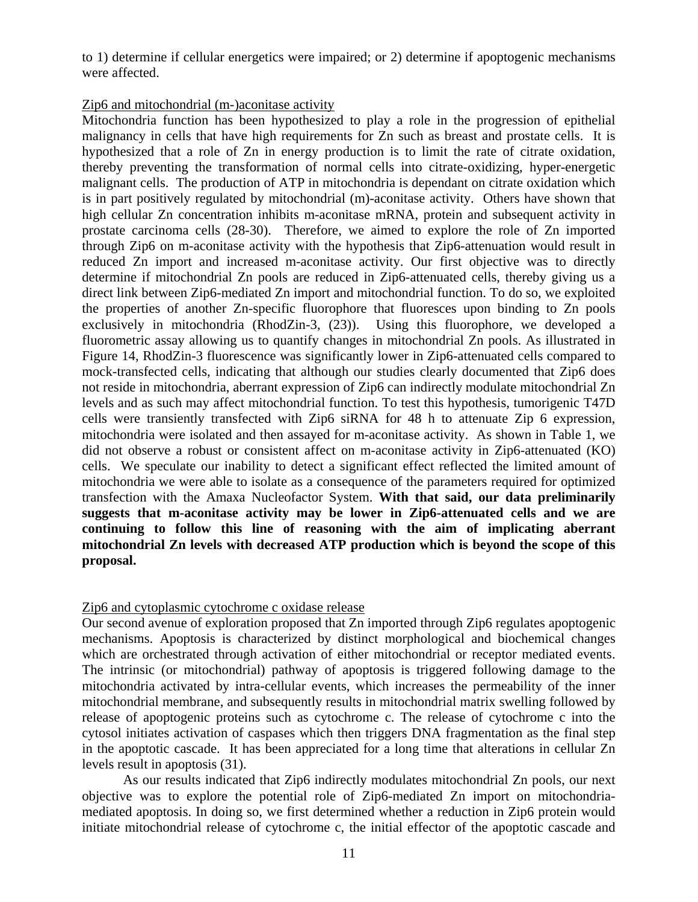to 1) determine if cellular energetics were impaired; or 2) determine if apoptogenic mechanisms were affected.

#### Zip6 and mitochondrial (m-)aconitase activity

Mitochondria function has been hypothesized to play a role in the progression of epithelial malignancy in cells that have high requirements for Zn such as breast and prostate cells. It is hypothesized that a role of Zn in energy production is to limit the rate of citrate oxidation, thereby preventing the transformation of normal cells into citrate-oxidizing, hyper-energetic malignant cells. The production of ATP in mitochondria is dependant on citrate oxidation which is in part positively regulated by mitochondrial (m)-aconitase activity. Others have shown that high cellular Zn concentration inhibits m-aconitase mRNA, protein and subsequent activity in prostate carcinoma cells (28-30). Therefore, we aimed to explore the role of Zn imported through Zip6 on m-aconitase activity with the hypothesis that Zip6-attenuation would result in reduced Zn import and increased m-aconitase activity. Our first objective was to directly determine if mitochondrial Zn pools are reduced in Zip6-attenuated cells, thereby giving us a direct link between Zip6-mediated Zn import and mitochondrial function. To do so, we exploited the properties of another Zn-specific fluorophore that fluoresces upon binding to Zn pools exclusively in mitochondria (RhodZin-3, (23)). Using this fluorophore, we developed a fluorometric assay allowing us to quantify changes in mitochondrial Zn pools. As illustrated in Figure 14, RhodZin-3 fluorescence was significantly lower in Zip6-attenuated cells compared to mock-transfected cells, indicating that although our studies clearly documented that Zip6 does not reside in mitochondria, aberrant expression of Zip6 can indirectly modulate mitochondrial Zn levels and as such may affect mitochondrial function. To test this hypothesis, tumorigenic T47D cells were transiently transfected with Zip6 siRNA for 48 h to attenuate Zip 6 expression, mitochondria were isolated and then assayed for m-aconitase activity. As shown in Table 1, we did not observe a robust or consistent affect on m-aconitase activity in Zip6-attenuated (KO) cells. We speculate our inability to detect a significant effect reflected the limited amount of mitochondria we were able to isolate as a consequence of the parameters required for optimized transfection with the Amaxa Nucleofactor System. **With that said, our data preliminarily suggests that m-aconitase activity may be lower in Zip6-attenuated cells and we are continuing to follow this line of reasoning with the aim of implicating aberrant mitochondrial Zn levels with decreased ATP production which is beyond the scope of this proposal.** 

### Zip6 and cytoplasmic cytochrome c oxidase release

Our second avenue of exploration proposed that Zn imported through Zip6 regulates apoptogenic mechanisms. Apoptosis is characterized by distinct morphological and biochemical changes which are orchestrated through activation of either mitochondrial or receptor mediated events. The intrinsic (or mitochondrial) pathway of apoptosis is triggered following damage to the mitochondria activated by intra-cellular events, which increases the permeability of the inner mitochondrial membrane, and subsequently results in mitochondrial matrix swelling followed by release of apoptogenic proteins such as cytochrome c. The release of cytochrome c into the cytosol initiates activation of caspases which then triggers DNA fragmentation as the final step in the apoptotic cascade. It has been appreciated for a long time that alterations in cellular Zn levels result in apoptosis (31).

As our results indicated that Zip6 indirectly modulates mitochondrial Zn pools, our next objective was to explore the potential role of Zip6-mediated Zn import on mitochondriamediated apoptosis. In doing so, we first determined whether a reduction in Zip6 protein would initiate mitochondrial release of cytochrome c, the initial effector of the apoptotic cascade and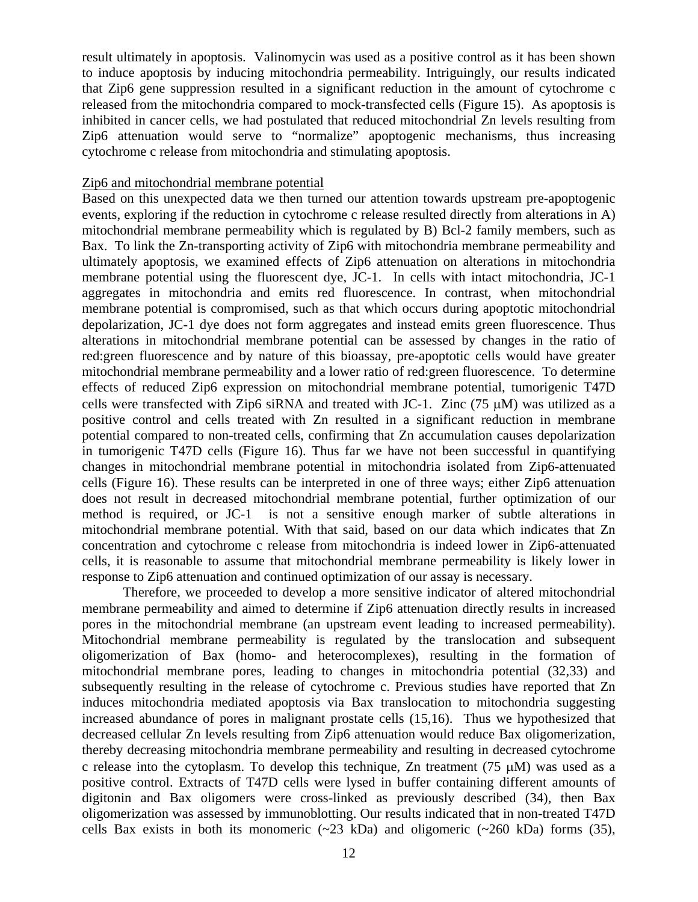result ultimately in apoptosis. Valinomycin was used as a positive control as it has been shown to induce apoptosis by inducing mitochondria permeability. Intriguingly, our results indicated that Zip6 gene suppression resulted in a significant reduction in the amount of cytochrome c released from the mitochondria compared to mock-transfected cells (Figure 15). As apoptosis is inhibited in cancer cells, we had postulated that reduced mitochondrial Zn levels resulting from Zip6 attenuation would serve to "normalize" apoptogenic mechanisms, thus increasing cytochrome c release from mitochondria and stimulating apoptosis.

#### Zip6 and mitochondrial membrane potential

Based on this unexpected data we then turned our attention towards upstream pre-apoptogenic events, exploring if the reduction in cytochrome c release resulted directly from alterations in A) mitochondrial membrane permeability which is regulated by B) Bcl-2 family members, such as Bax. To link the Zn-transporting activity of Zip6 with mitochondria membrane permeability and ultimately apoptosis, we examined effects of Zip6 attenuation on alterations in mitochondria membrane potential using the fluorescent dye, JC-1. In cells with intact mitochondria, JC-1 aggregates in mitochondria and emits red fluorescence. In contrast, when mitochondrial membrane potential is compromised, such as that which occurs during apoptotic mitochondrial depolarization, JC-1 dye does not form aggregates and instead emits green fluorescence. Thus alterations in mitochondrial membrane potential can be assessed by changes in the ratio of red:green fluorescence and by nature of this bioassay, pre-apoptotic cells would have greater mitochondrial membrane permeability and a lower ratio of red:green fluorescence. To determine effects of reduced Zip6 expression on mitochondrial membrane potential, tumorigenic T47D cells were transfected with Zip6 siRNA and treated with JC-1. Zinc (75 μM) was utilized as a positive control and cells treated with Zn resulted in a significant reduction in membrane potential compared to non-treated cells, confirming that Zn accumulation causes depolarization in tumorigenic T47D cells (Figure 16). Thus far we have not been successful in quantifying changes in mitochondrial membrane potential in mitochondria isolated from Zip6-attenuated cells (Figure 16). These results can be interpreted in one of three ways; either Zip6 attenuation does not result in decreased mitochondrial membrane potential, further optimization of our method is required, or JC-1 is not a sensitive enough marker of subtle alterations in mitochondrial membrane potential. With that said, based on our data which indicates that Zn concentration and cytochrome c release from mitochondria is indeed lower in Zip6-attenuated cells, it is reasonable to assume that mitochondrial membrane permeability is likely lower in response to Zip6 attenuation and continued optimization of our assay is necessary.

Therefore, we proceeded to develop a more sensitive indicator of altered mitochondrial membrane permeability and aimed to determine if Zip6 attenuation directly results in increased pores in the mitochondrial membrane (an upstream event leading to increased permeability). Mitochondrial membrane permeability is regulated by the translocation and subsequent oligomerization of Bax (homo- and heterocomplexes), resulting in the formation of mitochondrial membrane pores, leading to changes in mitochondria potential (32,33) and subsequently resulting in the release of cytochrome c. Previous studies have reported that Zn induces mitochondria mediated apoptosis via Bax translocation to mitochondria suggesting increased abundance of pores in malignant prostate cells (15,16). Thus we hypothesized that decreased cellular Zn levels resulting from Zip6 attenuation would reduce Bax oligomerization, thereby decreasing mitochondria membrane permeability and resulting in decreased cytochrome c release into the cytoplasm. To develop this technique, Zn treatment (75 μM) was used as a positive control. Extracts of T47D cells were lysed in buffer containing different amounts of digitonin and Bax oligomers were cross-linked as previously described (34), then Bax oligomerization was assessed by immunoblotting. Our results indicated that in non-treated T47D cells Bax exists in both its monomeric  $(\sim 23$  kDa) and oligomeric  $(\sim 260$  kDa) forms (35),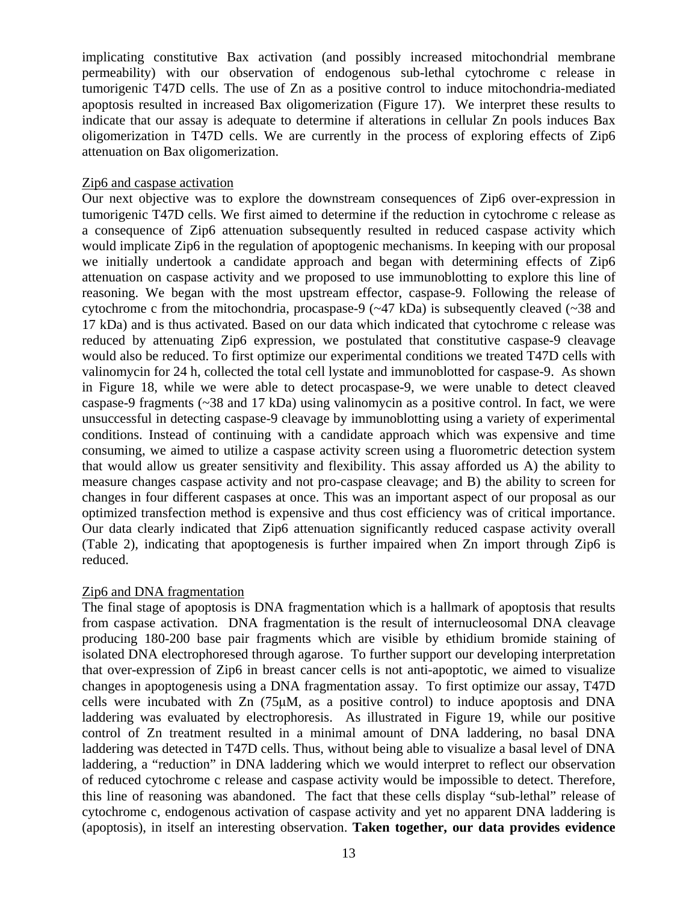implicating constitutive Bax activation (and possibly increased mitochondrial membrane permeability) with our observation of endogenous sub-lethal cytochrome c release in tumorigenic T47D cells. The use of Zn as a positive control to induce mitochondria-mediated apoptosis resulted in increased Bax oligomerization (Figure 17). We interpret these results to indicate that our assay is adequate to determine if alterations in cellular Zn pools induces Bax oligomerization in T47D cells. We are currently in the process of exploring effects of Zip6 attenuation on Bax oligomerization.

#### Zip6 and caspase activation

Our next objective was to explore the downstream consequences of Zip6 over-expression in tumorigenic T47D cells. We first aimed to determine if the reduction in cytochrome c release as a consequence of Zip6 attenuation subsequently resulted in reduced caspase activity which would implicate Zip6 in the regulation of apoptogenic mechanisms. In keeping with our proposal we initially undertook a candidate approach and began with determining effects of Zip6 attenuation on caspase activity and we proposed to use immunoblotting to explore this line of reasoning. We began with the most upstream effector, caspase-9. Following the release of cytochrome c from the mitochondria, procaspase-9 (~47 kDa) is subsequently cleaved (~38 and 17 kDa) and is thus activated. Based on our data which indicated that cytochrome c release was reduced by attenuating Zip6 expression, we postulated that constitutive caspase-9 cleavage would also be reduced. To first optimize our experimental conditions we treated T47D cells with valinomycin for 24 h, collected the total cell lystate and immunoblotted for caspase-9. As shown in Figure 18, while we were able to detect procaspase-9, we were unable to detect cleaved caspase-9 fragments (~38 and 17 kDa) using valinomycin as a positive control. In fact, we were unsuccessful in detecting caspase-9 cleavage by immunoblotting using a variety of experimental conditions. Instead of continuing with a candidate approach which was expensive and time consuming, we aimed to utilize a caspase activity screen using a fluorometric detection system that would allow us greater sensitivity and flexibility. This assay afforded us A) the ability to measure changes caspase activity and not pro-caspase cleavage; and B) the ability to screen for changes in four different caspases at once. This was an important aspect of our proposal as our optimized transfection method is expensive and thus cost efficiency was of critical importance. Our data clearly indicated that Zip6 attenuation significantly reduced caspase activity overall (Table 2), indicating that apoptogenesis is further impaired when Zn import through Zip6 is reduced.

### Zip6 and DNA fragmentation

The final stage of apoptosis is DNA fragmentation which is a hallmark of apoptosis that results from caspase activation. DNA fragmentation is the result of internucleosomal DNA cleavage producing 180-200 base pair fragments which are visible by ethidium bromide staining of isolated DNA electrophoresed through agarose. To further support our developing interpretation that over-expression of Zip6 in breast cancer cells is not anti-apoptotic, we aimed to visualize changes in apoptogenesis using a DNA fragmentation assay. To first optimize our assay, T47D cells were incubated with Zn (75μM, as a positive control) to induce apoptosis and DNA laddering was evaluated by electrophoresis. As illustrated in Figure 19, while our positive control of Zn treatment resulted in a minimal amount of DNA laddering, no basal DNA laddering was detected in T47D cells. Thus, without being able to visualize a basal level of DNA laddering, a "reduction" in DNA laddering which we would interpret to reflect our observation of reduced cytochrome c release and caspase activity would be impossible to detect. Therefore, this line of reasoning was abandoned. The fact that these cells display "sub-lethal" release of cytochrome c, endogenous activation of caspase activity and yet no apparent DNA laddering is (apoptosis), in itself an interesting observation. **Taken together, our data provides evidence**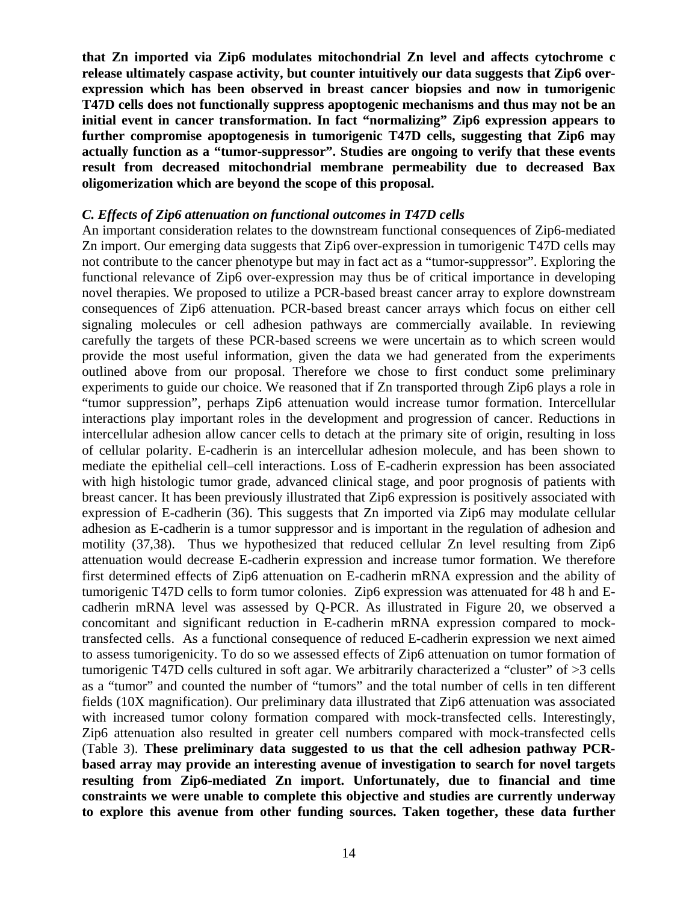**that Zn imported via Zip6 modulates mitochondrial Zn level and affects cytochrome c release ultimately caspase activity, but counter intuitively our data suggests that Zip6 overexpression which has been observed in breast cancer biopsies and now in tumorigenic T47D cells does not functionally suppress apoptogenic mechanisms and thus may not be an initial event in cancer transformation. In fact "normalizing" Zip6 expression appears to further compromise apoptogenesis in tumorigenic T47D cells, suggesting that Zip6 may actually function as a "tumor-suppressor". Studies are ongoing to verify that these events result from decreased mitochondrial membrane permeability due to decreased Bax oligomerization which are beyond the scope of this proposal.** 

#### *C. Effects of Zip6 attenuation on functional outcomes in T47D cells*

An important consideration relates to the downstream functional consequences of Zip6-mediated Zn import. Our emerging data suggests that Zip6 over-expression in tumorigenic T47D cells may not contribute to the cancer phenotype but may in fact act as a "tumor-suppressor". Exploring the functional relevance of Zip6 over-expression may thus be of critical importance in developing novel therapies. We proposed to utilize a PCR-based breast cancer array to explore downstream consequences of Zip6 attenuation. PCR-based breast cancer arrays which focus on either cell signaling molecules or cell adhesion pathways are commercially available. In reviewing carefully the targets of these PCR-based screens we were uncertain as to which screen would provide the most useful information, given the data we had generated from the experiments outlined above from our proposal. Therefore we chose to first conduct some preliminary experiments to guide our choice. We reasoned that if Zn transported through Zip6 plays a role in "tumor suppression", perhaps Zip6 attenuation would increase tumor formation. Intercellular interactions play important roles in the development and progression of cancer. Reductions in intercellular adhesion allow cancer cells to detach at the primary site of origin, resulting in loss of cellular polarity. E-cadherin is an intercellular adhesion molecule, and has been shown to mediate the epithelial cell–cell interactions. Loss of E-cadherin expression has been associated with high histologic tumor grade, advanced clinical stage, and poor prognosis of patients with breast cancer. It has been previously illustrated that Zip6 expression is positively associated with expression of E-cadherin (36). This suggests that Zn imported via Zip6 may modulate cellular adhesion as E-cadherin is a tumor suppressor and is important in the regulation of adhesion and motility (37,38). Thus we hypothesized that reduced cellular Zn level resulting from Zip6 attenuation would decrease E-cadherin expression and increase tumor formation. We therefore first determined effects of Zip6 attenuation on E-cadherin mRNA expression and the ability of tumorigenic T47D cells to form tumor colonies. Zip6 expression was attenuated for 48 h and Ecadherin mRNA level was assessed by Q-PCR. As illustrated in Figure 20, we observed a concomitant and significant reduction in E-cadherin mRNA expression compared to mocktransfected cells. As a functional consequence of reduced E-cadherin expression we next aimed to assess tumorigenicity. To do so we assessed effects of Zip6 attenuation on tumor formation of tumorigenic T47D cells cultured in soft agar. We arbitrarily characterized a "cluster" of >3 cells as a "tumor" and counted the number of "tumors" and the total number of cells in ten different fields (10X magnification). Our preliminary data illustrated that Zip6 attenuation was associated with increased tumor colony formation compared with mock-transfected cells. Interestingly, Zip6 attenuation also resulted in greater cell numbers compared with mock-transfected cells (Table 3). **These preliminary data suggested to us that the cell adhesion pathway PCRbased array may provide an interesting avenue of investigation to search for novel targets resulting from Zip6-mediated Zn import. Unfortunately, due to financial and time constraints we were unable to complete this objective and studies are currently underway to explore this avenue from other funding sources. Taken together, these data further**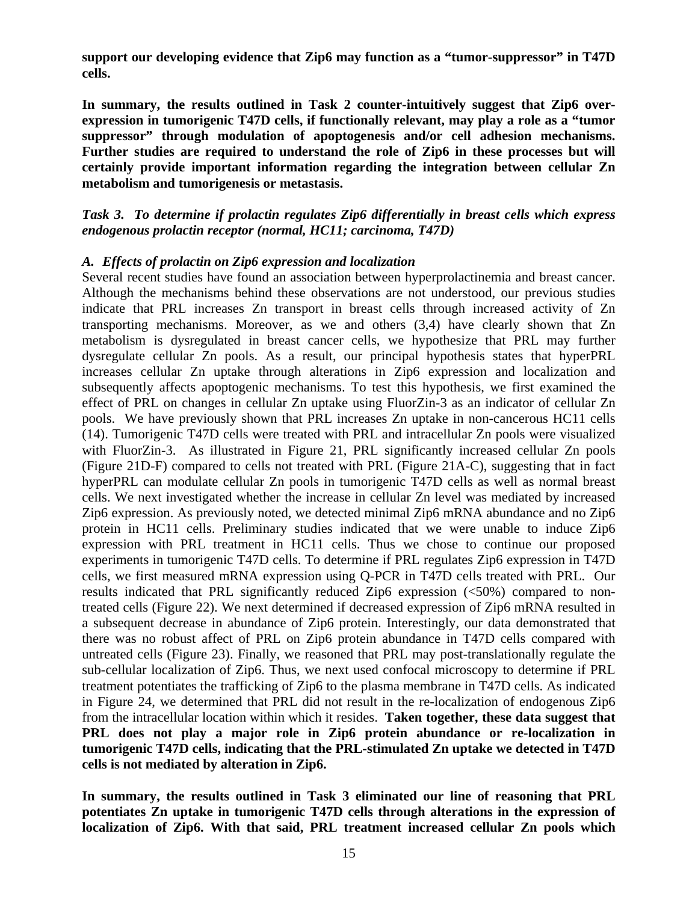**support our developing evidence that Zip6 may function as a "tumor-suppressor" in T47D cells.** 

**In summary, the results outlined in Task 2 counter-intuitively suggest that Zip6 overexpression in tumorigenic T47D cells, if functionally relevant, may play a role as a "tumor suppressor" through modulation of apoptogenesis and/or cell adhesion mechanisms. Further studies are required to understand the role of Zip6 in these processes but will certainly provide important information regarding the integration between cellular Zn metabolism and tumorigenesis or metastasis.**

*Task 3. To determine if prolactin regulates Zip6 differentially in breast cells which express endogenous prolactin receptor (normal, HC11; carcinoma, T47D)* 

#### *A. Effects of prolactin on Zip6 expression and localization*

Several recent studies have found an association between hyperprolactinemia and breast cancer. Although the mechanisms behind these observations are not understood, our previous studies indicate that PRL increases Zn transport in breast cells through increased activity of Zn transporting mechanisms. Moreover, as we and others (3,4) have clearly shown that Zn metabolism is dysregulated in breast cancer cells, we hypothesize that PRL may further dysregulate cellular Zn pools. As a result, our principal hypothesis states that hyperPRL increases cellular Zn uptake through alterations in Zip6 expression and localization and subsequently affects apoptogenic mechanisms. To test this hypothesis, we first examined the effect of PRL on changes in cellular Zn uptake using FluorZin-3 as an indicator of cellular Zn pools. We have previously shown that PRL increases Zn uptake in non-cancerous HC11 cells (14). Tumorigenic T47D cells were treated with PRL and intracellular Zn pools were visualized with FluorZin-3. As illustrated in Figure 21, PRL significantly increased cellular Zn pools (Figure 21D-F) compared to cells not treated with PRL (Figure 21A-C), suggesting that in fact hyperPRL can modulate cellular Zn pools in tumorigenic T47D cells as well as normal breast cells. We next investigated whether the increase in cellular Zn level was mediated by increased Zip6 expression. As previously noted, we detected minimal Zip6 mRNA abundance and no Zip6 protein in HC11 cells. Preliminary studies indicated that we were unable to induce Zip6 expression with PRL treatment in HC11 cells. Thus we chose to continue our proposed experiments in tumorigenic T47D cells. To determine if PRL regulates Zip6 expression in T47D cells, we first measured mRNA expression using Q-PCR in T47D cells treated with PRL. Our results indicated that PRL significantly reduced Zip6 expression (<50%) compared to nontreated cells (Figure 22). We next determined if decreased expression of Zip6 mRNA resulted in a subsequent decrease in abundance of Zip6 protein. Interestingly, our data demonstrated that there was no robust affect of PRL on Zip6 protein abundance in T47D cells compared with untreated cells (Figure 23). Finally, we reasoned that PRL may post-translationally regulate the sub-cellular localization of Zip6. Thus, we next used confocal microscopy to determine if PRL treatment potentiates the trafficking of Zip6 to the plasma membrane in T47D cells. As indicated in Figure 24, we determined that PRL did not result in the re-localization of endogenous Zip6 from the intracellular location within which it resides. **Taken together, these data suggest that PRL does not play a major role in Zip6 protein abundance or re-localization in tumorigenic T47D cells, indicating that the PRL-stimulated Zn uptake we detected in T47D cells is not mediated by alteration in Zip6.** 

**In summary, the results outlined in Task 3 eliminated our line of reasoning that PRL potentiates Zn uptake in tumorigenic T47D cells through alterations in the expression of localization of Zip6. With that said, PRL treatment increased cellular Zn pools which**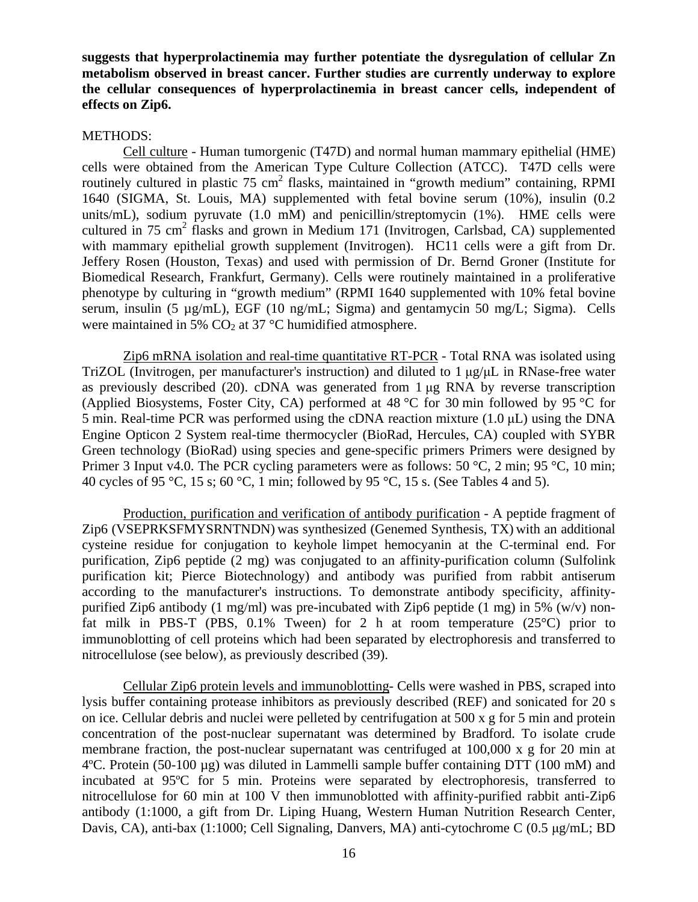**suggests that hyperprolactinemia may further potentiate the dysregulation of cellular Zn metabolism observed in breast cancer. Further studies are currently underway to explore the cellular consequences of hyperprolactinemia in breast cancer cells, independent of effects on Zip6.**

#### METHODS:

Cell culture - Human tumorgenic (T47D) and normal human mammary epithelial (HME) cells were obtained from the American Type Culture Collection (ATCC). T47D cells were routinely cultured in plastic  $75 \text{ cm}^2$  flasks, maintained in "growth medium" containing, RPMI 1640 (SIGMA, St. Louis, MA) supplemented with fetal bovine serum (10%), insulin (0.2 units/mL), sodium pyruvate (1.0 mM) and penicillin/streptomycin (1%). HME cells were cultured in 75 cm<sup>2</sup> flasks and grown in Medium 171 (Invitrogen, Carlsbad, CA) supplemented with mammary epithelial growth supplement (Invitrogen). HC11 cells were a gift from Dr. Jeffery Rosen (Houston, Texas) and used with permission of Dr. Bernd Groner (Institute for Biomedical Research, Frankfurt, Germany). Cells were routinely maintained in a proliferative phenotype by culturing in "growth medium" (RPMI 1640 supplemented with 10% fetal bovine serum, insulin (5 µg/mL), EGF (10 ng/mL; Sigma) and gentamycin 50 mg/L; Sigma). Cells were maintained in 5%  $CO<sub>2</sub>$  at 37 °C humidified atmosphere.

Zip6 mRNA isolation and real-time quantitative RT-PCR - Total RNA was isolated using TriZOL (Invitrogen, per manufacturer's instruction) and diluted to 1 μg/μL in RNase-free water as previously described (20). cDNA was generated from 1 μg RNA by reverse transcription (Applied Biosystems, Foster City, CA) performed at 48 °C for 30 min followed by 95 °C for 5 min. Real-time PCR was performed using the cDNA reaction mixture (1.0 μL) using the DNA Engine Opticon 2 System real-time thermocycler (BioRad, Hercules, CA) coupled with SYBR Green technology (BioRad) using species and gene-specific primers Primers were designed by Primer 3 Input v4.0. The PCR cycling parameters were as follows: 50 °C, 2 min; 95 °C, 10 min; 40 cycles of 95 °C, 15 s; 60 °C, 1 min; followed by 95 °C, 15 s. (See Tables 4 and 5).

Production, purification and verification of antibody purification - A peptide fragment of Zip6 (VSEPRKSFMYSRNTNDN) was synthesized (Genemed Synthesis, TX) with an additional cysteine residue for conjugation to keyhole limpet hemocyanin at the C-terminal end. For purification, Zip6 peptide (2 mg) was conjugated to an affinity-purification column (Sulfolink purification kit; Pierce Biotechnology) and antibody was purified from rabbit antiserum according to the manufacturer's instructions. To demonstrate antibody specificity, affinitypurified Zip6 antibody (1 mg/ml) was pre-incubated with Zip6 peptide (1 mg) in 5% (w/v) nonfat milk in PBS-T (PBS,  $0.1\%$  Tween) for 2 h at room temperature (25 $\degree$ C) prior to immunoblotting of cell proteins which had been separated by electrophoresis and transferred to nitrocellulose (see below), as previously described (39).

Cellular Zip6 protein levels and immunoblotting- Cells were washed in PBS, scraped into lysis buffer containing protease inhibitors as previously described (REF) and sonicated for 20 s on ice. Cellular debris and nuclei were pelleted by centrifugation at 500 x g for 5 min and protein concentration of the post-nuclear supernatant was determined by Bradford. To isolate crude membrane fraction, the post-nuclear supernatant was centrifuged at 100,000 x g for 20 min at 4ºC. Protein (50-100 µg) was diluted in Lammelli sample buffer containing DTT (100 mM) and incubated at 95ºC for 5 min. Proteins were separated by electrophoresis, transferred to nitrocellulose for 60 min at 100 V then immunoblotted with affinity-purified rabbit anti-Zip6 antibody (1:1000, a gift from Dr. Liping Huang, Western Human Nutrition Research Center, Davis, CA), anti-bax (1:1000; Cell Signaling, Danvers, MA) anti-cytochrome C (0.5 μg/mL; BD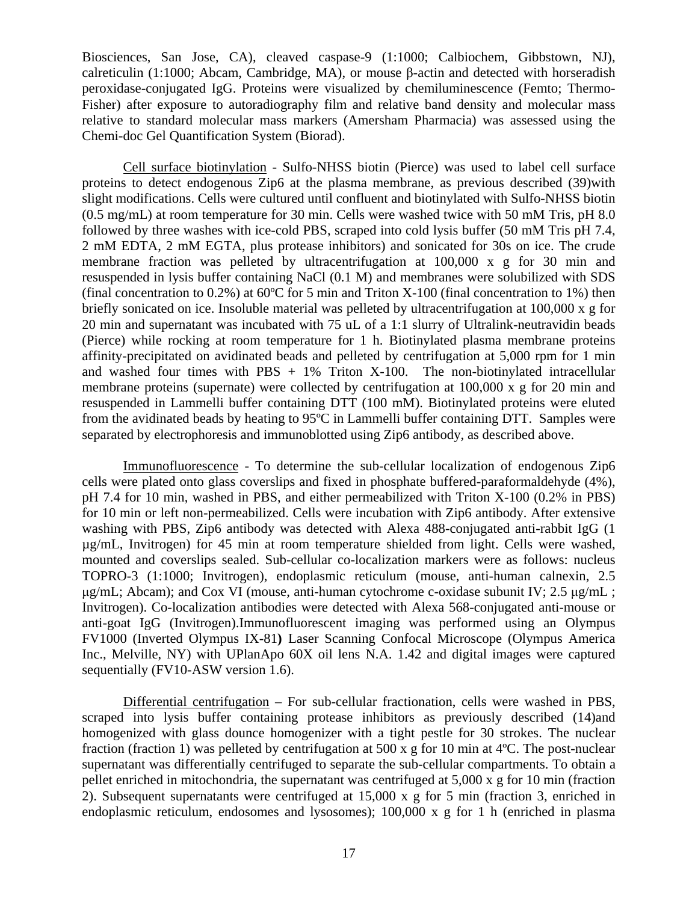Biosciences, San Jose, CA), cleaved caspase-9 (1:1000; Calbiochem, Gibbstown, NJ), calreticulin (1:1000; Abcam, Cambridge, MA), or mouse β-actin and detected with horseradish peroxidase-conjugated IgG. Proteins were visualized by chemiluminescence (Femto; Thermo-Fisher) after exposure to autoradiography film and relative band density and molecular mass relative to standard molecular mass markers (Amersham Pharmacia) was assessed using the Chemi-doc Gel Quantification System (Biorad).

Cell surface biotinylation - Sulfo-NHSS biotin (Pierce) was used to label cell surface proteins to detect endogenous Zip6 at the plasma membrane, as previous described (39)with slight modifications. Cells were cultured until confluent and biotinylated with Sulfo-NHSS biotin (0.5 mg/mL) at room temperature for 30 min. Cells were washed twice with 50 mM Tris, pH 8.0 followed by three washes with ice-cold PBS, scraped into cold lysis buffer (50 mM Tris pH 7.4, 2 mM EDTA, 2 mM EGTA, plus protease inhibitors) and sonicated for 30s on ice. The crude membrane fraction was pelleted by ultracentrifugation at 100,000 x g for 30 min and resuspended in lysis buffer containing NaCl (0.1 M) and membranes were solubilized with SDS (final concentration to  $0.2\%$ ) at  $60^{\circ}$ C for 5 min and Triton X-100 (final concentration to 1%) then briefly sonicated on ice. Insoluble material was pelleted by ultracentrifugation at 100,000 x g for 20 min and supernatant was incubated with 75 uL of a 1:1 slurry of Ultralink-neutravidin beads (Pierce) while rocking at room temperature for 1 h. Biotinylated plasma membrane proteins affinity-precipitated on avidinated beads and pelleted by centrifugation at 5,000 rpm for 1 min and washed four times with  $PBS + 1\%$  Triton X-100. The non-biotinylated intracellular membrane proteins (supernate) were collected by centrifugation at 100,000 x g for 20 min and resuspended in Lammelli buffer containing DTT (100 mM). Biotinylated proteins were eluted from the avidinated beads by heating to 95ºC in Lammelli buffer containing DTT. Samples were separated by electrophoresis and immunoblotted using Zip6 antibody, as described above.

Immunofluorescence - To determine the sub-cellular localization of endogenous Zip6 cells were plated onto glass coverslips and fixed in phosphate buffered-paraformaldehyde (4%), pH 7.4 for 10 min, washed in PBS, and either permeabilized with Triton X-100 (0.2% in PBS) for 10 min or left non-permeabilized. Cells were incubation with Zip6 antibody. After extensive washing with PBS, Zip6 antibody was detected with Alexa 488-conjugated anti-rabbit IgG (1 µg/mL, Invitrogen) for 45 min at room temperature shielded from light. Cells were washed, mounted and coverslips sealed. Sub-cellular co-localization markers were as follows: nucleus TOPRO-3 (1:1000; Invitrogen), endoplasmic reticulum (mouse, anti-human calnexin, 2.5 μg/mL; Abcam); and Cox VI (mouse, anti-human cytochrome c-oxidase subunit IV; 2.5 μg/mL ; Invitrogen). Co-localization antibodies were detected with Alexa 568-conjugated anti-mouse or anti-goat IgG (Invitrogen).Immunofluorescent imaging was performed using an Olympus FV1000 (Inverted Olympus IX-81**)** Laser Scanning Confocal Microscope (Olympus America Inc., Melville, NY) with UPlanApo 60X oil lens N.A. 1.42 and digital images were captured sequentially (FV10-ASW version 1.6).

Differential centrifugation *–* For sub-cellular fractionation, cells were washed in PBS, scraped into lysis buffer containing protease inhibitors as previously described (14)and homogenized with glass dounce homogenizer with a tight pestle for 30 strokes. The nuclear fraction (fraction 1) was pelleted by centrifugation at 500 x g for 10 min at 4ºC. The post-nuclear supernatant was differentially centrifuged to separate the sub-cellular compartments. To obtain a pellet enriched in mitochondria, the supernatant was centrifuged at 5,000 x g for 10 min (fraction 2). Subsequent supernatants were centrifuged at 15,000 x g for 5 min (fraction 3, enriched in endoplasmic reticulum, endosomes and lysosomes); 100,000 x g for 1 h (enriched in plasma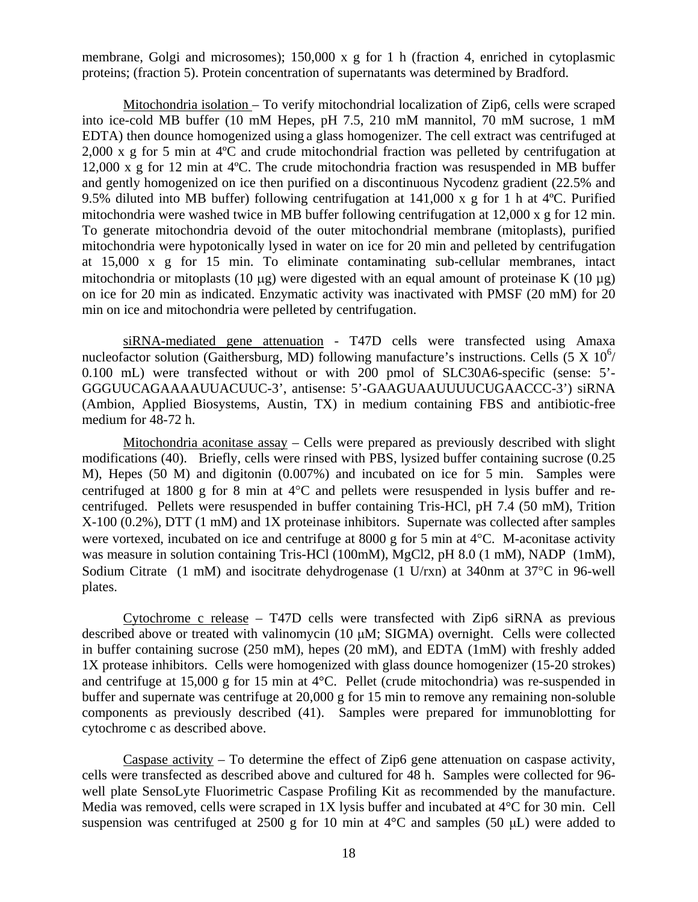membrane, Golgi and microsomes); 150,000 x g for 1 h (fraction 4, enriched in cytoplasmic proteins; (fraction 5). Protein concentration of supernatants was determined by Bradford.

Mitochondria isolation – To verify mitochondrial localization of Zip6, cells were scraped into ice-cold MB buffer (10 mM Hepes, pH 7.5, 210 mM mannitol, 70 mM sucrose, 1 mM EDTA) then dounce homogenized using a glass homogenizer. The cell extract was centrifuged at 2,000 x g for 5 min at 4ºC and crude mitochondrial fraction was pelleted by centrifugation at 12,000 x g for 12 min at 4ºC. The crude mitochondria fraction was resuspended in MB buffer and gently homogenized on ice then purified on a discontinuous Nycodenz gradient (22.5% and 9.5% diluted into MB buffer) following centrifugation at 141,000 x g for 1 h at 4ºC. Purified mitochondria were washed twice in MB buffer following centrifugation at 12,000 x g for 12 min. To generate mitochondria devoid of the outer mitochondrial membrane (mitoplasts), purified mitochondria were hypotonically lysed in water on ice for 20 min and pelleted by centrifugation at 15,000 x g for 15 min. To eliminate contaminating sub-cellular membranes, intact mitochondria or mitoplasts (10 μg) were digested with an equal amount of proteinase K (10 μg) on ice for 20 min as indicated. Enzymatic activity was inactivated with PMSF (20 mM) for 20 min on ice and mitochondria were pelleted by centrifugation.

siRNA-mediated gene attenuation - T47D cells were transfected using Amaxa nucleofactor solution (Gaithersburg, MD) following manufacture's instructions. Cells (5 X 10<sup>6</sup>/ 0.100 mL) were transfected without or with 200 pmol of SLC30A6-specific (sense: 5'- GGGUUCAGAAAAUUACUUC-3', antisense: 5'-GAAGUAAUUUUCUGAACCC-3') siRNA (Ambion, Applied Biosystems, Austin, TX) in medium containing FBS and antibiotic-free medium for 48-72 h.

Mitochondria aconitase assay – Cells were prepared as previously described with slight modifications (40). Briefly, cells were rinsed with PBS, lysized buffer containing sucrose (0.25 M), Hepes (50 M) and digitonin (0.007%) and incubated on ice for 5 min. Samples were centrifuged at 1800 g for 8 min at 4°C and pellets were resuspended in lysis buffer and recentrifuged. Pellets were resuspended in buffer containing Tris-HCl, pH 7.4 (50 mM), Trition X-100 (0.2%), DTT (1 mM) and 1X proteinase inhibitors. Supernate was collected after samples were vortexed, incubated on ice and centrifuge at 8000 g for 5 min at 4°C. M-aconitase activity was measure in solution containing Tris-HCl (100mM), MgCl2, pH 8.0 (1 mM), NADP (1mM), Sodium Citrate (1 mM) and isocitrate dehydrogenase (1 U/rxn) at 340nm at 37°C in 96-well plates.

Cytochrome c release – T47D cells were transfected with Zip6 siRNA as previous described above or treated with valinomycin (10 μM; SIGMA) overnight. Cells were collected in buffer containing sucrose (250 mM), hepes (20 mM), and EDTA (1mM) with freshly added 1X protease inhibitors. Cells were homogenized with glass dounce homogenizer (15-20 strokes) and centrifuge at 15,000 g for 15 min at 4°C. Pellet (crude mitochondria) was re-suspended in buffer and supernate was centrifuge at 20,000 g for 15 min to remove any remaining non-soluble components as previously described (41). Samples were prepared for immunoblotting for cytochrome c as described above.

Caspase activity – To determine the effect of Zip6 gene attenuation on caspase activity, cells were transfected as described above and cultured for 48 h. Samples were collected for 96 well plate SensoLyte Fluorimetric Caspase Profiling Kit as recommended by the manufacture. Media was removed, cells were scraped in 1X lysis buffer and incubated at 4°C for 30 min. Cell suspension was centrifuged at 2500 g for 10 min at  $4^{\circ}$ C and samples (50 µL) were added to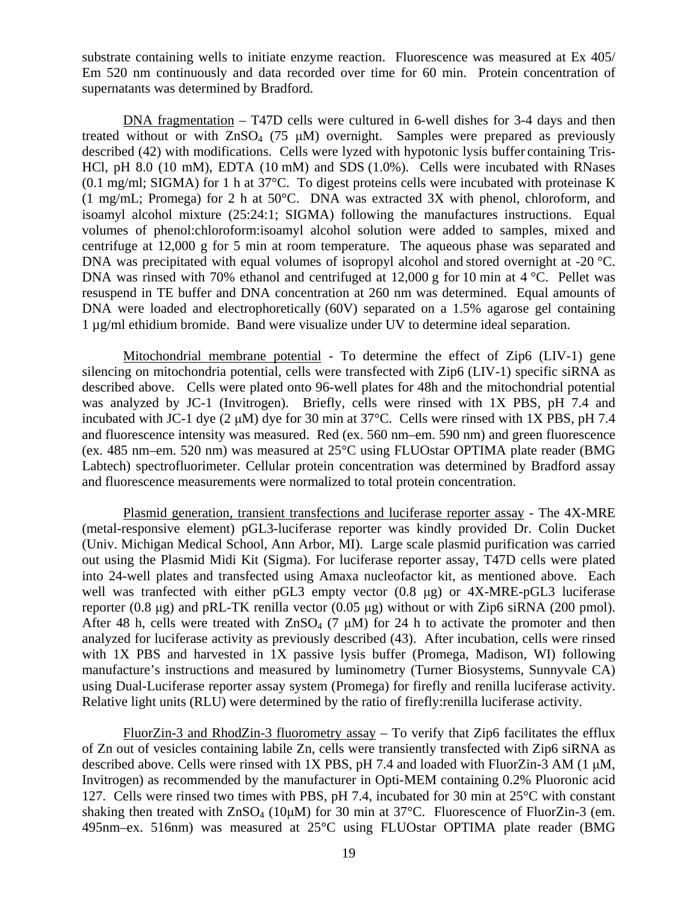substrate containing wells to initiate enzyme reaction. Fluorescence was measured at Ex 405/ Em 520 nm continuously and data recorded over time for 60 min. Protein concentration of supernatants was determined by Bradford.

DNA fragmentation – T47D cells were cultured in 6-well dishes for 3-4 days and then treated without or with  $ZnSO_4$  (75  $\mu$ M) overnight. Samples were prepared as previously described (42) with modifications. Cells were lyzed with hypotonic lysis buffer containing Tris-HCl, pH 8.0 (10 mM), EDTA (10 mM) and SDS (1.0%). Cells were incubated with RNases (0.1 mg/ml; SIGMA) for 1 h at 37°C. To digest proteins cells were incubated with proteinase K (1 mg/mL; Promega) for 2 h at 50°C. DNA was extracted 3X with phenol, chloroform, and isoamyl alcohol mixture (25:24:1; SIGMA) following the manufactures instructions. Equal volumes of phenol:chloroform:isoamyl alcohol solution were added to samples, mixed and centrifuge at 12,000 g for 5 min at room temperature. The aqueous phase was separated and DNA was precipitated with equal volumes of isopropyl alcohol and stored overnight at -20 °C. DNA was rinsed with 70% ethanol and centrifuged at 12,000 g for 10 min at 4 °C. Pellet was resuspend in TE buffer and DNA concentration at 260 nm was determined. Equal amounts of DNA were loaded and electrophoretically (60V) separated on a 1.5% agarose gel containing 1 µg/ml ethidium bromide. Band were visualize under UV to determine ideal separation.

Mitochondrial membrane potential - To determine the effect of Zip6 (LIV-1) gene silencing on mitochondria potential, cells were transfected with Zip6 (LIV-1) specific siRNA as described above. Cells were plated onto 96-well plates for 48h and the mitochondrial potential was analyzed by JC-1 (Invitrogen). Briefly, cells were rinsed with 1X PBS, pH 7.4 and incubated with JC-1 dye (2 μM) dye for 30 min at 37°C. Cells were rinsed with 1X PBS, pH 7.4 and fluorescence intensity was measured. Red (ex. 560 nm–em. 590 nm) and green fluorescence (ex. 485 nm–em. 520 nm) was measured at 25°C using FLUOstar OPTIMA plate reader (BMG Labtech) spectrofluorimeter. Cellular protein concentration was determined by Bradford assay and fluorescence measurements were normalized to total protein concentration.

Plasmid generation, transient transfections and luciferase reporter assay - The 4X-MRE (metal-responsive element) pGL3-luciferase reporter was kindly provided Dr. Colin Ducket (Univ. Michigan Medical School, Ann Arbor, MI). Large scale plasmid purification was carried out using the Plasmid Midi Kit (Sigma). For luciferase reporter assay, T47D cells were plated into 24-well plates and transfected using Amaxa nucleofactor kit, as mentioned above. Each well was tranfected with either pGL3 empty vector (0.8 μg) or 4X-MRE-pGL3 luciferase reporter (0.8 μg) and pRL-TK renilla vector (0.05 μg) without or with Zip6 siRNA (200 pmol). After 48 h, cells were treated with  $ZnSO_4$  (7  $\mu$ M) for 24 h to activate the promoter and then analyzed for luciferase activity as previously described (43). After incubation, cells were rinsed with 1X PBS and harvested in 1X passive lysis buffer (Promega, Madison, WI) following manufacture's instructions and measured by luminometry (Turner Biosystems, Sunnyvale CA) using Dual-Luciferase reporter assay system (Promega) for firefly and renilla luciferase activity. Relative light units (RLU) were determined by the ratio of firefly:renilla luciferase activity.

FluorZin-3 and RhodZin-3 fluorometry assay – To verify that Zip6 facilitates the efflux of Zn out of vesicles containing labile Zn, cells were transiently transfected with Zip6 siRNA as described above. Cells were rinsed with 1X PBS, pH 7.4 and loaded with FluorZin-3 AM (1 μM, Invitrogen) as recommended by the manufacturer in Opti-MEM containing 0.2% Pluoronic acid 127. Cells were rinsed two times with PBS, pH 7.4, incubated for 30 min at 25°C with constant shaking then treated with  $ZnSO_4$  (10 $\mu$ M) for 30 min at 37°C. Fluorescence of FluorZin-3 (em. 495nm–ex. 516nm) was measured at 25°C using FLUOstar OPTIMA plate reader (BMG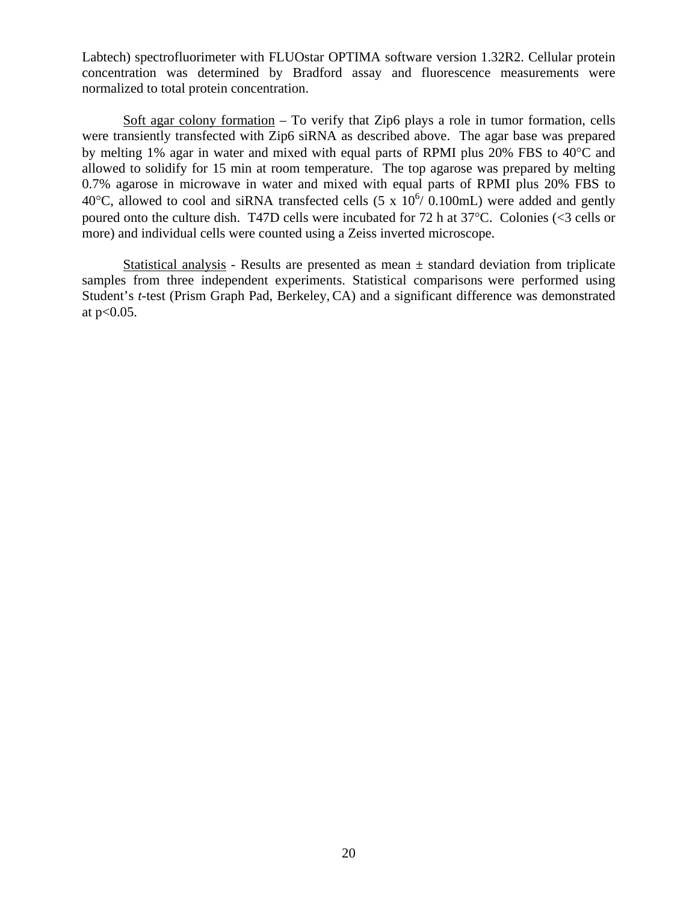Labtech) spectrofluorimeter with FLUOstar OPTIMA software version 1.32R2. Cellular protein concentration was determined by Bradford assay and fluorescence measurements were normalized to total protein concentration.

Soft agar colony formation – To verify that Zip6 plays a role in tumor formation, cells were transiently transfected with Zip6 siRNA as described above. The agar base was prepared by melting 1% agar in water and mixed with equal parts of RPMI plus 20% FBS to 40°C and allowed to solidify for 15 min at room temperature. The top agarose was prepared by melting 0.7% agarose in microwave in water and mixed with equal parts of RPMI plus 20% FBS to 40°C, allowed to cool and siRNA transfected cells  $(5 \times 10^6 / 0.100 \text{mL})$  were added and gently poured onto the culture dish. T47D cells were incubated for 72 h at 37°C. Colonies (<3 cells or more) and individual cells were counted using a Zeiss inverted microscope.

Statistical analysis - Results are presented as mean  $\pm$  standard deviation from triplicate samples from three independent experiments. Statistical comparisons were performed using Student's *t*-test (Prism Graph Pad, Berkeley, CA) and a significant difference was demonstrated at  $p<0.05$ .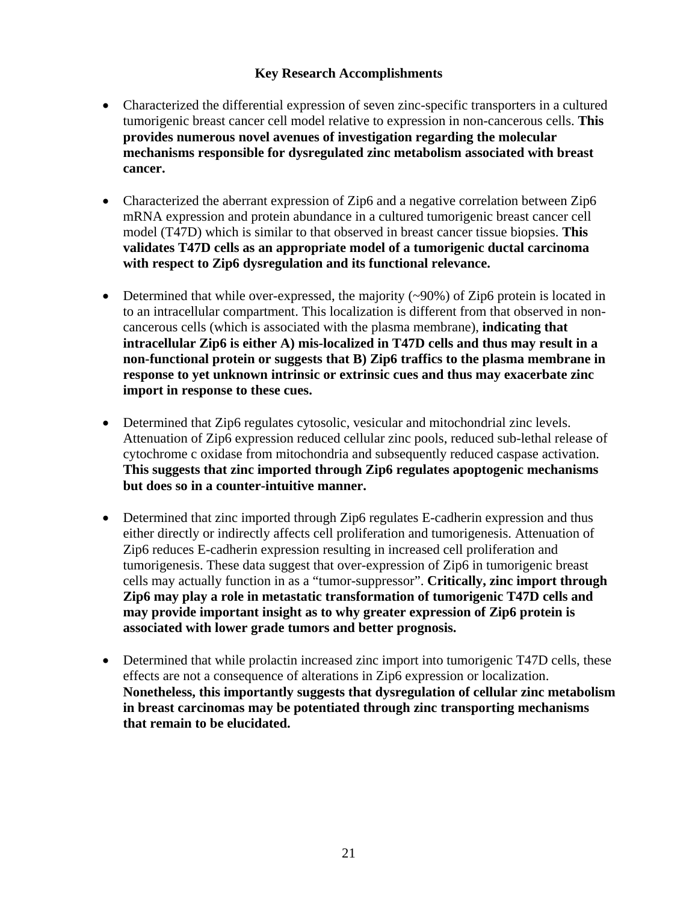# **Key Research Accomplishments**

- Characterized the differential expression of seven zinc-specific transporters in a cultured tumorigenic breast cancer cell model relative to expression in non-cancerous cells. **This provides numerous novel avenues of investigation regarding the molecular mechanisms responsible for dysregulated zinc metabolism associated with breast cancer.**
- Characterized the aberrant expression of Zip6 and a negative correlation between Zip6 mRNA expression and protein abundance in a cultured tumorigenic breast cancer cell model (T47D) which is similar to that observed in breast cancer tissue biopsies. **This validates T47D cells as an appropriate model of a tumorigenic ductal carcinoma with respect to Zip6 dysregulation and its functional relevance.**
- Determined that while over-expressed, the majority  $(\sim 90\%)$  of Zip6 protein is located in to an intracellular compartment. This localization is different from that observed in noncancerous cells (which is associated with the plasma membrane), **indicating that intracellular Zip6 is either A) mis-localized in T47D cells and thus may result in a non-functional protein or suggests that B) Zip6 traffics to the plasma membrane in response to yet unknown intrinsic or extrinsic cues and thus may exacerbate zinc import in response to these cues.**
- Determined that Zip6 regulates cytosolic, vesicular and mitochondrial zinc levels. Attenuation of Zip6 expression reduced cellular zinc pools, reduced sub-lethal release of cytochrome c oxidase from mitochondria and subsequently reduced caspase activation. **This suggests that zinc imported through Zip6 regulates apoptogenic mechanisms but does so in a counter-intuitive manner.**
- Determined that zinc imported through Zip6 regulates E-cadherin expression and thus either directly or indirectly affects cell proliferation and tumorigenesis. Attenuation of Zip6 reduces E-cadherin expression resulting in increased cell proliferation and tumorigenesis. These data suggest that over-expression of Zip6 in tumorigenic breast cells may actually function in as a "tumor-suppressor". **Critically, zinc import through Zip6 may play a role in metastatic transformation of tumorigenic T47D cells and may provide important insight as to why greater expression of Zip6 protein is associated with lower grade tumors and better prognosis.**
- Determined that while prolactin increased zinc import into tumorigenic T47D cells, these effects are not a consequence of alterations in Zip6 expression or localization. **Nonetheless, this importantly suggests that dysregulation of cellular zinc metabolism in breast carcinomas may be potentiated through zinc transporting mechanisms that remain to be elucidated.**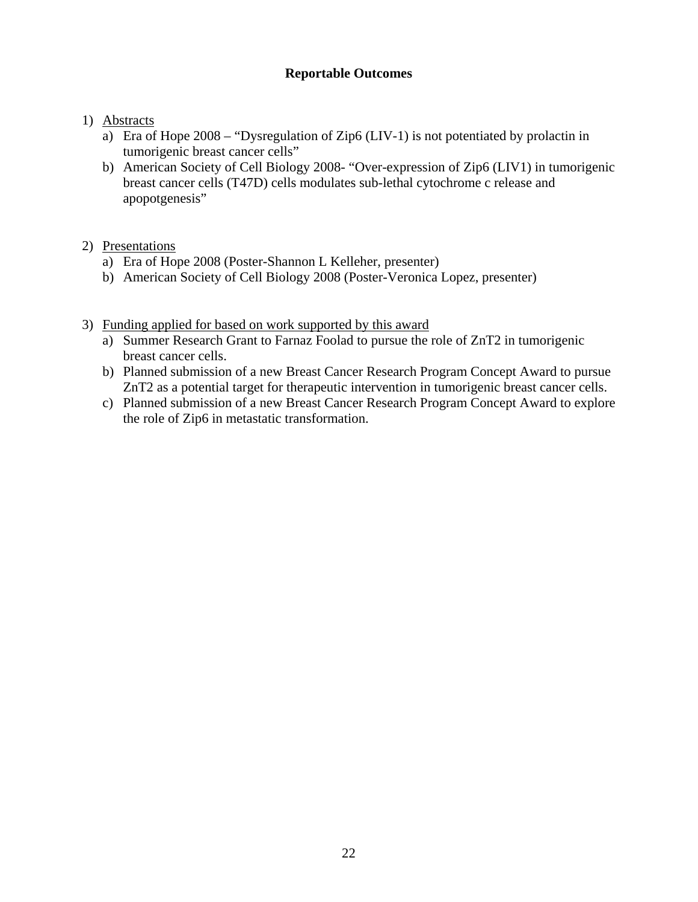# **Reportable Outcomes**

# 1) Abstracts

- a) Era of Hope 2008 "Dysregulation of Zip6 (LIV-1) is not potentiated by prolactin in tumorigenic breast cancer cells"
- b) American Society of Cell Biology 2008- "Over-expression of Zip6 (LIV1) in tumorigenic breast cancer cells (T47D) cells modulates sub-lethal cytochrome c release and apopotgenesis"

# 2) Presentations

- a) Era of Hope 2008 (Poster-Shannon L Kelleher, presenter)
- b) American Society of Cell Biology 2008 (Poster-Veronica Lopez, presenter)
- 3) Funding applied for based on work supported by this award
	- a) Summer Research Grant to Farnaz Foolad to pursue the role of ZnT2 in tumorigenic breast cancer cells.
	- b) Planned submission of a new Breast Cancer Research Program Concept Award to pursue ZnT2 as a potential target for therapeutic intervention in tumorigenic breast cancer cells.
	- c) Planned submission of a new Breast Cancer Research Program Concept Award to explore the role of Zip6 in metastatic transformation.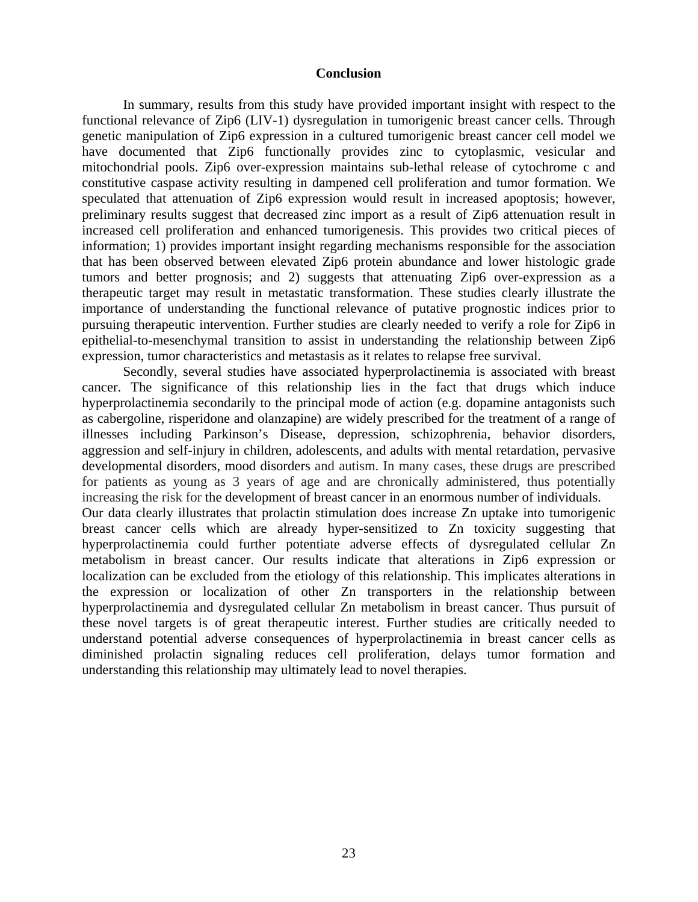#### **Conclusion**

In summary, results from this study have provided important insight with respect to the functional relevance of Zip6 (LIV-1) dysregulation in tumorigenic breast cancer cells. Through genetic manipulation of Zip6 expression in a cultured tumorigenic breast cancer cell model we have documented that Zip6 functionally provides zinc to cytoplasmic, vesicular and mitochondrial pools. Zip6 over-expression maintains sub-lethal release of cytochrome c and constitutive caspase activity resulting in dampened cell proliferation and tumor formation. We speculated that attenuation of Zip6 expression would result in increased apoptosis; however, preliminary results suggest that decreased zinc import as a result of Zip6 attenuation result in increased cell proliferation and enhanced tumorigenesis. This provides two critical pieces of information; 1) provides important insight regarding mechanisms responsible for the association that has been observed between elevated Zip6 protein abundance and lower histologic grade tumors and better prognosis; and 2) suggests that attenuating Zip6 over-expression as a therapeutic target may result in metastatic transformation. These studies clearly illustrate the importance of understanding the functional relevance of putative prognostic indices prior to pursuing therapeutic intervention. Further studies are clearly needed to verify a role for Zip6 in epithelial-to-mesenchymal transition to assist in understanding the relationship between Zip6 expression, tumor characteristics and metastasis as it relates to relapse free survival.

 Secondly, several studies have associated hyperprolactinemia is associated with breast cancer. The significance of this relationship lies in the fact that drugs which induce hyperprolactinemia secondarily to the principal mode of action (e.g. dopamine antagonists such as cabergoline, risperidone and olanzapine) are widely prescribed for the treatment of a range of illnesses including Parkinson's Disease, depression, schizophrenia, behavior disorders, aggression and self-injury in children, adolescents, and adults with mental retardation, pervasive developmental disorders, mood disorders and autism. In many cases, these drugs are prescribed for patients as young as 3 years of age and are chronically administered, thus potentially increasing the risk for the development of breast cancer in an enormous number of individuals.

Our data clearly illustrates that prolactin stimulation does increase Zn uptake into tumorigenic breast cancer cells which are already hyper-sensitized to Zn toxicity suggesting that hyperprolactinemia could further potentiate adverse effects of dysregulated cellular Zn metabolism in breast cancer. Our results indicate that alterations in Zip6 expression or localization can be excluded from the etiology of this relationship. This implicates alterations in the expression or localization of other Zn transporters in the relationship between hyperprolactinemia and dysregulated cellular Zn metabolism in breast cancer. Thus pursuit of these novel targets is of great therapeutic interest. Further studies are critically needed to understand potential adverse consequences of hyperprolactinemia in breast cancer cells as diminished prolactin signaling reduces cell proliferation, delays tumor formation and understanding this relationship may ultimately lead to novel therapies.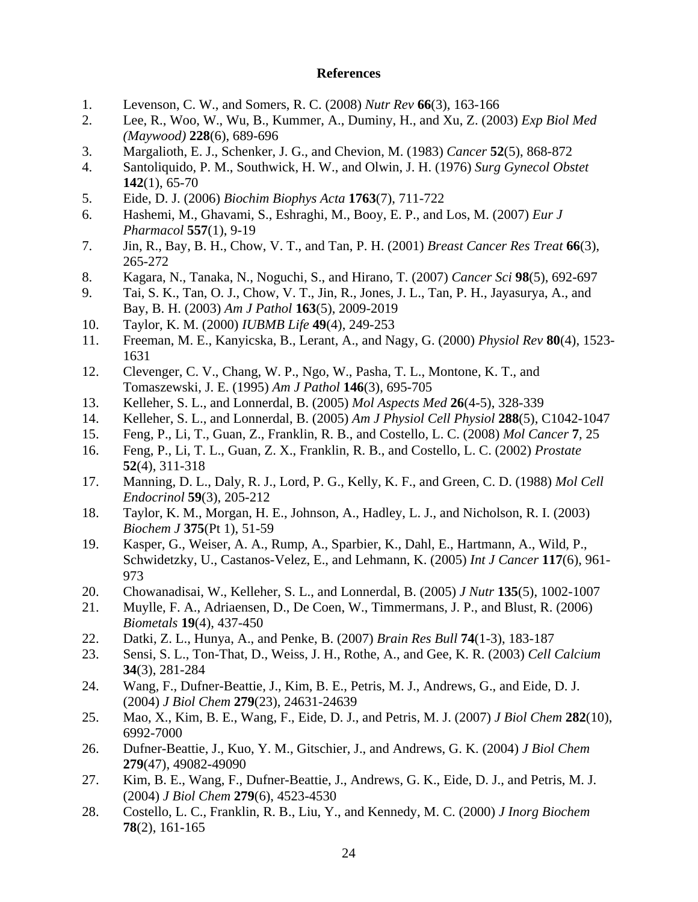#### **References**

- 1. Levenson, C. W., and Somers, R. C. (2008) *Nutr Rev* **66**(3), 163-166
- 2. Lee, R., Woo, W., Wu, B., Kummer, A., Duminy, H., and Xu, Z. (2003) *Exp Biol Med (Maywood)* **228**(6), 689-696
- 3. Margalioth, E. J., Schenker, J. G., and Chevion, M. (1983) *Cancer* **52**(5), 868-872
- 4. Santoliquido, P. M., Southwick, H. W., and Olwin, J. H. (1976) *Surg Gynecol Obstet* **142**(1), 65-70
- 5. Eide, D. J. (2006) *Biochim Biophys Acta* **1763**(7), 711-722
- 6. Hashemi, M., Ghavami, S., Eshraghi, M., Booy, E. P., and Los, M. (2007) *Eur J Pharmacol* **557**(1), 9-19
- 7. Jin, R., Bay, B. H., Chow, V. T., and Tan, P. H. (2001) *Breast Cancer Res Treat* **66**(3), 265-272
- 8. Kagara, N., Tanaka, N., Noguchi, S., and Hirano, T. (2007) *Cancer Sci* **98**(5), 692-697
- 9. Tai, S. K., Tan, O. J., Chow, V. T., Jin, R., Jones, J. L., Tan, P. H., Jayasurya, A., and Bay, B. H. (2003) *Am J Pathol* **163**(5), 2009-2019
- 10. Taylor, K. M. (2000) *IUBMB Life* **49**(4), 249-253
- 11. Freeman, M. E., Kanyicska, B., Lerant, A., and Nagy, G. (2000) *Physiol Rev* **80**(4), 1523- 1631
- 12. Clevenger, C. V., Chang, W. P., Ngo, W., Pasha, T. L., Montone, K. T., and Tomaszewski, J. E. (1995) *Am J Pathol* **146**(3), 695-705
- 13. Kelleher, S. L., and Lonnerdal, B. (2005) *Mol Aspects Med* **26**(4-5), 328-339
- 14. Kelleher, S. L., and Lonnerdal, B. (2005) *Am J Physiol Cell Physiol* **288**(5), C1042-1047
- 15. Feng, P., Li, T., Guan, Z., Franklin, R. B., and Costello, L. C. (2008) *Mol Cancer* **7**, 25
- 16. Feng, P., Li, T. L., Guan, Z. X., Franklin, R. B., and Costello, L. C. (2002) *Prostate* **52**(4), 311-318
- 17. Manning, D. L., Daly, R. J., Lord, P. G., Kelly, K. F., and Green, C. D. (1988) *Mol Cell Endocrinol* **59**(3), 205-212
- 18. Taylor, K. M., Morgan, H. E., Johnson, A., Hadley, L. J., and Nicholson, R. I. (2003) *Biochem J* **375**(Pt 1), 51-59
- 19. Kasper, G., Weiser, A. A., Rump, A., Sparbier, K., Dahl, E., Hartmann, A., Wild, P., Schwidetzky, U., Castanos-Velez, E., and Lehmann, K. (2005) *Int J Cancer* **117**(6), 961- 973
- 20. Chowanadisai, W., Kelleher, S. L., and Lonnerdal, B. (2005) *J Nutr* **135**(5), 1002-1007
- 21. Muylle, F. A., Adriaensen, D., De Coen, W., Timmermans, J. P., and Blust, R. (2006) *Biometals* **19**(4), 437-450
- 22. Datki, Z. L., Hunya, A., and Penke, B. (2007) *Brain Res Bull* **74**(1-3), 183-187
- 23. Sensi, S. L., Ton-That, D., Weiss, J. H., Rothe, A., and Gee, K. R. (2003) *Cell Calcium* **34**(3), 281-284
- 24. Wang, F., Dufner-Beattie, J., Kim, B. E., Petris, M. J., Andrews, G., and Eide, D. J. (2004) *J Biol Chem* **279**(23), 24631-24639
- 25. Mao, X., Kim, B. E., Wang, F., Eide, D. J., and Petris, M. J. (2007) *J Biol Chem* **282**(10), 6992-7000
- 26. Dufner-Beattie, J., Kuo, Y. M., Gitschier, J., and Andrews, G. K. (2004) *J Biol Chem* **279**(47), 49082-49090
- 27. Kim, B. E., Wang, F., Dufner-Beattie, J., Andrews, G. K., Eide, D. J., and Petris, M. J. (2004) *J Biol Chem* **279**(6), 4523-4530
- 28. Costello, L. C., Franklin, R. B., Liu, Y., and Kennedy, M. C. (2000) *J Inorg Biochem* **78**(2), 161-165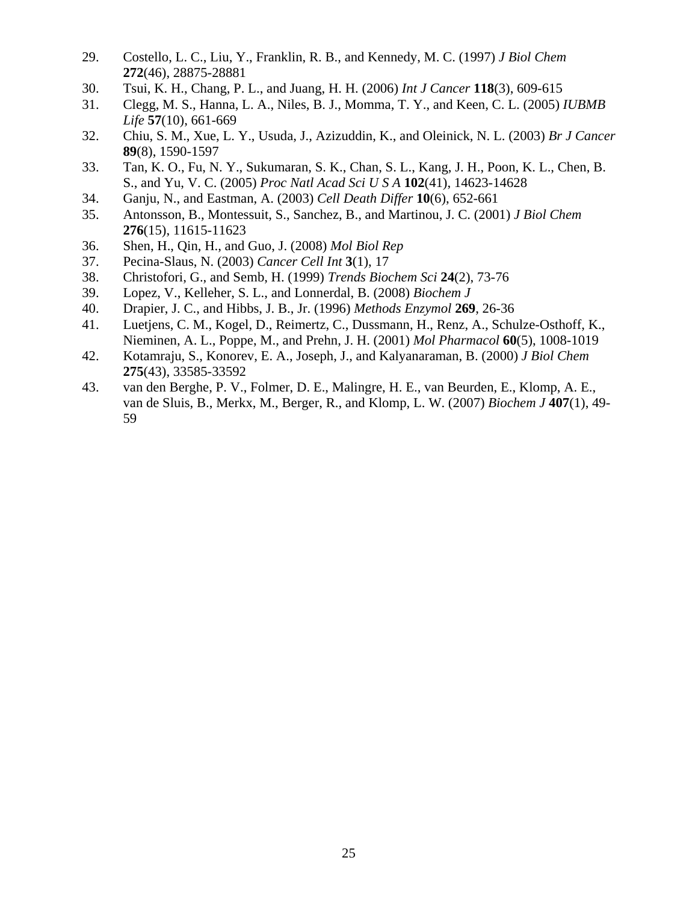- 29. Costello, L. C., Liu, Y., Franklin, R. B., and Kennedy, M. C. (1997) *J Biol Chem* **272**(46), 28875-28881
- 30. Tsui, K. H., Chang, P. L., and Juang, H. H. (2006) *Int J Cancer* **118**(3), 609-615
- 31. Clegg, M. S., Hanna, L. A., Niles, B. J., Momma, T. Y., and Keen, C. L. (2005) *IUBMB Life* **57**(10), 661-669
- 32. Chiu, S. M., Xue, L. Y., Usuda, J., Azizuddin, K., and Oleinick, N. L. (2003) *Br J Cancer* **89**(8), 1590-1597
- 33. Tan, K. O., Fu, N. Y., Sukumaran, S. K., Chan, S. L., Kang, J. H., Poon, K. L., Chen, B. S., and Yu, V. C. (2005) *Proc Natl Acad Sci U S A* **102**(41), 14623-14628
- 34. Ganju, N., and Eastman, A. (2003) *Cell Death Differ* **10**(6), 652-661
- 35. Antonsson, B., Montessuit, S., Sanchez, B., and Martinou, J. C. (2001) *J Biol Chem* **276**(15), 11615-11623
- 36. Shen, H., Qin, H., and Guo, J. (2008) *Mol Biol Rep*
- 37. Pecina-Slaus, N. (2003) *Cancer Cell Int* **3**(1), 17
- 38. Christofori, G., and Semb, H. (1999) *Trends Biochem Sci* **24**(2), 73-76
- 39. Lopez, V., Kelleher, S. L., and Lonnerdal, B. (2008) *Biochem J*
- 40. Drapier, J. C., and Hibbs, J. B., Jr. (1996) *Methods Enzymol* **269**, 26-36
- 41. Luetjens, C. M., Kogel, D., Reimertz, C., Dussmann, H., Renz, A., Schulze-Osthoff, K., Nieminen, A. L., Poppe, M., and Prehn, J. H. (2001) *Mol Pharmacol* **60**(5), 1008-1019
- 42. Kotamraju, S., Konorev, E. A., Joseph, J., and Kalyanaraman, B. (2000) *J Biol Chem* **275**(43), 33585-33592
- 43. van den Berghe, P. V., Folmer, D. E., Malingre, H. E., van Beurden, E., Klomp, A. E., van de Sluis, B., Merkx, M., Berger, R., and Klomp, L. W. (2007) *Biochem J* **407**(1), 49- 59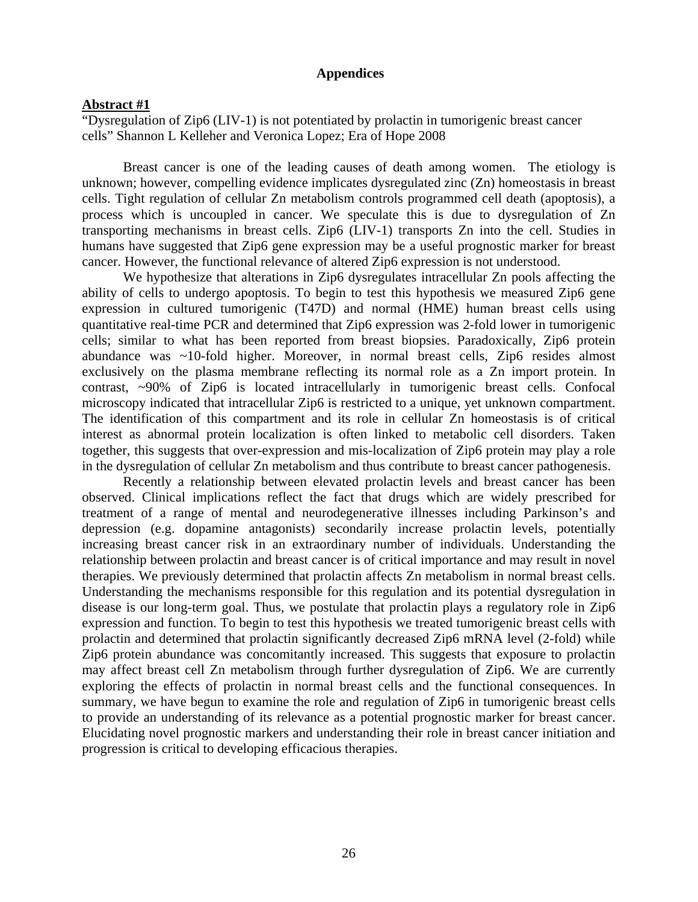#### **Appendices**

#### **Abstract #1**

"Dysregulation of Zip6 (LIV-1) is not potentiated by prolactin in tumorigenic breast cancer cells" Shannon L Kelleher and Veronica Lopez; Era of Hope 2008

Breast cancer is one of the leading causes of death among women. The etiology is unknown; however, compelling evidence implicates dysregulated zinc (Zn) homeostasis in breast cells. Tight regulation of cellular Zn metabolism controls programmed cell death (apoptosis), a process which is uncoupled in cancer. We speculate this is due to dysregulation of Zn transporting mechanisms in breast cells. Zip6 (LIV-1) transports Zn into the cell. Studies in humans have suggested that Zip6 gene expression may be a useful prognostic marker for breast cancer. However, the functional relevance of altered Zip6 expression is not understood.

We hypothesize that alterations in Zip6 dysregulates intracellular Zn pools affecting the ability of cells to undergo apoptosis. To begin to test this hypothesis we measured Zip6 gene expression in cultured tumorigenic (T47D) and normal (HME) human breast cells using quantitative real-time PCR and determined that Zip6 expression was 2-fold lower in tumorigenic cells; similar to what has been reported from breast biopsies. Paradoxically, Zip6 protein abundance was ~10-fold higher. Moreover, in normal breast cells, Zip6 resides almost exclusively on the plasma membrane reflecting its normal role as a Zn import protein. In contrast, ~90% of Zip6 is located intracellularly in tumorigenic breast cells. Confocal microscopy indicated that intracellular Zip6 is restricted to a unique, yet unknown compartment. The identification of this compartment and its role in cellular Zn homeostasis is of critical interest as abnormal protein localization is often linked to metabolic cell disorders. Taken together, this suggests that over-expression and mis-localization of Zip6 protein may play a role in the dysregulation of cellular Zn metabolism and thus contribute to breast cancer pathogenesis.

Recently a relationship between elevated prolactin levels and breast cancer has been observed. Clinical implications reflect the fact that drugs which are widely prescribed for treatment of a range of mental and neurodegenerative illnesses including Parkinson's and depression (e.g. dopamine antagonists) secondarily increase prolactin levels, potentially increasing breast cancer risk in an extraordinary number of individuals. Understanding the relationship between prolactin and breast cancer is of critical importance and may result in novel therapies. We previously determined that prolactin affects Zn metabolism in normal breast cells. Understanding the mechanisms responsible for this regulation and its potential dysregulation in disease is our long-term goal. Thus, we postulate that prolactin plays a regulatory role in Zip6 expression and function. To begin to test this hypothesis we treated tumorigenic breast cells with prolactin and determined that prolactin significantly decreased Zip6 mRNA level (2-fold) while Zip6 protein abundance was concomitantly increased. This suggests that exposure to prolactin may affect breast cell Zn metabolism through further dysregulation of Zip6. We are currently exploring the effects of prolactin in normal breast cells and the functional consequences. In summary, we have begun to examine the role and regulation of Zip6 in tumorigenic breast cells to provide an understanding of its relevance as a potential prognostic marker for breast cancer. Elucidating novel prognostic markers and understanding their role in breast cancer initiation and progression is critical to developing efficacious therapies.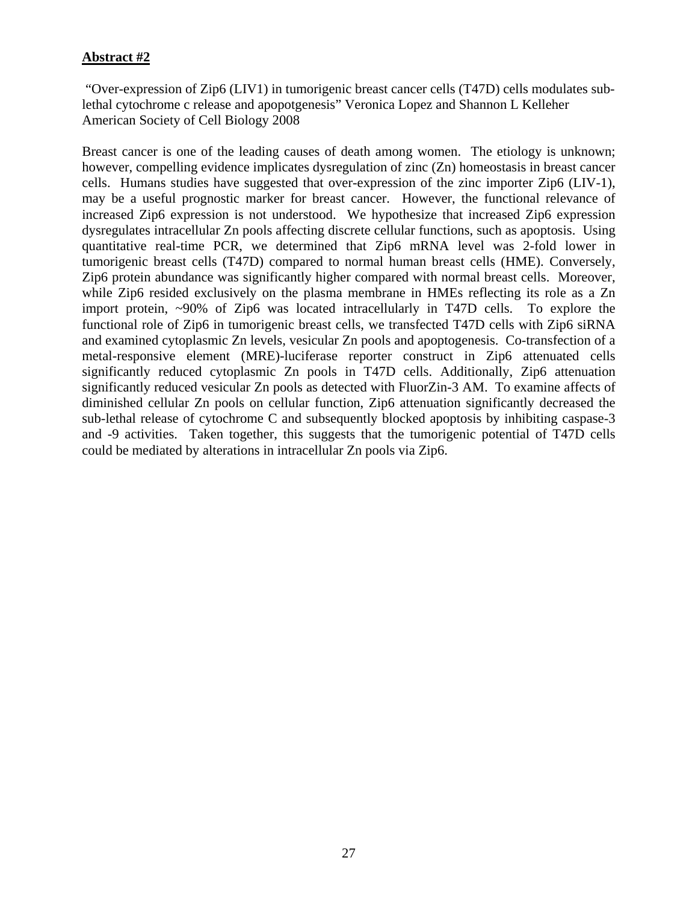# **Abstract #2**

 "Over-expression of Zip6 (LIV1) in tumorigenic breast cancer cells (T47D) cells modulates sublethal cytochrome c release and apopotgenesis" Veronica Lopez and Shannon L Kelleher American Society of Cell Biology 2008

Breast cancer is one of the leading causes of death among women. The etiology is unknown; however, compelling evidence implicates dysregulation of zinc (Zn) homeostasis in breast cancer cells. Humans studies have suggested that over-expression of the zinc importer Zip6 (LIV-1), may be a useful prognostic marker for breast cancer. However, the functional relevance of increased Zip6 expression is not understood. We hypothesize that increased Zip6 expression dysregulates intracellular Zn pools affecting discrete cellular functions, such as apoptosis. Using quantitative real-time PCR, we determined that Zip6 mRNA level was 2-fold lower in tumorigenic breast cells (T47D) compared to normal human breast cells (HME). Conversely, Zip6 protein abundance was significantly higher compared with normal breast cells. Moreover, while Zip6 resided exclusively on the plasma membrane in HMEs reflecting its role as a Zn import protein, ~90% of Zip6 was located intracellularly in T47D cells. To explore the functional role of Zip6 in tumorigenic breast cells, we transfected T47D cells with Zip6 siRNA and examined cytoplasmic Zn levels, vesicular Zn pools and apoptogenesis. Co-transfection of a metal-responsive element (MRE)-luciferase reporter construct in Zip6 attenuated cells significantly reduced cytoplasmic Zn pools in T47D cells. Additionally, Zip6 attenuation significantly reduced vesicular Zn pools as detected with FluorZin-3 AM. To examine affects of diminished cellular Zn pools on cellular function, Zip6 attenuation significantly decreased the sub-lethal release of cytochrome C and subsequently blocked apoptosis by inhibiting caspase-3 and -9 activities. Taken together, this suggests that the tumorigenic potential of T47D cells could be mediated by alterations in intracellular Zn pools via Zip6.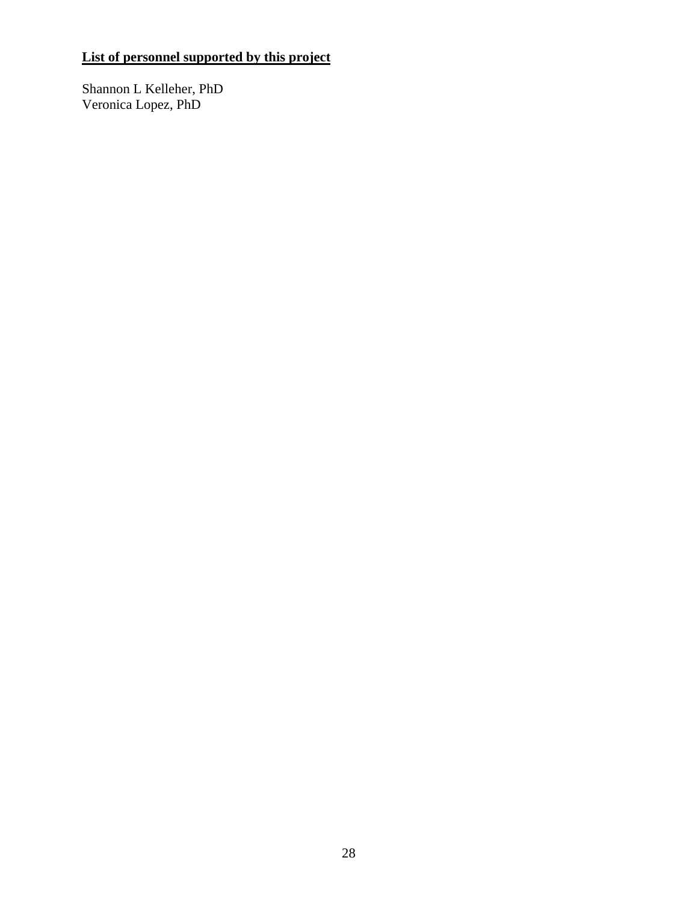# **List of personnel supported by this project**

Shannon L Kelleher, PhD Veronica Lopez, PhD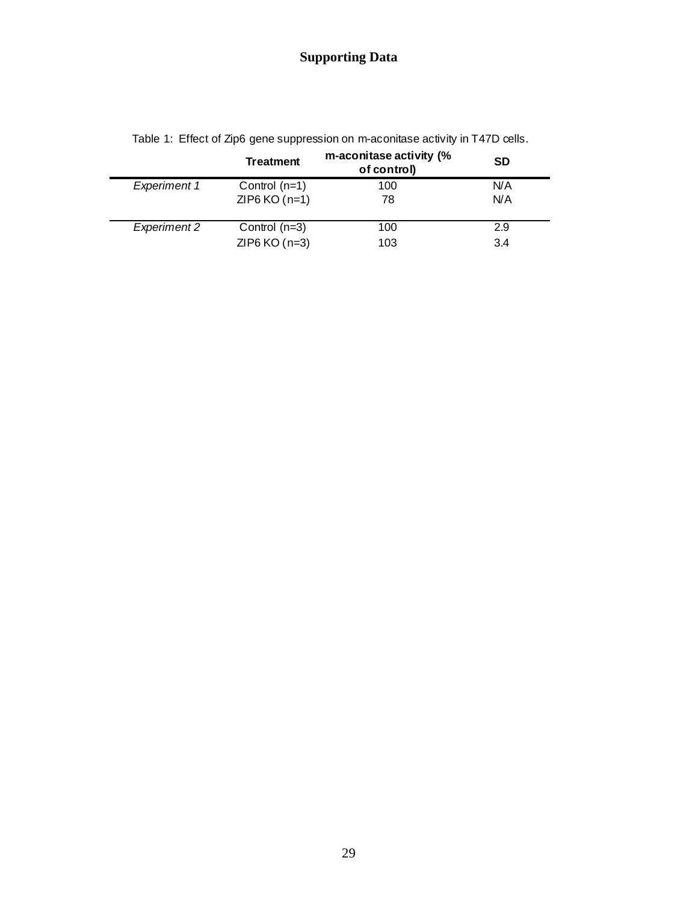# **Supporting Data**

|                     | <b>Treatment</b> | m-aconitase activity (%<br>of control) | SD  |  |
|---------------------|------------------|----------------------------------------|-----|--|
| <b>Experiment 1</b> | Control $(n=1)$  | 100                                    | N/A |  |
|                     | $ZIP6 KO(n=1)$   | 78                                     | N/A |  |
| <b>Experiment 2</b> | Control $(n=3)$  | 100                                    | 2.9 |  |
|                     | ZIP6 $KO(n=3)$   | 103                                    | 3.4 |  |

Table 1: Effect of Zip6 gene suppression on m-aconitase activity in T47D cells.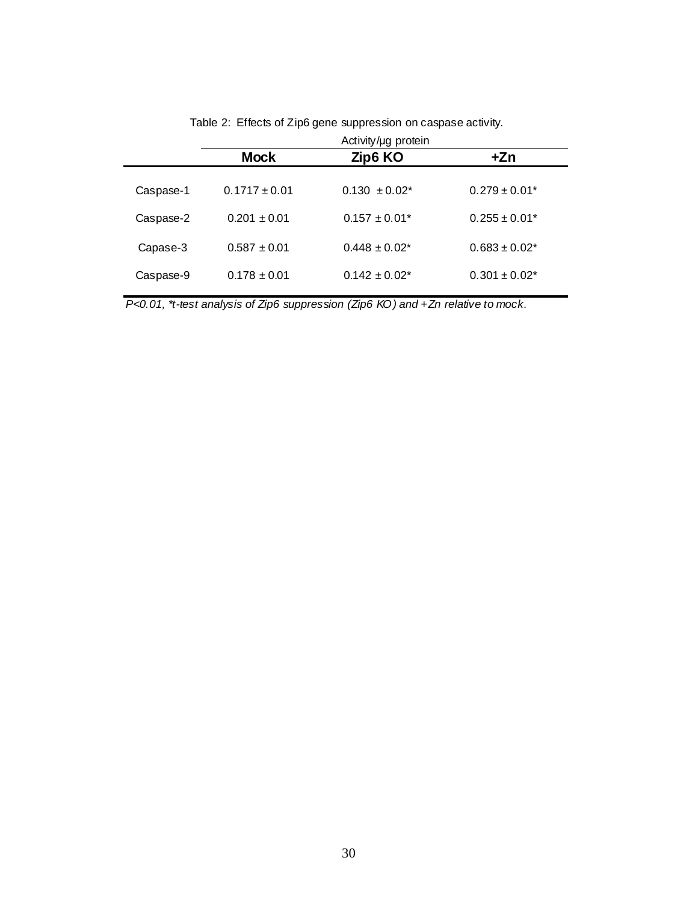| Activity/ug protein |                    |                    |
|---------------------|--------------------|--------------------|
| <b>Mock</b>         | Zip6 KO            | +Zn                |
| $0.1717 \pm 0.01$   | $0.130 \pm 0.02^*$ | $0.279 \pm 0.01*$  |
| $0.201 \pm 0.01$    | $0.157 \pm 0.01^*$ | $0.255 \pm 0.01^*$ |
| $0.587 \pm 0.01$    | $0.448 \pm 0.02^*$ | $0.683 \pm 0.02^*$ |
| $0.178 \pm 0.01$    | $0.142 \pm 0.02^*$ | $0.301 \pm 0.02^*$ |
|                     |                    |                    |

Table 2: Effects of Zip6 gene suppression on caspase activity.

*P<0.01, \*t-test analysis of Zip6 suppression (Zip6 KO) and +Zn relative to mock.*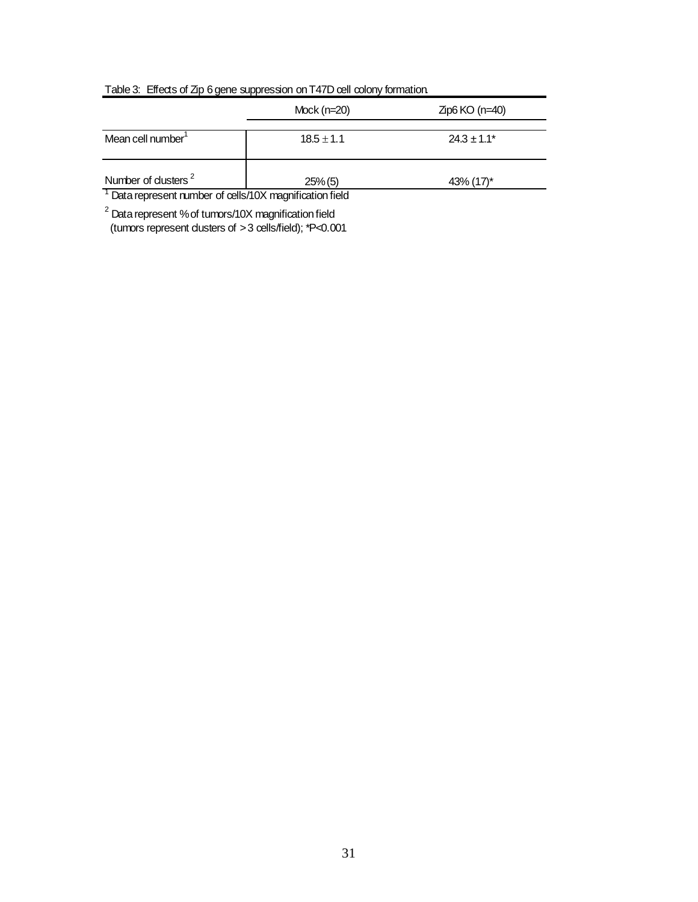|                                                                     | Mock $(n=20)$  | $Zp6 KO(n=40)$           |
|---------------------------------------------------------------------|----------------|--------------------------|
| Mean cell number                                                    | $18.5 \pm 1.1$ | $24.3 + 1.1*$            |
| Number of dusters <sup>2</sup>                                      | $25\%$ (5)     | $43\%$ (17) <sup>*</sup> |
| <sup>1</sup> Data represent number of cells/10X magnification field |                |                          |

# Table 3: Effects of Zip 6 gene suppression on T47D cell colony formation.

<sup>1</sup> Data represent number of cells/10X magnification field

 $2$  Data represent % of tumors/10X magnification field (tumors represent clusters of > 3 cells/field); \*P<0.001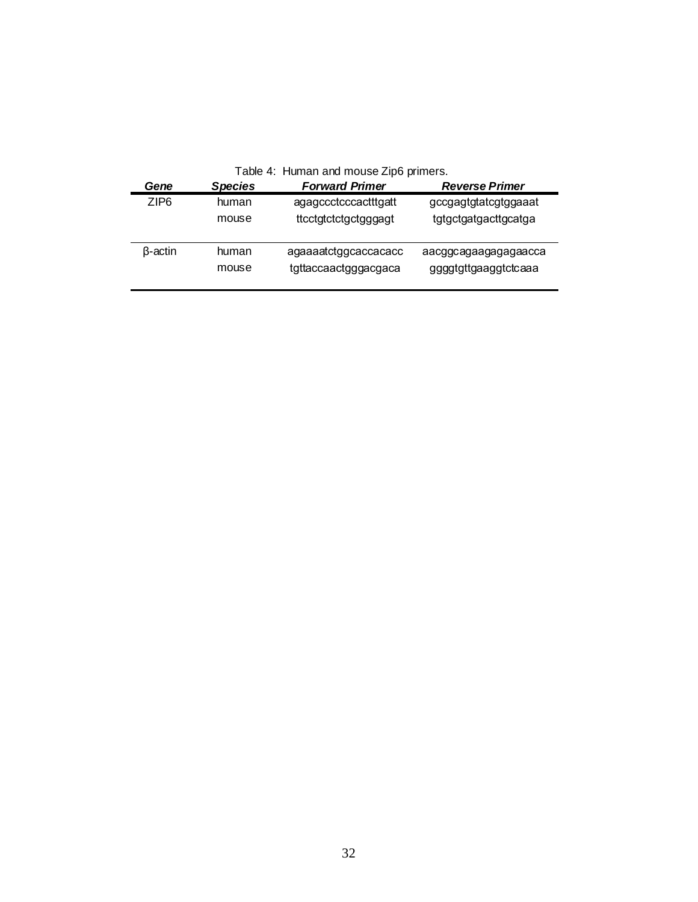|  |  | Table 4: Human and mouse Zip6 primers. |  |
|--|--|----------------------------------------|--|
|--|--|----------------------------------------|--|

| Gene             | <b>Species</b> | <b>Forward Primer</b> | <b>Reverse Primer</b> |
|------------------|----------------|-----------------------|-----------------------|
| ZIP <sub>6</sub> | human          | agagccctcccactttgatt  | gccgagtgtatcgtggaaat  |
|                  | mouse          | ttcctgtctctgctgggagt  | tgtgctgatgacttgcatga  |
| <b>B-actin</b>   | human          | agaaaatctggcaccacacc  | aacggcagaagagagaacca  |
|                  | mouse          | tgttaccaactgggacgaca  | ggggtgttgaaggtctcaaa  |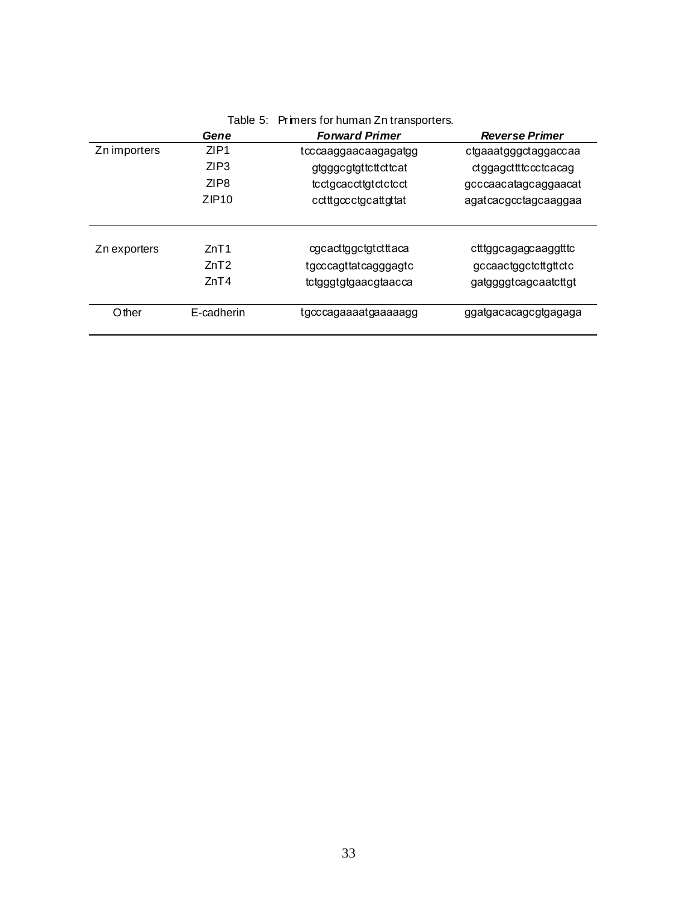|              |                  | Table J. I Finers for Human Zirtiansporters. |                       |
|--------------|------------------|----------------------------------------------|-----------------------|
|              | Gene             | <b>Forward Primer</b>                        | <b>Reverse Primer</b> |
| Zn importers | ZIP1             | tcccaaggaacaagagatgg                         | ctgaaatgggctaggaccaa  |
|              | ZIP3             | gtgggcgtgttcttcttcat                         | ctggagctttccctcacag   |
|              | ZIP <sub>8</sub> | tcctgcaccttgtctctcct                         | gcccaacatagcaggaacat  |
|              | ZIP10            | cctttgccctgcattgttat                         | agatcacgcctagcaaggaa  |
| Zn exporters | ZnT1             | cgcacttggctgtctttaca                         | ctttggcagagcaaggtttc  |
|              | ZnT2             | tgcccagttatcagggagtc                         | gccaactggctcttgttctc  |
|              | ZnT4             | tctgggtgtgaacgtaacca                         | gatggggtcagcaatcttgt  |
| Other        | E-cadherin       | tgcccagaaaatgaaaaagg                         | ggatgacacagcgtgagaga  |

# Table 5: Primers for human Zn transporters.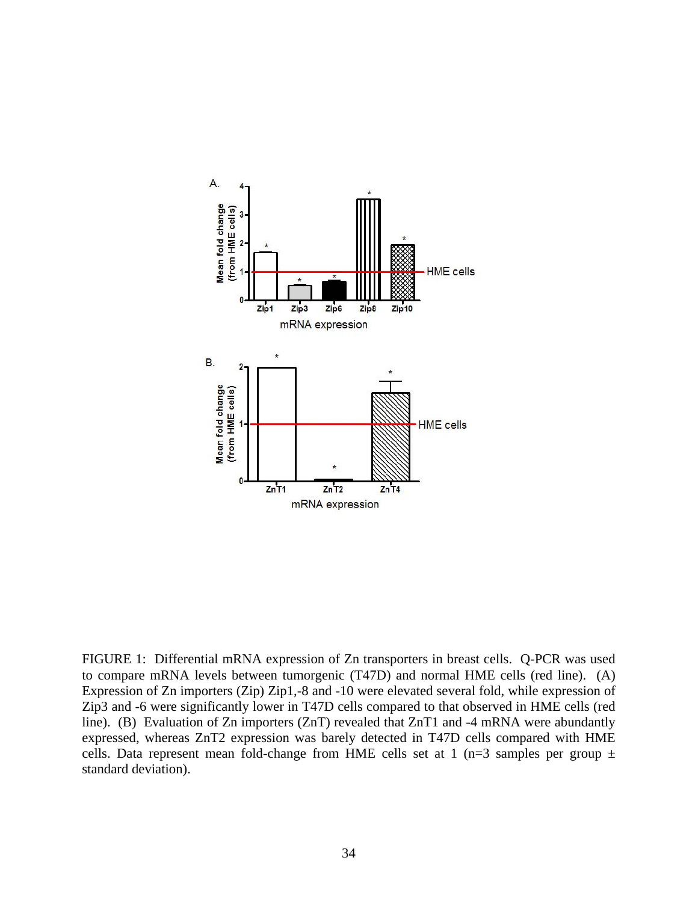

FIGURE 1: Differential mRNA expression of Zn transporters in breast cells. Q-PCR was used to compare mRNA levels between tumorgenic (T47D) and normal HME cells (red line). (A) Expression of Zn importers (Zip) Zip1,-8 and -10 were elevated several fold, while expression of Zip3 and -6 were significantly lower in T47D cells compared to that observed in HME cells (red line). (B) Evaluation of Zn importers (ZnT) revealed that ZnT1 and -4 mRNA were abundantly expressed, whereas ZnT2 expression was barely detected in T47D cells compared with HME cells. Data represent mean fold-change from HME cells set at 1 (n=3 samples per group  $\pm$ standard deviation).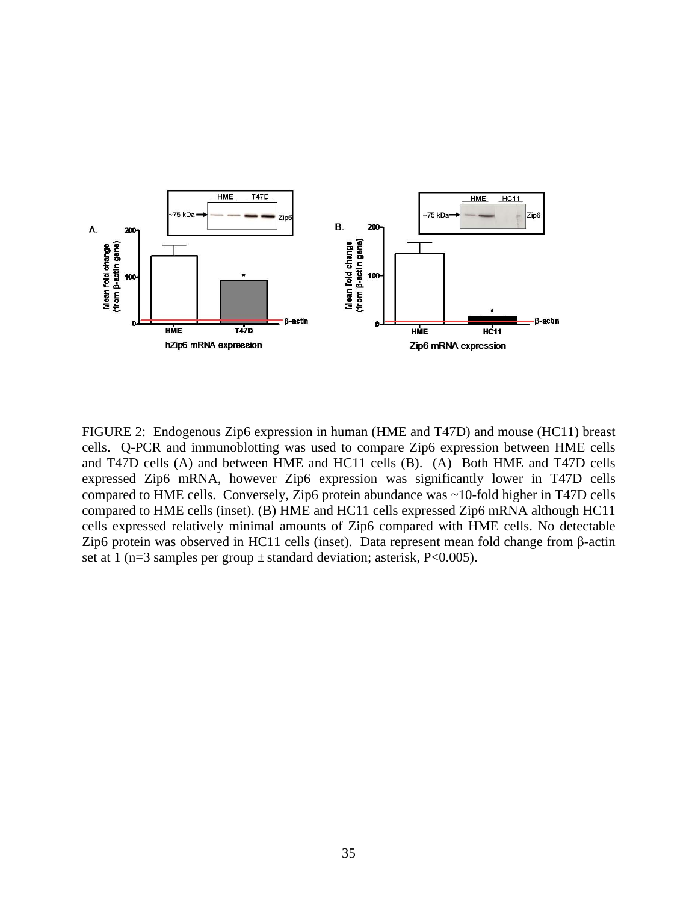

FIGURE 2: Endogenous Zip6 expression in human (HME and T47D) and mouse (HC11) breast cells. Q-PCR and immunoblotting was used to compare Zip6 expression between HME cells and T47D cells (A) and between HME and HC11 cells (B). (A) Both HME and T47D cells expressed Zip6 mRNA, however Zip6 expression was significantly lower in T47D cells compared to HME cells. Conversely, Zip6 protein abundance was ~10-fold higher in T47D cells compared to HME cells (inset). (B) HME and HC11 cells expressed Zip6 mRNA although HC11 cells expressed relatively minimal amounts of Zip6 compared with HME cells. No detectable Zip6 protein was observed in HC11 cells (inset). Data represent mean fold change from β-actin set at 1 (n=3 samples per group  $\pm$  standard deviation; asterisk, P<0.005).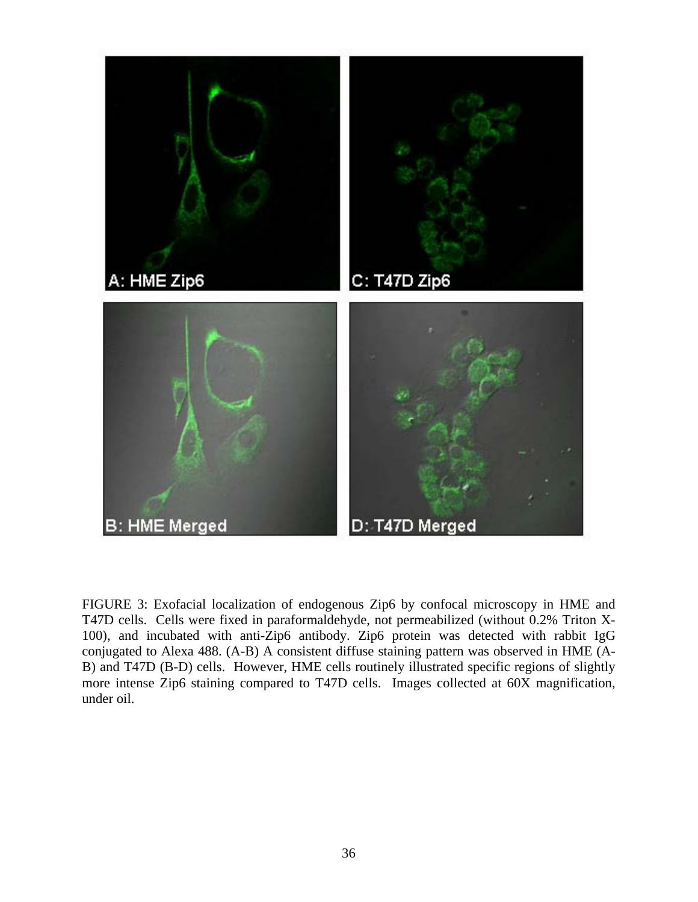

FIGURE 3: Exofacial localization of endogenous Zip6 by confocal microscopy in HME and T47D cells. Cells were fixed in paraformaldehyde, not permeabilized (without 0.2% Triton X-100), and incubated with anti-Zip6 antibody. Zip6 protein was detected with rabbit IgG conjugated to Alexa 488. (A-B) A consistent diffuse staining pattern was observed in HME (A-B) and T47D (B-D) cells. However, HME cells routinely illustrated specific regions of slightly more intense Zip6 staining compared to T47D cells. Images collected at 60X magnification, under oil.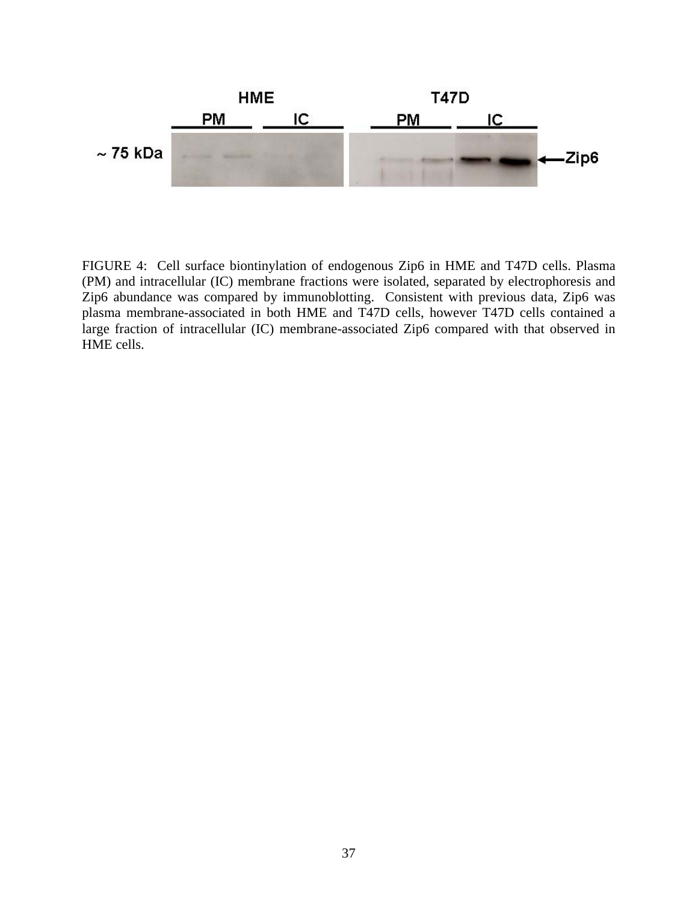

FIGURE 4: Cell surface biontinylation of endogenous Zip6 in HME and T47D cells. Plasma (PM) and intracellular (IC) membrane fractions were isolated, separated by electrophoresis and Zip6 abundance was compared by immunoblotting. Consistent with previous data, Zip6 was plasma membrane-associated in both HME and T47D cells, however T47D cells contained a large fraction of intracellular (IC) membrane-associated Zip6 compared with that observed in HME cells.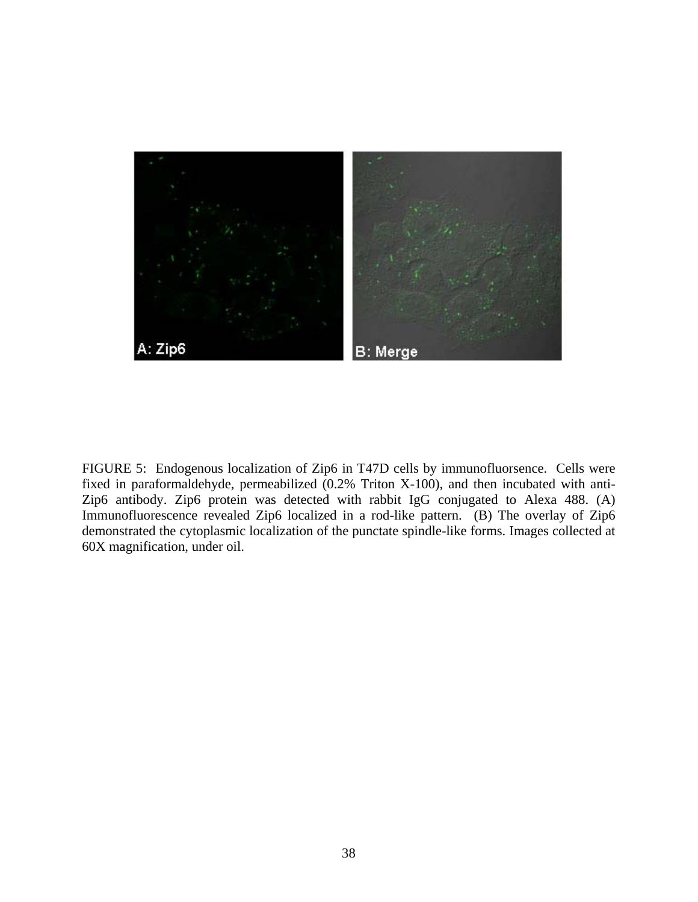

FIGURE 5: Endogenous localization of Zip6 in T47D cells by immunofluorsence. Cells were fixed in paraformaldehyde, permeabilized (0.2% Triton X-100), and then incubated with anti-Zip6 antibody. Zip6 protein was detected with rabbit IgG conjugated to Alexa 488. (A) Immunofluorescence revealed Zip6 localized in a rod-like pattern. (B) The overlay of Zip6 demonstrated the cytoplasmic localization of the punctate spindle-like forms. Images collected at 60X magnification, under oil.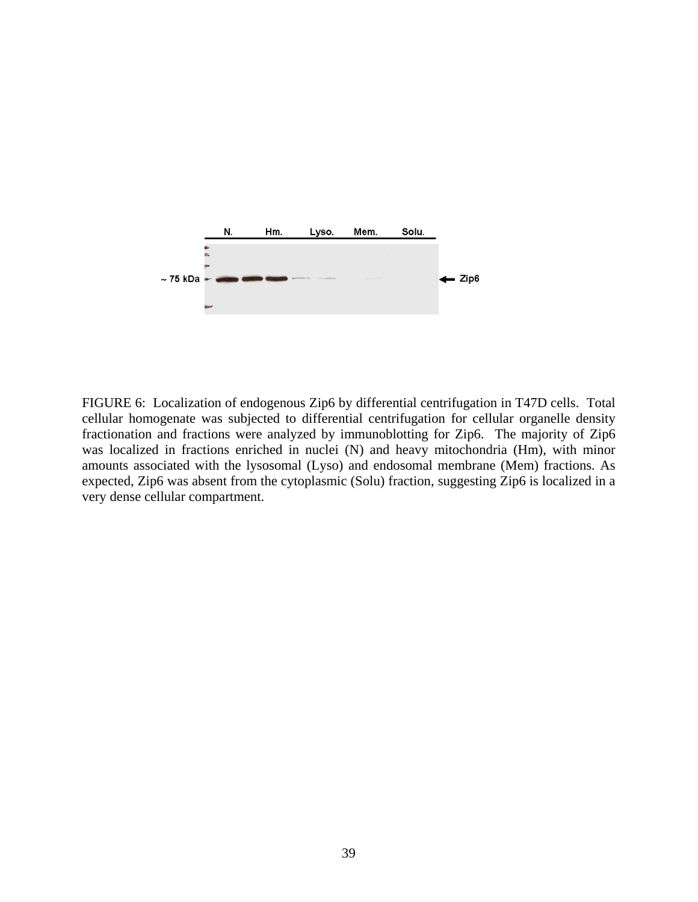

FIGURE 6: Localization of endogenous Zip6 by differential centrifugation in T47D cells. Total cellular homogenate was subjected to differential centrifugation for cellular organelle density fractionation and fractions were analyzed by immunoblotting for Zip6. The majority of Zip6 was localized in fractions enriched in nuclei (N) and heavy mitochondria (Hm), with minor amounts associated with the lysosomal (Lyso) and endosomal membrane (Mem) fractions. As expected, Zip6 was absent from the cytoplasmic (Solu) fraction, suggesting Zip6 is localized in a very dense cellular compartment.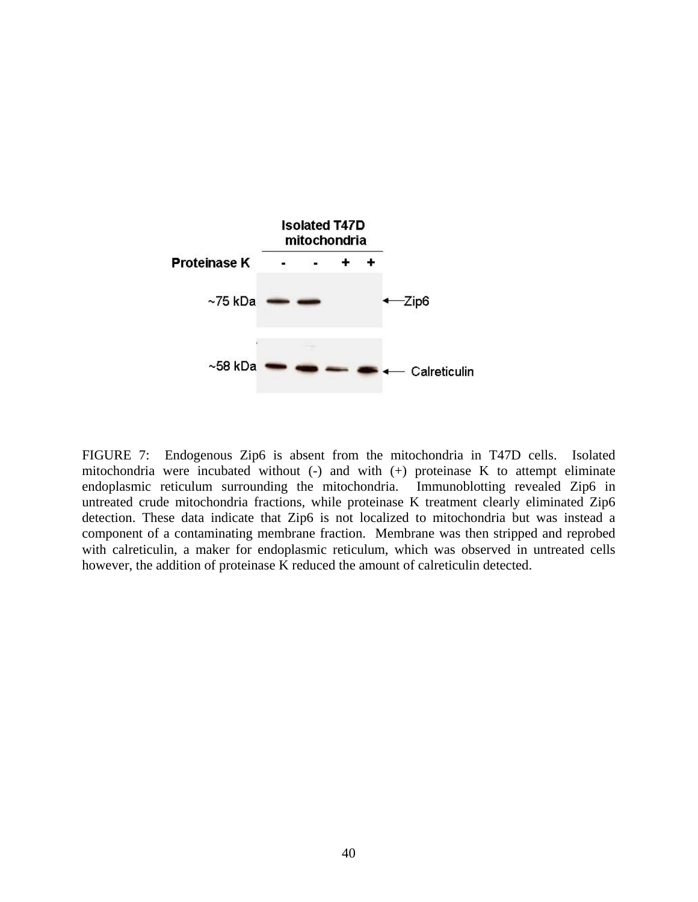

FIGURE 7: Endogenous Zip6 is absent from the mitochondria in T47D cells. Isolated mitochondria were incubated without  $(-)$  and with  $(+)$  proteinase K to attempt eliminate endoplasmic reticulum surrounding the mitochondria. Immunoblotting revealed Zip6 in untreated crude mitochondria fractions, while proteinase K treatment clearly eliminated Zip6 detection. These data indicate that Zip6 is not localized to mitochondria but was instead a component of a contaminating membrane fraction. Membrane was then stripped and reprobed with calreticulin, a maker for endoplasmic reticulum, which was observed in untreated cells however, the addition of proteinase K reduced the amount of calreticulin detected.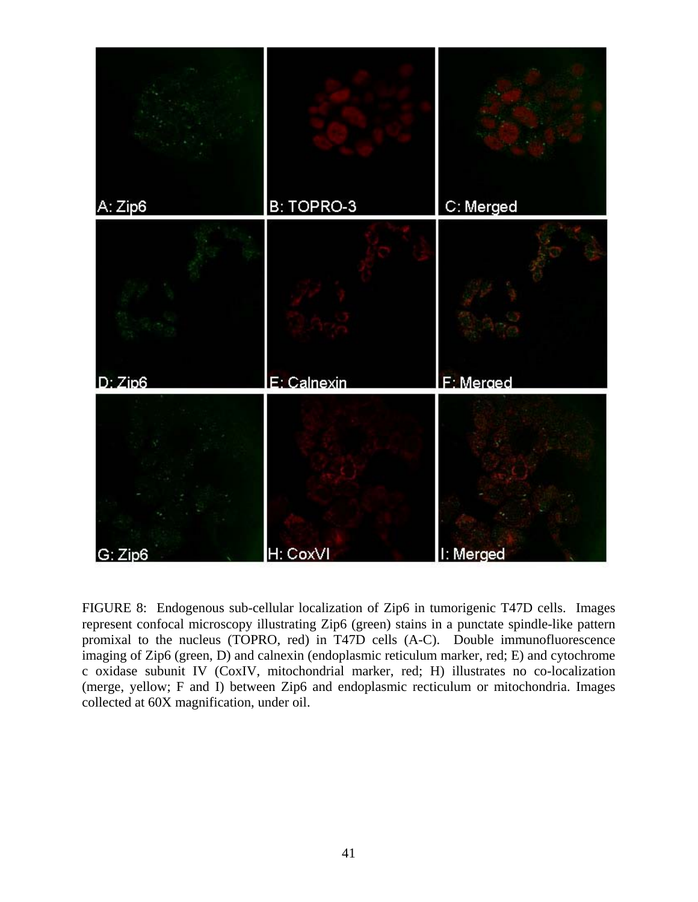

FIGURE 8: Endogenous sub-cellular localization of Zip6 in tumorigenic T47D cells. Images represent confocal microscopy illustrating Zip6 (green) stains in a punctate spindle-like pattern promixal to the nucleus (TOPRO, red) in T47D cells (A-C). Double immunofluorescence imaging of Zip6 (green, D) and calnexin (endoplasmic reticulum marker, red; E) and cytochrome c oxidase subunit IV (CoxIV, mitochondrial marker, red; H) illustrates no co-localization (merge, yellow; F and I) between Zip6 and endoplasmic recticulum or mitochondria. Images collected at 60X magnification, under oil.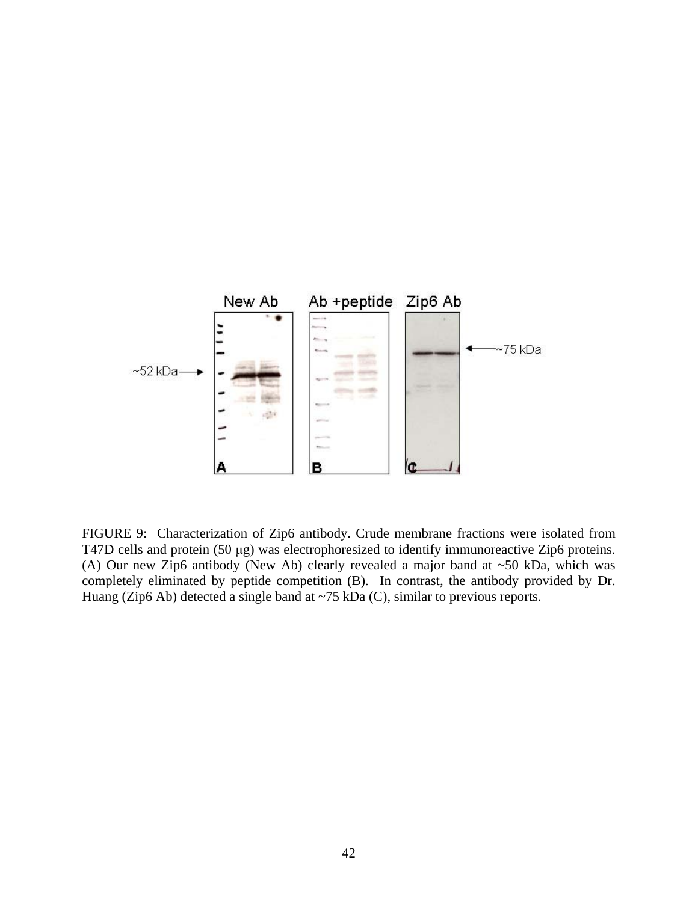

FIGURE 9: Characterization of Zip6 antibody. Crude membrane fractions were isolated from T47D cells and protein (50 μg) was electrophoresized to identify immunoreactive Zip6 proteins. (A) Our new Zip6 antibody (New Ab) clearly revealed a major band at ~50 kDa, which was completely eliminated by peptide competition (B). In contrast, the antibody provided by Dr. Huang (Zip6 Ab) detected a single band at  $\sim$  75 kDa (C), similar to previous reports.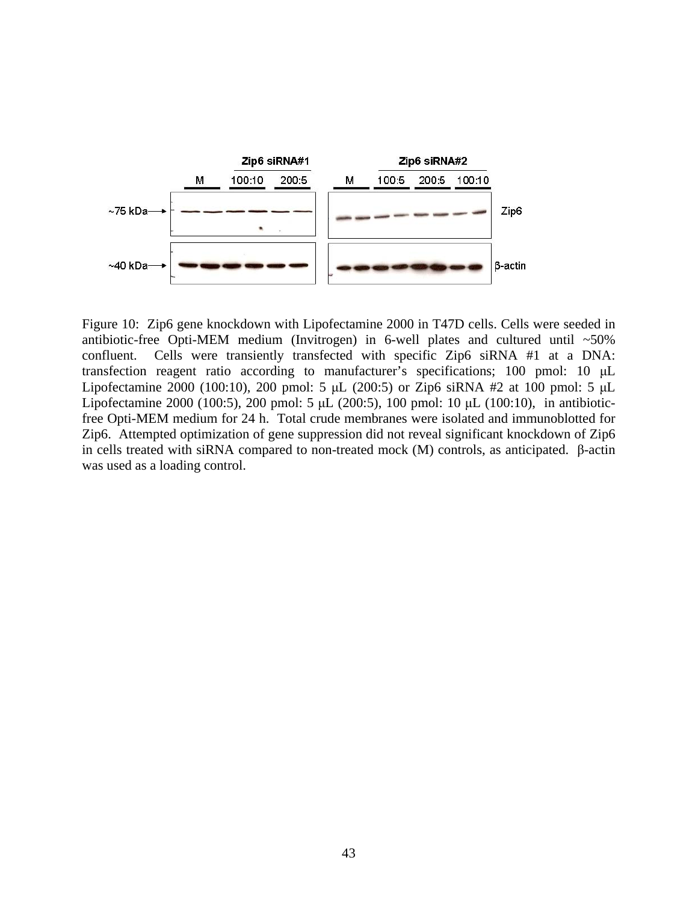

Figure 10: Zip6 gene knockdown with Lipofectamine 2000 in T47D cells. Cells were seeded in antibiotic-free Opti-MEM medium (Invitrogen) in 6-well plates and cultured until ~50% confluent. Cells were transiently transfected with specific Zip6 siRNA #1 at a DNA: transfection reagent ratio according to manufacturer's specifications; 100 pmol: 10 μL Lipofectamine 2000 (100:10), 200 pmol: 5 μL (200:5) or Zip6 siRNA #2 at 100 pmol: 5 μL Lipofectamine 2000 (100:5), 200 pmol: 5 μL (200:5), 100 pmol: 10 μL (100:10), in antibioticfree Opti-MEM medium for 24 h. Total crude membranes were isolated and immunoblotted for Zip6. Attempted optimization of gene suppression did not reveal significant knockdown of Zip6 in cells treated with siRNA compared to non-treated mock (M) controls, as anticipated. β-actin was used as a loading control.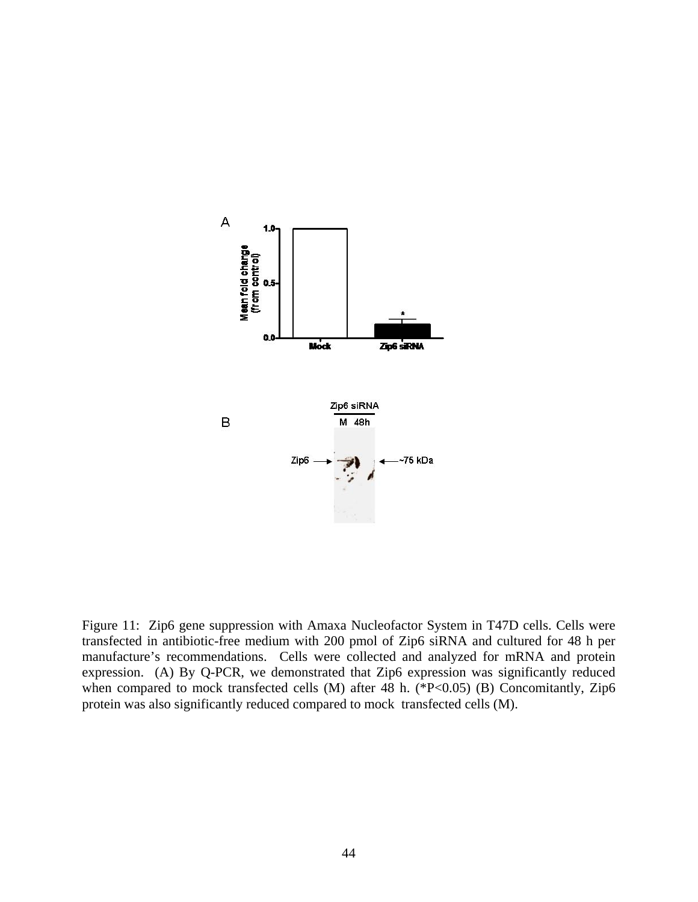

Figure 11: Zip6 gene suppression with Amaxa Nucleofactor System in T47D cells. Cells were transfected in antibiotic-free medium with 200 pmol of Zip6 siRNA and cultured for 48 h per manufacture's recommendations. Cells were collected and analyzed for mRNA and protein expression. (A) By Q-PCR, we demonstrated that Zip6 expression was significantly reduced when compared to mock transfected cells (M) after 48 h. (\*P<0.05) (B) Concomitantly, Zip6 protein was also significantly reduced compared to mock transfected cells (M).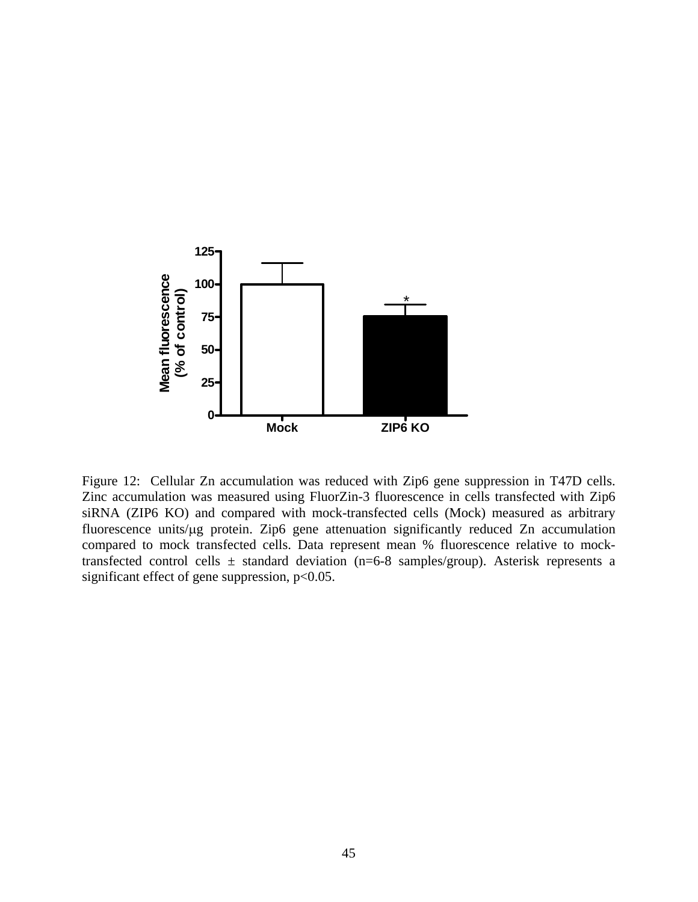

Figure 12: Cellular Zn accumulation was reduced with Zip6 gene suppression in T47D cells. Zinc accumulation was measured using FluorZin-3 fluorescence in cells transfected with Zip6 siRNA (ZIP6 KO) and compared with mock-transfected cells (Mock) measured as arbitrary fluorescence units/μg protein. Zip6 gene attenuation significantly reduced Zn accumulation compared to mock transfected cells. Data represent mean % fluorescence relative to mocktransfected control cells  $\pm$  standard deviation (n=6-8 samples/group). Asterisk represents a significant effect of gene suppression,  $p<0.05$ .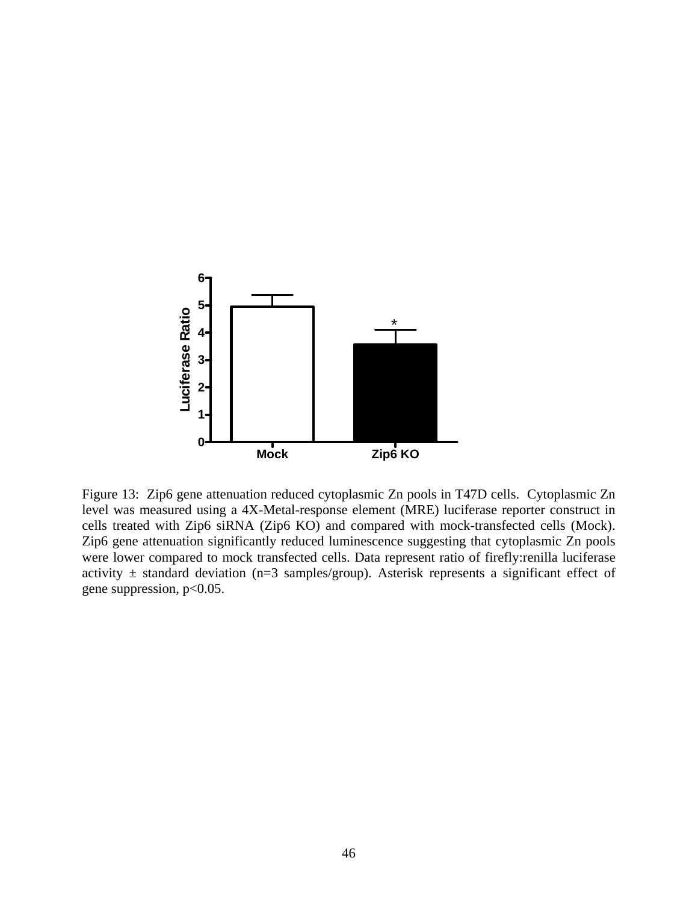

Figure 13: Zip6 gene attenuation reduced cytoplasmic Zn pools in T47D cells. Cytoplasmic Zn level was measured using a 4X-Metal-response element (MRE) luciferase reporter construct in cells treated with Zip6 siRNA (Zip6 KO) and compared with mock-transfected cells (Mock). Zip6 gene attenuation significantly reduced luminescence suggesting that cytoplasmic Zn pools were lower compared to mock transfected cells. Data represent ratio of firefly:renilla luciferase activity  $\pm$  standard deviation (n=3 samples/group). Asterisk represents a significant effect of gene suppression,  $p<0.05$ .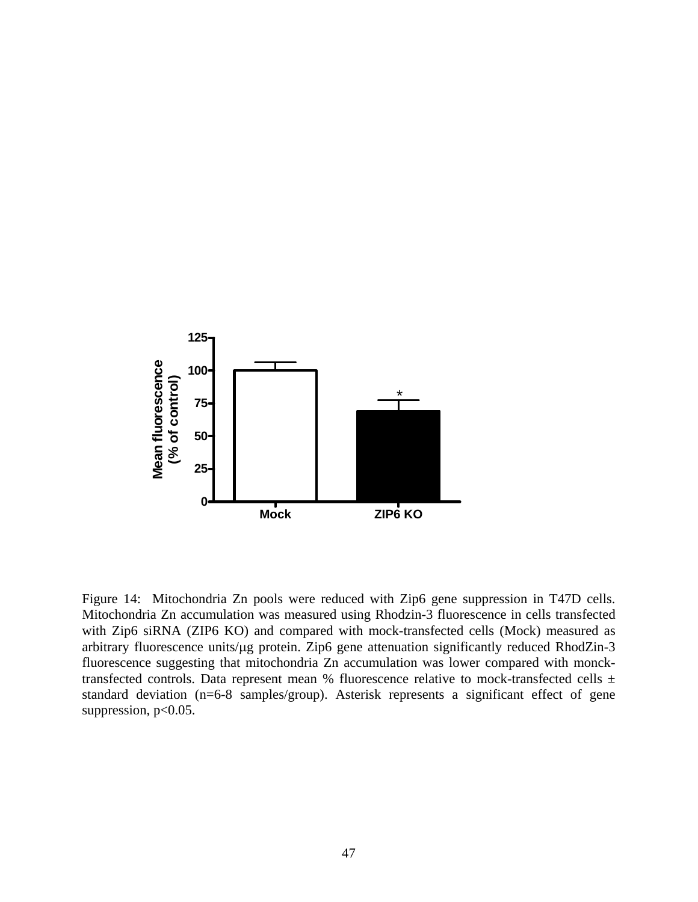

Figure 14: Mitochondria Zn pools were reduced with Zip6 gene suppression in T47D cells. Mitochondria Zn accumulation was measured using Rhodzin-3 fluorescence in cells transfected with Zip6 siRNA (ZIP6 KO) and compared with mock-transfected cells (Mock) measured as arbitrary fluorescence units/μg protein. Zip6 gene attenuation significantly reduced RhodZin-3 fluorescence suggesting that mitochondria Zn accumulation was lower compared with moncktransfected controls. Data represent mean % fluorescence relative to mock-transfected cells  $\pm$ standard deviation (n=6-8 samples/group). Asterisk represents a significant effect of gene suppression,  $p<0.05$ .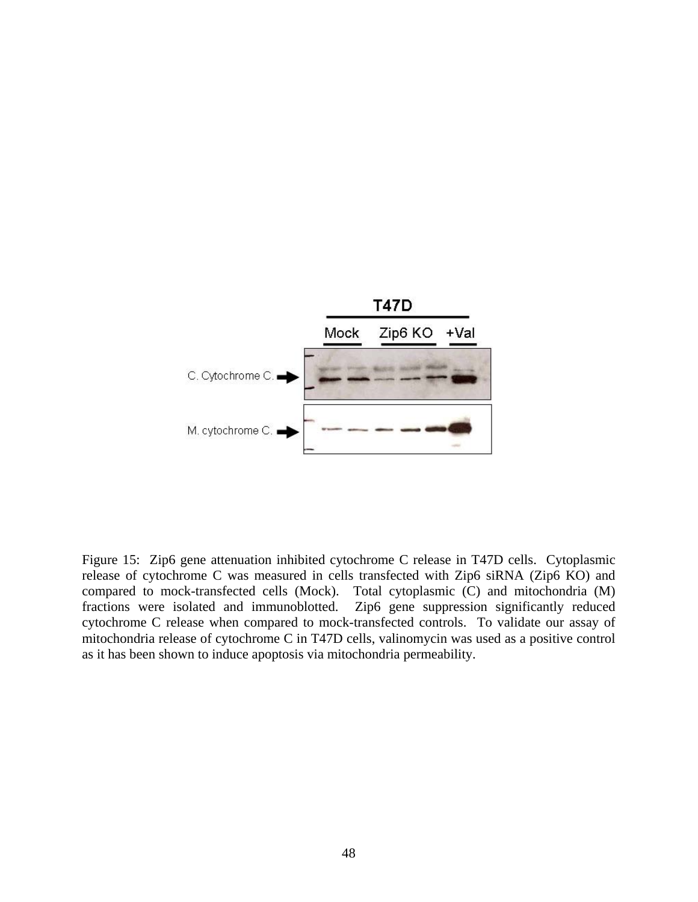

Figure 15: Zip6 gene attenuation inhibited cytochrome C release in T47D cells. Cytoplasmic release of cytochrome C was measured in cells transfected with Zip6 siRNA (Zip6 KO) and compared to mock-transfected cells (Mock). Total cytoplasmic (C) and mitochondria (M) fractions were isolated and immunoblotted. Zip6 gene suppression significantly reduced cytochrome C release when compared to mock-transfected controls. To validate our assay of mitochondria release of cytochrome C in T47D cells, valinomycin was used as a positive control as it has been shown to induce apoptosis via mitochondria permeability.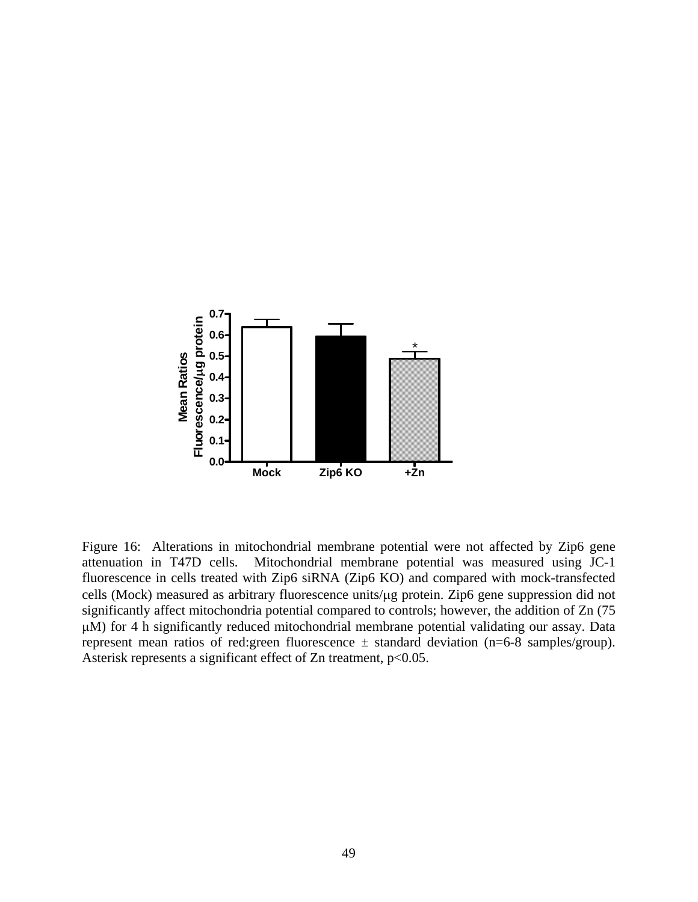

Figure 16: Alterations in mitochondrial membrane potential were not affected by Zip6 gene attenuation in T47D cells. Mitochondrial membrane potential was measured using JC-1 fluorescence in cells treated with Zip6 siRNA (Zip6 KO) and compared with mock-transfected cells (Mock) measured as arbitrary fluorescence units/μg protein. Zip6 gene suppression did not significantly affect mitochondria potential compared to controls; however, the addition of Zn (75 μM) for 4 h significantly reduced mitochondrial membrane potential validating our assay. Data represent mean ratios of red: green fluorescence  $\pm$  standard deviation (n=6-8 samples/group). Asterisk represents a significant effect of Zn treatment,  $p<0.05$ .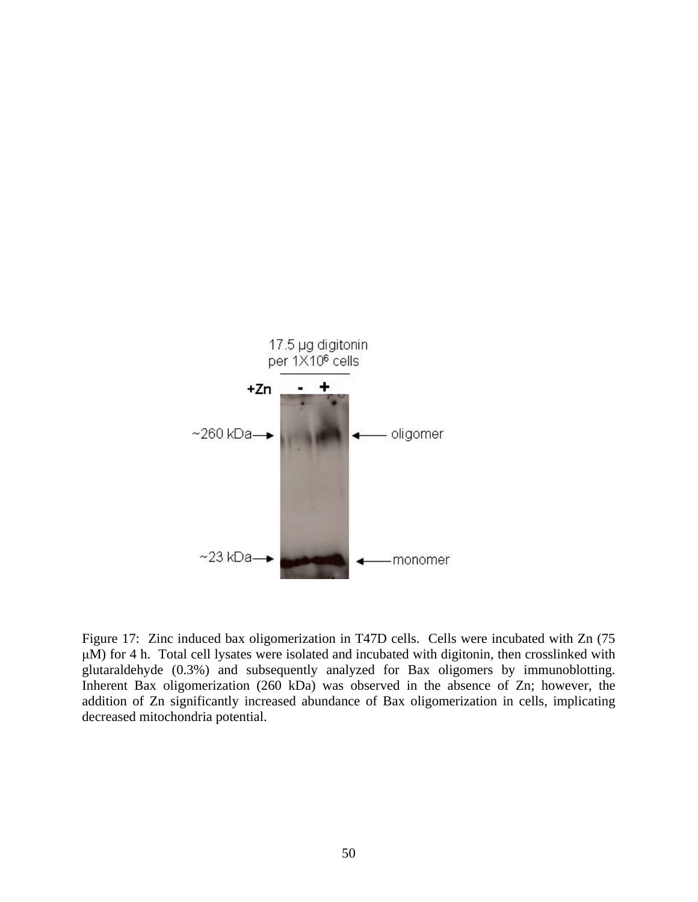

Figure 17: Zinc induced bax oligomerization in T47D cells. Cells were incubated with Zn (75 μM) for 4 h. Total cell lysates were isolated and incubated with digitonin, then crosslinked with glutaraldehyde (0.3%) and subsequently analyzed for Bax oligomers by immunoblotting. Inherent Bax oligomerization (260 kDa) was observed in the absence of Zn; however, the addition of Zn significantly increased abundance of Bax oligomerization in cells, implicating decreased mitochondria potential.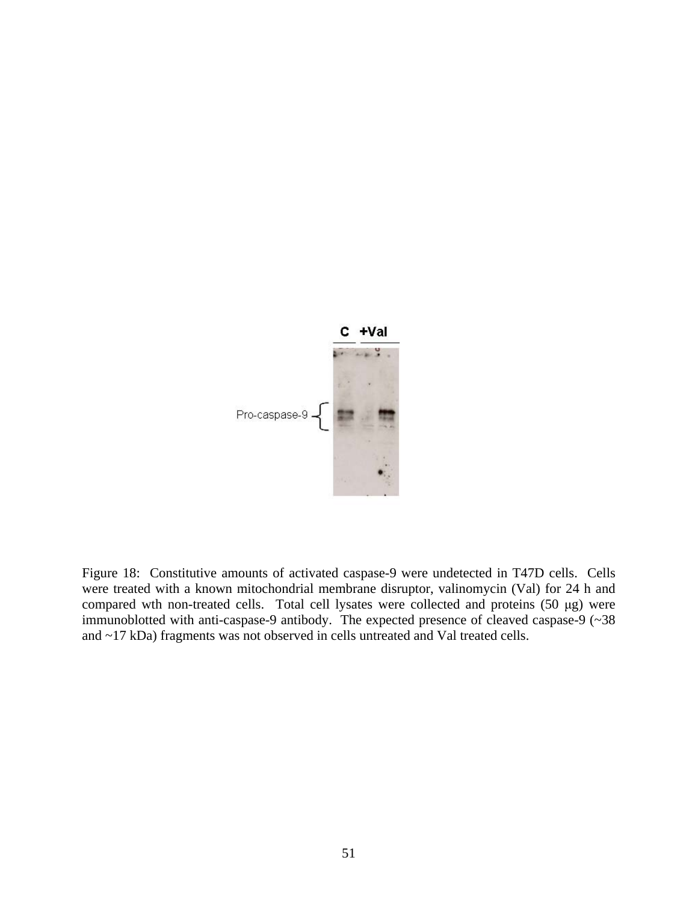

Figure 18: Constitutive amounts of activated caspase-9 were undetected in T47D cells. Cells were treated with a known mitochondrial membrane disruptor, valinomycin (Val) for 24 h and compared wth non-treated cells. Total cell lysates were collected and proteins (50 μg) were immunoblotted with anti-caspase-9 antibody. The expected presence of cleaved caspase-9 (~38 and ~17 kDa) fragments was not observed in cells untreated and Val treated cells.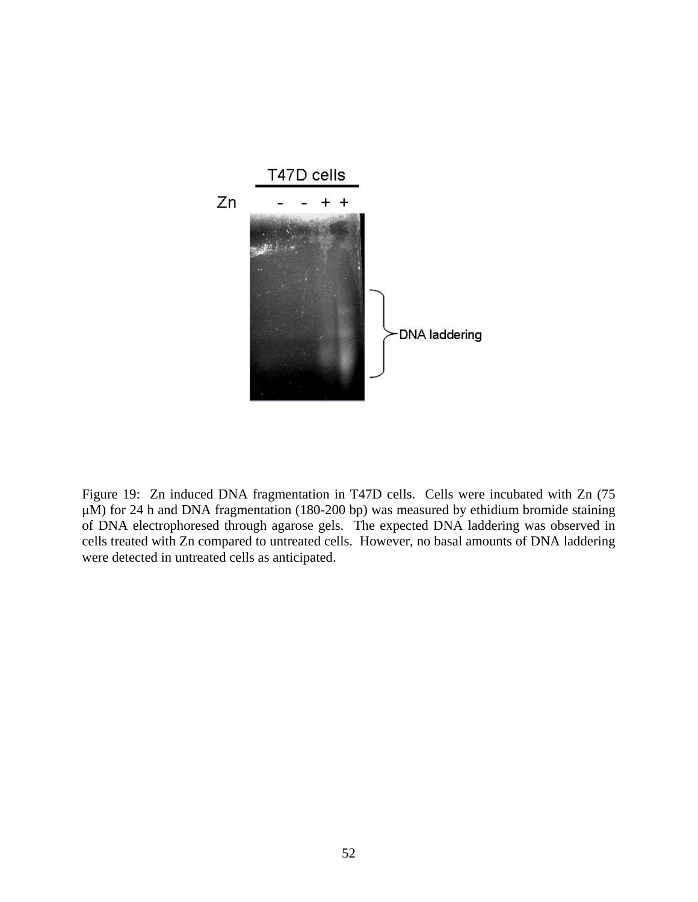

Figure 19: Zn induced DNA fragmentation in T47D cells. Cells were incubated with Zn (75 μM) for 24 h and DNA fragmentation (180-200 bp) was measured by ethidium bromide staining of DNA electrophoresed through agarose gels. The expected DNA laddering was observed in cells treated with Zn compared to untreated cells. However, no basal amounts of DNA laddering were detected in untreated cells as anticipated.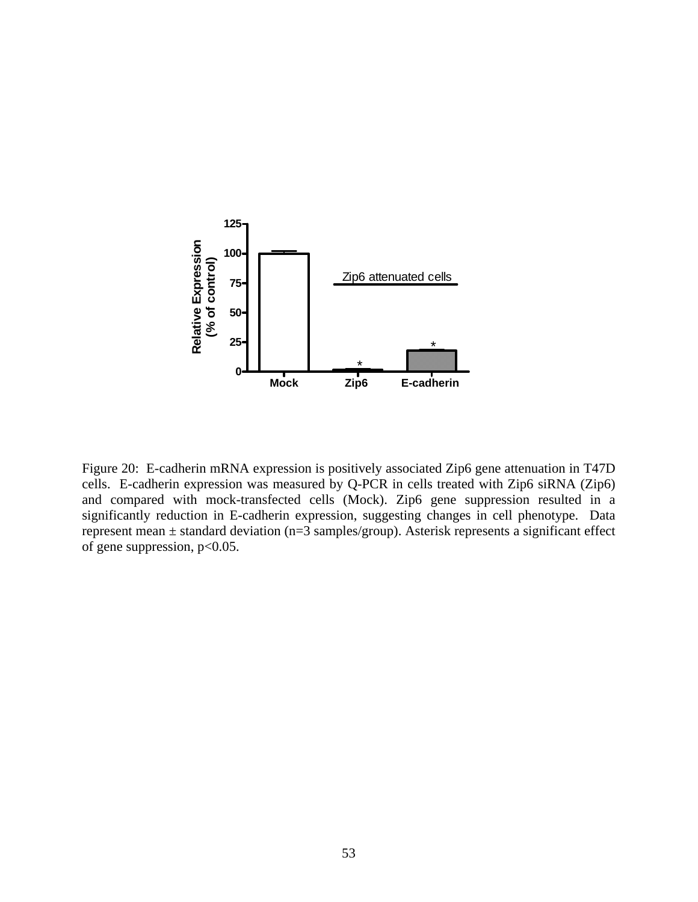

Figure 20: E-cadherin mRNA expression is positively associated Zip6 gene attenuation in T47D cells. E-cadherin expression was measured by Q-PCR in cells treated with Zip6 siRNA (Zip6) and compared with mock-transfected cells (Mock). Zip6 gene suppression resulted in a significantly reduction in E-cadherin expression, suggesting changes in cell phenotype. Data represent mean ± standard deviation (n=3 samples/group). Asterisk represents a significant effect of gene suppression,  $p<0.05$ .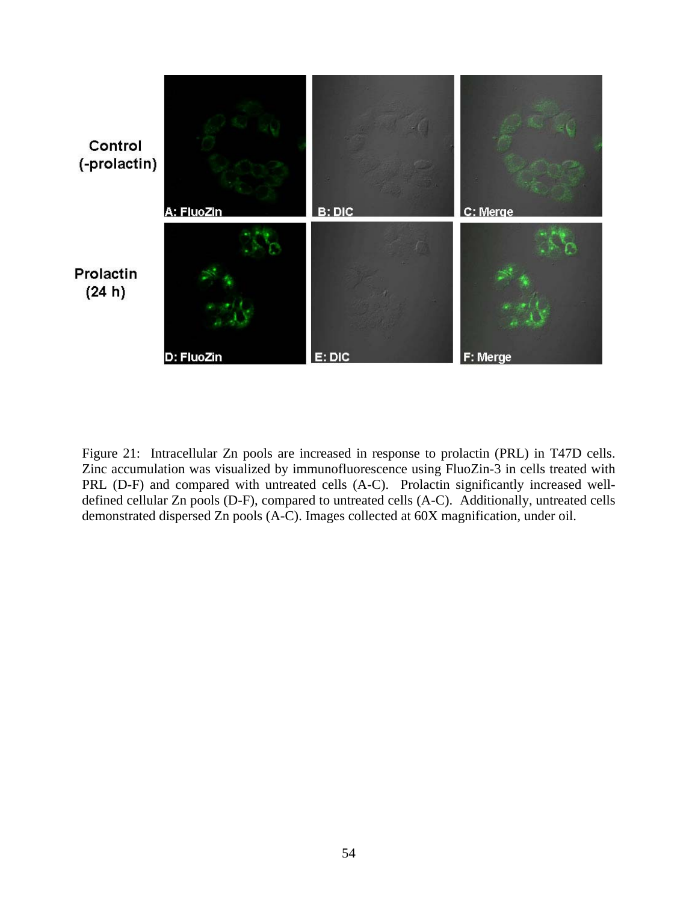

Figure 21: Intracellular Zn pools are increased in response to prolactin (PRL) in T47D cells. Zinc accumulation was visualized by immunofluorescence using FluoZin-3 in cells treated with PRL (D-F) and compared with untreated cells (A-C). Prolactin significantly increased welldefined cellular Zn pools (D-F), compared to untreated cells (A-C). Additionally, untreated cells demonstrated dispersed Zn pools (A-C). Images collected at 60X magnification, under oil.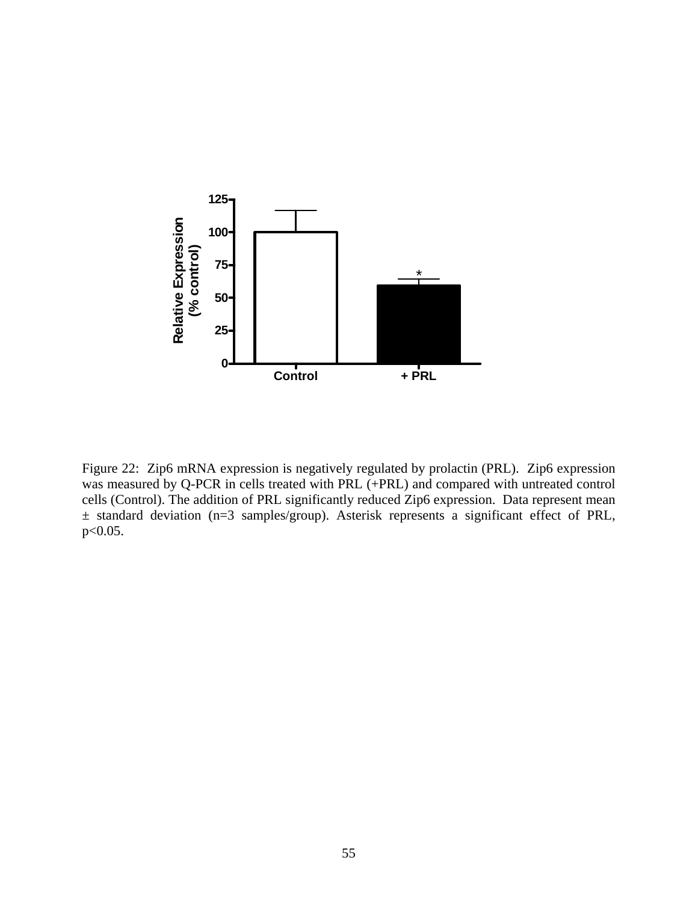

Figure 22: Zip6 mRNA expression is negatively regulated by prolactin (PRL). Zip6 expression was measured by Q-PCR in cells treated with PRL (+PRL) and compared with untreated control cells (Control). The addition of PRL significantly reduced Zip6 expression. Data represent mean ± standard deviation (n=3 samples/group). Asterisk represents a significant effect of PRL, p<0.05.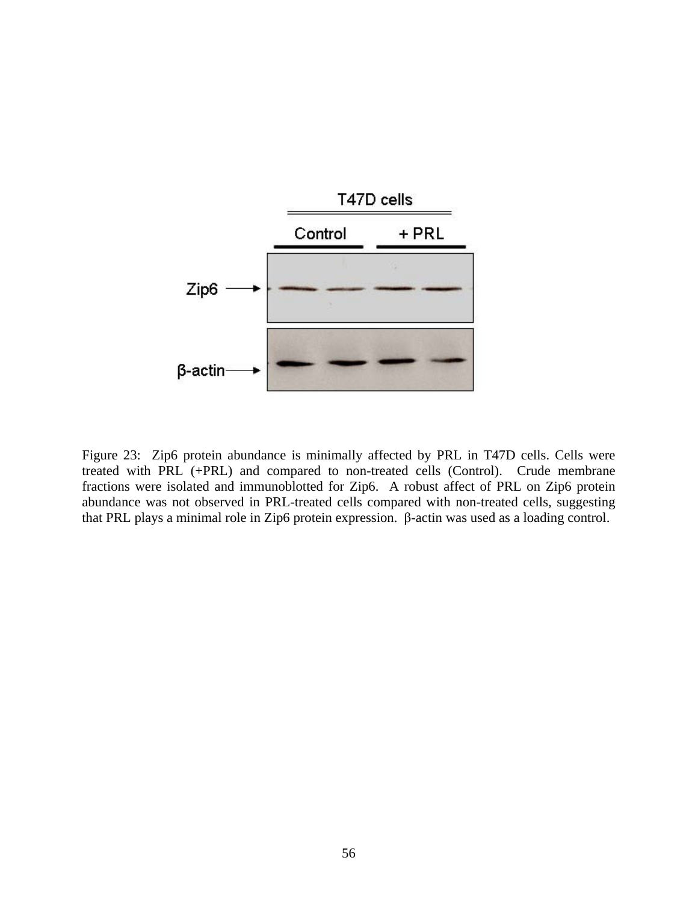

Figure 23: Zip6 protein abundance is minimally affected by PRL in T47D cells. Cells were treated with PRL (+PRL) and compared to non-treated cells (Control). Crude membrane fractions were isolated and immunoblotted for Zip6. A robust affect of PRL on Zip6 protein abundance was not observed in PRL-treated cells compared with non-treated cells, suggesting that PRL plays a minimal role in Zip6 protein expression. β-actin was used as a loading control.